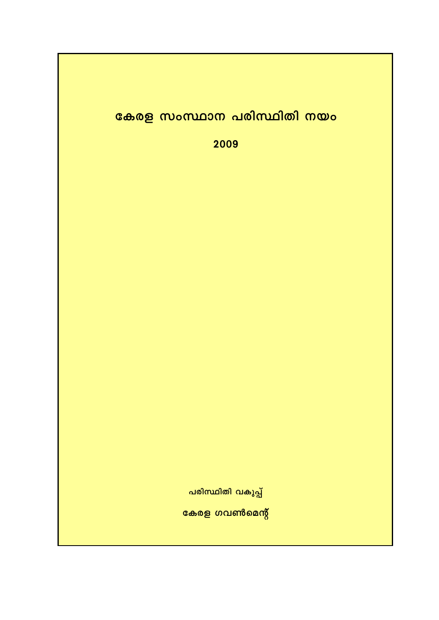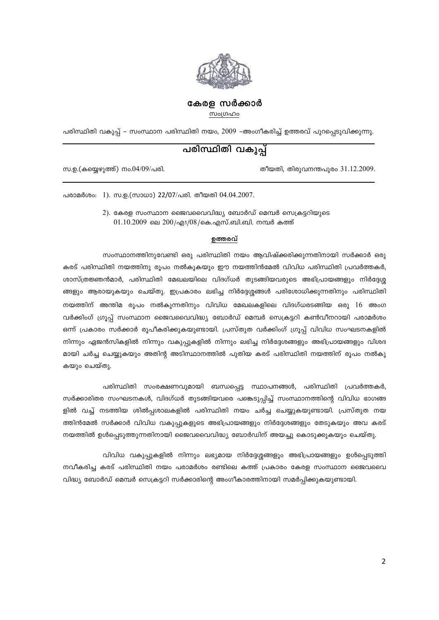

## കേരള സർക്കാർ

സംഗ്രഹം

പരിസ്ഥിതി വകുപ്പ് – സംസ്ഥാന പരിസ്ഥിതി നയം, 2009 –അംഗീകരിച്ച് ഉത്തരവ് പുറപ്പെടുവിക്കുന്നു.

# പരിസ്ഥിതി വകുപ്പ്

തീയതി, തിരുവനന്തപുരം 31.12.2009.

സ.ഉ.(കയ്യെഴുത്ത്) നം.04/09/പരി.

പരാമർശം: 1). സ.ഉ.(സാധാ) 22/07/പരി. തീയതി 04.04.2007.

2). കേരള സംസ്ഥാന ജൈവവൈവിദ്ധ്യ ബോർഡ് മെമ്പർ സെക്രട്ടറിയുടെ  $01.10.2009$  ലെ  $200/\text{q}$ 1/08/കെ.എസ്.ബി.ബി. നമ്പർ കത്ത്

#### ഉത്തരവ്

സംസ്ഥാനത്തിനുവേണ്ടി ഒരു പരിസ്ഥിതി നയം ആവിഷ്ക്കരിക്കുന്നതിനായി സർക്കാർ ഒരു കരട് പരിസ്ഥിതി നയത്തിനു രൂപം നൽകുകയും ഈ നയത്തിൻമേൽ വിവിധ പരിസ്ഥിതി പ്രവർത്തകർ, ശാസ്ത്രജ്ഞൻമാർ, പരിസ്ഥിതി മേഖലയിലെ വിദഗ്ധർ തുടങ്ങിയവരുടെ അഭിപ്രായങ്ങളും നിർദ്ദേശ്മ ങ്ങളും ആരായുകയും ചെയ്തു. ഇപ്രകാരം ലഭിച്ച നിർദ്ദേശ്ശങ്ങൾ പരിശോധിക്കുന്നതിനും പരിസ്ഥിതി നയത്തിന് അന്തിമ രൂപം നൽകുന്നതിനും വിവിധ മേഖലകളിലെ വിദഗ്ധരടങ്ങിയ ഒരു 16 അംഗ വർക്കിംഗ് ഗ്രൂപ്പ് സംസ്ഥാന ജൈവവൈവിദ്ധ്യ ബോർഡ് മെമ്പർ സെക്രട്ടറി കൺവീനറായി പരാമർശം ഒന്ന് പ്രകാരം സർക്കാർ രൂപീകരിക്കുകയുണ്ടായി. പ്രസ്തുത വർക്കിംഗ് ഗ്രൂപ്പ് വിവിധ സംഘടനകളിൽ നിന്നും ഏജൻസികളിൽ നിന്നും വകുപ്പുകളിൽ നിന്നും ലഭിച്ച നിർദ്ദേശങ്ങളും അഭിപ്രായങ്ങളും വിശദ മായി ചർച്ച ചെയ്യുകയും അതിന്റ അടിസ്ഥാനത്തിൽ പുതിയ കരട് പരിസ്ഥിതി നയത്തിന് രൂപം നൽകു കയും ചെയ്തു.

പരിസ്ഥിതി സംരക്ഷണവുമായി ബന്ധപ്പെട്ട സ്ഥാപനങ്ങൾ, പരിസ്ഥിതി പ്രവർത്തകർ, സർക്കാരിതര സംഘടനകൾ, വിദഗ്ധർ തുടങ്ങിയവരെ പങ്കെടുപ്പിച്ച് സംസ്ഥാനത്തിന്റെ വിവിധ ഭാഗങ്ങ ളിൽ വച്ച് നടത്തിയ ശിൽപ്പശാലകളിൽ പരിസ്ഥിതി നയം ചർച്ച ചെയ്യുകയുണ്ടായി. പ്രസ്തുത നയ ത്തിൻമേൽ സർക്കാർ വിവിധ വകുപ്പുകളുടെ അഭിപ്രായങ്ങളും നിർദ്ദേശങ്ങളും തേടുകയും അവ കരട് നയത്തിൽ ഉൾപ്പെടുത്തുന്നതിനായി ജൈവവൈവിദ്ധ്യ ബോർഡിന് അയച്ചു കൊടുക്കുകയും ചെയ്തു.

വിവിധ വകുപ്പുകളിൽ നിന്നും ലഭ്യമായ നിർദ്ദേശ്ശങ്ങളും അഭിപ്രായങ്ങളും ഉൾപ്പെടുത്തി നവീകരിച്ച കരട് പരിസ്ഥിതി നയം പരാമർശം രണ്ടിലെ കത്ത് പ്രകാരം കേരള സംസ്ഥാന ജൈവവൈ വിദ്ധ്യ ബോർഡ് മെമ്പർ സെക്രട്ടറി സർക്കാരിന്റെ അംഗീകാരത്തിനായി സമർപ്പിക്കുകയുണ്ടായി.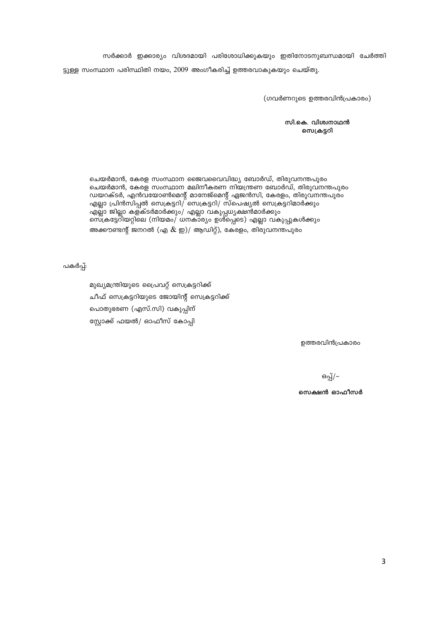സർക്കാർ ഇക്കാര്യം വിശദമായി പരിശോധിക്കുകയും ഇതിനോടനുബന്ധമായി ചേർത്തി ട്ടുള്ള സംസ്ഥാന പരിസ്ഥിതി നയം, 2009 അംഗീകരിച്ച് ഉത്തരവാകുകയും ചെയ്തു.

(ഗവർണറുടെ ഉത്തരവിൻപ്രകാരം)

സി.കെ. വിശ്വനാഥൻ സെക്രട്ടറി

ചെയർമാൻ, കേരള സംസ്ഥാന ജൈവവൈവിദ്ധ്യ ബോർഡ്, തിരുവനന്തപുരം ചെയർമാൻ, കേരള സംസ്ഥാന മലിനീകരണ നിയന്ത്രണ ബോർഡ്, തിരുവനന്തപുരം ഡയറക്ടർ, എൻവയോൺമെന്റ് മാനേജ്മെന്റ് ഏജൻസി, കേരളം, തിരുവനന്തപുരം<br>എല്ലാ പ്രിൻസിപ്പൽ സെക്രട്ടറി/ സെക്രട്ടറി/ സ്പെഷ്യൽ സെക്രട്ടറിമാർക്കും എല്ലാ ജില്ലാ കള്ക്ടർമാർക്കും/ എല്ലാ വകുപ്പധ്യക്ഷൻമാർക്കും സെ്ക്രട്ടേറിയറ്റിലെ (നിയമം/ ധനകാര്യം ഉൾ്പ്പെടെ) എല്ലാ വകുപ്പുകൾക്കും അക്കൗണ്ടന്റ് ജനറൽ (എ  $\&$  ഇ)/ ആഡിറ്റ്), കേരളം, തിരുവനന്തപുരം

പകർപ്പ്:

മുഖ്യമന്ത്രിയുടെ പ്രൈവറ്റ് സെക്രട്ടറിക്ക് ചീഫ് സെക്രട്ടറിയുടെ ജോയിന്റ് സെക്രട്ടറിക്ക് പൊതുഭരണ (എസ്.സി) വകുപ്പിന് സ്റ്റോക്ക് ഫയൽ/ ഓഫീസ് കോപ്പി

ഉത്തരവിൻപ്രകാരം

ഒപ്പ്/–

സെക്ഷൻ ഓഫീസർ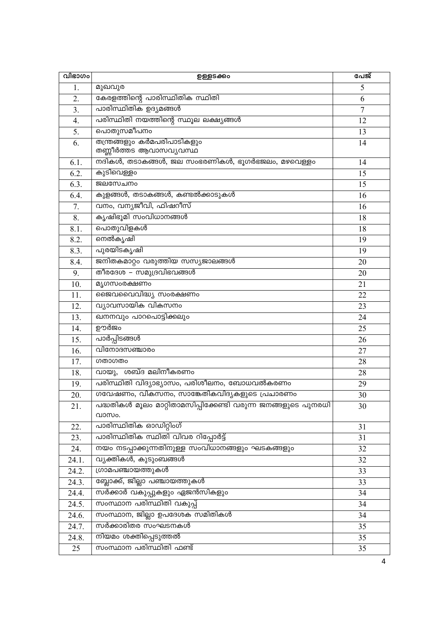| വിഭാഗം           | ഉള്ളടക്കം                                                     | പേജ്           |
|------------------|---------------------------------------------------------------|----------------|
| 1.               | മുഖവുര                                                        | 5              |
| 2.               | കേരളത്തിന്റെ പാരിസ്ഥിതിക സ്ഥിതി                               | 6              |
| 3.               | പാരിസ്ഥിതിക ഉദ്യമങ്ങൾ                                         | $\overline{7}$ |
| $\overline{4}$ . | പരിസ്ഥിതി നയത്തിന്റെ സ്ഥൂല ലക്ഷ്യങ്ങൾ                         | 12             |
| 5.               | പൊതുസമീപനം                                                    | 13             |
| 6.               | തന്ത്രങ്ങളും കർമപരിപാടികളും                                   | 14             |
|                  | തണ്ണീർത്തട ആവാസവ്യവസ്ഥ                                        |                |
| 6.1.             | നദികൾ, തടാകങ്ങൾ, ജല സംഭരണികൾ, ഭൂഗർഭജലം, മഴവെള്ളം              | 14             |
| 6.2.             | കുടിവെള്ളം                                                    | 15             |
| 6.3.             | ജലസേചനം                                                       | 15             |
| 6.4.             | കുളങ്ങൾ, തടാകങ്ങൾ, കണ്ടൽക്കാടുകൾ                              | 16             |
| 7.               | വനം, വന്യജീവി, ഫിഷറീസ്                                        | 16             |
| 8.               | കൃഷിഭൂമി സംവിധാനങ്ങൾ                                          | 18             |
| 8.1.             | പൊതുവിളകൾ                                                     | 18             |
| 8.2.             | നെൽകൃഷി                                                       | 19             |
| 8.3.             | പുരയിടകൃഷി                                                    | 19             |
| 8.4.             | ജനിതകമാറ്റം വരുത്തിയ സസ്യജാലങ്ങൾ                              | 20             |
| 9.               | തീരദേശ – സമുദ്രവിഭവങ്ങൾ                                       | 20             |
| 10.              | മൃഗസംരക്ഷണം                                                   | 21             |
| 11.              | ജൈവവൈവിദ്ധ്യ സംരക്ഷണം                                         | 22             |
| 12.              | വ്യാവസായിക വികസനം                                             | 23             |
| 13.              | ഖനനവും പാറപൊട്ടിക്കലും                                        | 24             |
| 14.              | ഊർജം                                                          | 25             |
| 15.              | പാർപ്പിടങ്ങൾ                                                  | 26             |
| 16.              | വിനോദസഞ്ചാരം                                                  | 27             |
| 17.              | ഗതാഗതം                                                        | 28             |
| 18.              | വായു, ശബ്ദ മലിനീകരണം                                          | 28             |
| 19.              | പരിസ്ഥിതി വിദ്യാഭ്യാസം, പരിശീലനം, ബോധവൽകരണം                   | 29             |
| 20.              | ഗവേഷണം, വികസനം, സാങ്കേതികവിദ്യകളുടെ പ്രചാരണം                  | 30             |
| 21.              | പദ്ധതികൾ മൂലം മാറ്റിതാമസിപ്പിക്കേണ്ടി വരുന്ന ജനങ്ങളുടെ പുനരധി | 30             |
|                  | വാസം.                                                         |                |
| 22.              | പാരിസ്ഥിതിക ഓഡിറ്റിംഗ്                                        | 31             |
| 23.              | പാരിസ്ഥിതിക സ്ഥിതി വിവര റിപ്പോർട്ട്                           | 31             |
| 24.              | നയം നടപ്പാക്കുന്നതിനുള്ള സംവിധാനങ്ങളും ഘടകങ്ങളും              | 32             |
| 24.1.            | വ്യക്തികൾ, കുടുംബങ്ങൾ                                         | 32             |
| 24.2.            | ഗ്രാമപഞ്ചായത്തുകൾ                                             | 33             |
| 24.3.            | ബ്ലോക്ക്, ജില്ലാ പഞ്ചായത്തുകൾ                                 | 33             |
| 24.4.            | സർക്കാർ വകുപ്പുകളും ഏജൻസികളും                                 | 34             |
| 24.5.            | സംസ്ഥാന പരിസ്ഥിതി വകുപ്പ്                                     | 34             |
| 24.6.            | സംസ്ഥാന, ജില്ലാ ഉപദേശക സമിതികൾ                                | 34             |
| 24.7.            | സർക്കാരിതര സംഘടനകൾ                                            | 35             |
| 24.8.            | നിയമം ശക്തിപ്പെടുത്തൽ                                         | 35             |
| 25               | സംസ്ഥാന പരിസ്ഥിതി ഫണ്ട്                                       | 35             |
|                  |                                                               |                |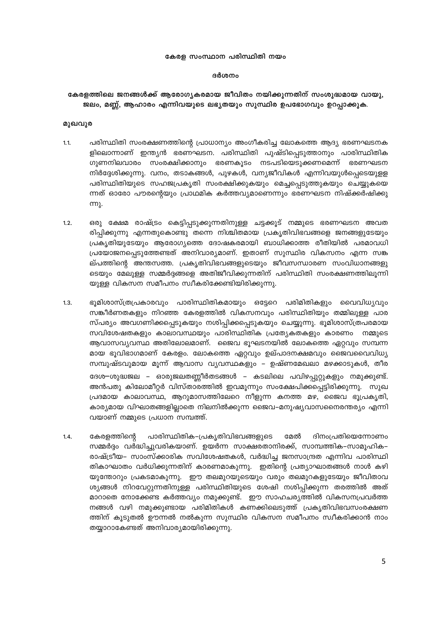#### കേരള സംസ്ഥാന പരിസ്ഥിതി നയം

#### ദർശനം

## കേരളത്തിലെ ജനങ്ങൾക്ക് ആരോഗ്യകരമായ ജീവിതം നയിക്കുന്നതിന് സംശുദ്ധമായ വായു. ജലം, മണ്ണ്, ആഹാരം എന്നിവയുടെ ലഭ്യതയും സുസ്ഥിര ഉപഭോഗവും ഉറപ്പാക്കുക.

## മുഖവുര

- $1.1.$ പരിസ്ഥിതി സംരക്ഷണത്തിന്റെ പ്രാധാന്യം അംഗീകരിച്ച ലോകത്തെ ആദ്യ ഭരണഘടനക ളിലൊന്നാണ് ഇന്ത്യൻ ഭരണഘടന. പരിസ്ഥിതി പുഷ്ടിപ്പെടുത്താനും പാരിസ്ഥിതിക ഗുണനിലവാരം സംരക്ഷിക്കാനും ഭരണകൂടം നടപടിയെടുക്കണമെന്ന് ഭരണഘടന നിർദ്ദേശിക്കുന്നു. വനം, തടാകങ്ങൾ, പുഴകൾ, വന്യജീവികൾ എന്നിവയുൾപ്പെടെയുള്ള പരിസ്ഥിതിയുടെ സഹജപ്രകൃതി സംരക്ഷിക്കുകയും മെച്ചപ്പെടുത്തുകയും ചെയ്യുകയെ ന്നത് ഓരോ പൗരന്റെയും പ്രാഥമിക കർത്തവ്യമാണെന്നും ഭരണഘടന നിഷ്ക്കർഷിക്കു <u>m)</u>.
- ഒരു ക്ഷേമ രാഷ്ട്രം കെട്ടിപ്പടുക്കുന്നതിനുള്ള ചട്ടക്കൂട് നമ്മുടെ ഭരണഘടന അവത  $1.2.$ രിപ്പിക്കുന്നു എന്നതുകൊണ്ടു തന്നെ നിശ്ചിതമായ പ്രകൃതിവിഭവങ്ങളെ ജനങ്ങളുടേയും പ്രകൃതിയുടേയും ആരോഗ്യത്തെ ദോഷകരമായി ബാധിക്കാത്ത രീതിയിൽ പരമാവധി പ്രയോജനപ്പെടുത്തേണ്ടത് അനിവാര്യമാണ്. ഇതാണ് സുസ്ഥിര വികസനം എന്ന സങ്ക ല്പത്തിന്റെ അന്തസത്ത. പ്രകൃതിവിഭവങ്ങളുടെയും ജീവസന്ധാരണ സംവിധാനങ്ങളു ടെയും മേലുള്ള സമ്മർദ്ദങ്ങളെ അതിജീവിക്കുന്നതിന് പരിസ്ഥിതി സംരക്ഷണത്തിലൂന്നി യുള്ള വികസന സമീപനം സ്വീകരിക്കേണ്ടിയിരിക്കുന്നു.
- ഭൂമിശാസ്ത്രപ്രകാരവും പാരിസ്ഥിതികമായും ഒട്ടേറെ പരിമിതികളും വൈവിധ്യവും  $1.3.$ സങ്കീർണതകളും നിറഞ്ഞ കേരളത്തിൽ വികസനവും പരിസ്ഥിതിയും തമ്മിലുള്ള പാര സ്പര്യം അവഗണിക്കപ്പെടുകയും നശിപ്പിക്കപ്പെടുകയും ചെയ്യുന്നു. ഭൂമിശാസ്ത്രപരമായ സവിശേഷതകളും കാലാവസ്ഥയും പാരിസ്ഥിതിക പ്രത്യേകതകളും കാരണം നമ്മുടെ ആവാസവ്യവസ്ഥ അതിലോലമാണ്. ജൈവ ഭൂഘടനയിൽ ലോകത്തെ ഏറ്റവും സമ്പന്ന മായ ഭൂവിഭാഗമാണ് കേരളം. ലോകത്തെ ഏറ്റവും ഉല്പാദനക്ഷമവും ജൈവവൈവിധ്യ സമ്പുഷ്ടവുമായ മൂന്ന് ആവാസ വ്യവസ്ഥകളും – ഉഷ്ണമേഖലാ മഴക്കാടുകൾ, തീര ദേശ–ശുദ്ധജല – ഓരുജലതണ്ണീർതടങ്ങൾ – കടലിലെ പവിഴപ്പുറ്റുകളും നമുക്കുണ്ട്. അൻപതു കിലോമീറ്റർ വിസ്താരത്തിൽ ഇവമൂന്നും സംക്ഷേപിക്കപ്പെട്ടിരിക്കുന്നു. സുഖ പ്രദമായ കാലാവസ്ഥ, ആറുമാസത്തിലേറെ നീളുന്ന കനത്ത മഴ, ജൈവ ഭൂപ്രകൃതി, കാര്യമായ വിഘാതങ്ങളില്ലാതെ നിലനിൽക്കുന്ന ജൈവ–മനുഷ്യവാസനൈരന്തര്യം എന്നി വയാണ് നമ്മുടെ പ്രധാന സമ്പത്ത്.
- പാരിസ്ഥിതിക–പ്രകൃതിവിഭവങ്ങളുടെ  $1.4.$ കേരളത്തിന്റെ മേൽ ദിനംപ്രതിയെന്നോണം സമ്മർദ്ദം വർദ്ധിച്ചുവരികയാണ്. ഉയർന്ന സാക്ഷരതാനിരക്ക്, സാമ്പത്തിക–സാമൂഹിക– രാഷ്ട്രീയ– സാംസ്ക്കാരിക സവിശേഷതകൾ, വർദ്ധിച്ച ജനസാന്ദ്രത എന്നിവ പാരിസ്ഥി തികാഘാതം വർധിക്കുന്നതിന് കാരണമാകുന്നു. ഇതിന്റെ പ്രത്യാഘാതങ്ങൾ നാൾ കഴി യുന്തോറും പ്രകടമാകുന്നു. ഈ തലമുറയുടെയും വരും തലമുറകളുടേയും ജീവിതാവ ശ്യങ്ങൾ നിറവേറ്റുന്നതിനുള്ള പരിസ്ഥിതിയുടെ ശേഷി നശിപ്പിക്കുന്ന തരത്തിൽ അത് മാറാതെ നോക്കേണ്ട കർത്തവ്യം നമുക്കുണ്ട്. ഈ സാഹചര്യത്തിൽ വികസനപ്രവർത്ത നങ്ങൾ വഴി നമുക്കുണ്ടായ പരിമിതികൾ കണക്കിലെടുത്ത് പ്രകൃതിവിഭവസംരക്ഷണ ത്തിന് കൂടുതൽ ഊന്നൽ നൽകുന്ന സുസ്ഥിര വികസന സമീപനം സ്വീകരിക്കാൻ നാം തയ്യാറാകേണ്ടത് അനിവാര്യമായിരിക്കുന്നു.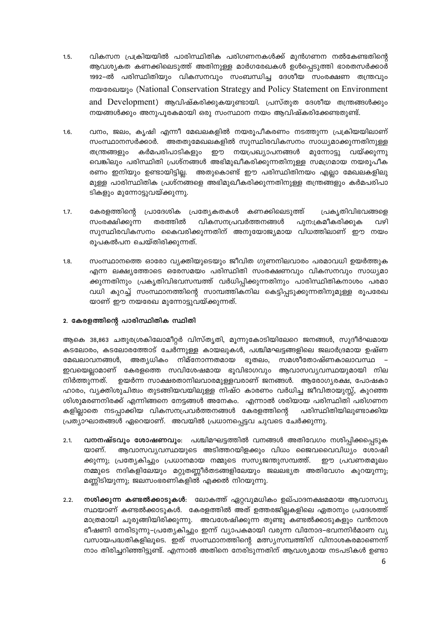- വികസന പ്രക്രിയയിൽ പാരിസ്ഥിതിക പരിഗണനകൾക്ക് മുൻഗണന നൽകേണ്ടതിന്റെ  $1.5.$ ആവശ്യകത കണക്കിലെടുത്ത് അതിനുള്ള മാർഗരേഖകൾ ഉൾപ്പെടുത്തി ഭാരതസർക്കാർ 1992–ൽ പരിസ്ഥിതിയും വികസനവും സംബന്ധിച്ച ദേശീയ സംരക്ഷണ തന്ത്രവും mogonologic (National Conservation Strategy and Policy Statement on Environment and Development) ആവിഷ്കരിക്കുകയുണ്ടായി. പ്രസ്തുത ദേശീയ തന്ത്രങ്ങൾക്കും നയങ്ങൾക്കും അനുപൂരകമായി ഒരു സംസ്ഥാന നയം ആവിഷ്കരിക്കേണ്ടതുണ്ട്.
- $1.6.$ വനം, ജലം, കൃഷി എന്നീ മേഖലകളിൽ നയരൂപീകരണം നടത്തുന്ന പ്രക്രിയയിലാണ് സംസ്ഥാനസർക്കാർ. അതതുമേഖലകളിൽ സുസ്ഥിരവികസനം സാധ്യമാക്കുന്നതിനുള്ള മുന്നോട്ടു കർമപരിപാടികളും ഈ നയപ്രഖ്യാപനങ്ങൾ വയ്ക്കുന്നു തന്ത്രങ്ങളും വെങ്കിലും പരിസ്ഥിതി പ്രശ്നങ്ങൾ അഭിമുഖീകരിക്കുന്നതിനുള്ള സമഗ്രമായ നയരൂപീക രണം ഇനിയും ഉണ്ടായിട്ടില്ല. അതുകൊണ്ട് ഈ പരിസ്ഥിതിനയം എല്ലാ മേഖലകളിലു മുള്ള പാരിസ്ഥിതിക പ്രശ്നങ്ങളെ അഭിമുഖീകരിക്കുന്നതിനുള്ള തന്ത്രങ്ങളും കർമപരിപാ ടികളും മുന്നോട്ടുവയ്ക്കുന്നു.
- $1.7.$ കേരളത്തിന്റെ പ്രാദേശിക പ്രത്യേകതകൾ കണക്കിലെടുത്ത് പ്രകൃതിവിഭവങ്ങളെ വികസനപ്രവർത്തനങ്ങൾ സംരക്ഷിക്കുന്ന തരത്തിൽ പുന:ക്രമീകരിക്കുക വഴി സുസ്ഥിരവികസനം കൈവരിക്കുന്നതിന് അനുയോജ്യമായ വിധത്തിലാണ് ഈ നയം രുപകൽപന ചെയ്തിരിക്കുന്നത്.
- സംസ്ഥാനത്തെ ഓരോ വ്യക്തിയുടെയും ജീവിത ഗുണനിലവാരം പരമാവധി ഉയർത്തുക  $1.8.$ എന്ന ലക്ഷ്യത്തോടെ ഒരേസമയം പരിസ്ഥിതി സംരക്ഷണവും വികസനവും സാധ്യമാ ക്കുന്നതിനും പ്രകൃതിവിഭവസമ്പത്ത് വർധിപ്പിക്കുന്നതിനും പാരിസ്ഥിതികനാശം പരമാ വധി കുറച്ച് സംസ്ഥാനത്തിന്റെ സാമ്പത്തികനില കെട്ടിപ്പടുക്കുന്നതിനുമുള്ള രൂപരേഖ യാണ് ഈ നയരേഖ മുന്നോട്ടുവയ്ക്കുന്നത്.

## 2. കേരളത്തിന്റെ പാരിസ്ഥിതിക സ്ഥിതി

ആകെ 38,863 ചതുരശ്രകിലോമീറ്റർ വിസ്തൃതി, മൂന്നുകോടിയിലേറെ ജനങ്ങൾ, സുദീർഘമായ കടലോരം, കടലോരത്തോട് ചേർന്നുള്ള കായലുകൾ, പശ്ചിമഘട്ടങ്ങളിലെ ജലാർദ്രമായ ഉഷ്ണ മേഖലാവനങ്ങൾ, അത്യധികം നിമ്നോന്നതമായ ഭൂതലം, സമശീതോഷ്ണകാലാവസ്ഥ ഇവയെല്ലാമാണ് കേരളത്തെ സവിശേഷമായ ഭുവിഭാഗവും ആവാസവ്യവസ്ഥയുമായി നില നിർത്തുന്നത്. ഉയർന്ന സാക്ഷരതാനിലവാരമുള്ളവരാണ് ജനങ്ങൾ. ആരോഗ്യരക്ഷ, പോഷകാ ഹാരം, വ്യക്തിശുചിത്വം തുടങ്ങിയവയിലുള്ള നിഷ്ഠ കാരണം വർധിച്ച ജീവിതായുസ്സ്, കുറഞ്ഞ ശിശുമരണനിരക്ക് എന്നിങ്ങനെ നേട്ടങ്ങൾ അനേകം. എന്നാൽ ശരിയായ പരിസ്ഥിതി പരിഗണന കളിലാതെ നടപ്പാക്കിയ വികസനപ്രവർത്തനങ്ങൾ കേരളത്തിന്റെ പരിസ്ഥിതിയിലുണ്ടാക്കിയ പ്രത്യാഘാതങ്ങൾ ഏറെയാണ്. അവയിൽ പ്രധാനപ്പെട്ടവ ചുവടെ ചേർക്കുന്നു.

- വനനഷ്ടവും ശോഷണവും: പശ്ചിമഘട്ടത്തിൽ വനങ്ങൾ അതിവേഗം നശിപ്പിക്കപ്പെടുക  $2.1.$ യാണ്. ആവാസവ്യവസ്ഥയുടെ അടിത്തറയിളക്കും വിധം ജൈവവൈവിധ്യം ശോഷി ക്കുന്നു; പ്രത്യേകിച്ചും പ്രധാനമായ നമ്മുടെ സസ്യജന്തുസമ്പത്ത്. ഈ പ്രവണതമുലം നമ്മുടെ നദികളിലേയും മറ്റുതണ്ണീർതടങ്ങളിലേയും ജലലഭ്യത അതിവേഗം കുറയുന്നു; മണ്ണിടിയുന്നു; ജലസംഭരണികളിൽ എക്കൽ നിറയുന്നു.
- <mark>നശിക്കുന്ന കണ്ടൽക്കാടുകൾ</mark>: ലോകത്ത് ഏറ്റവുമധികം ഉല്പാദനക്ഷമമായ ആവാസവ്യ  $2.2.$ സ്ഥയാണ് കണ്ടൽക്കാടുകൾ. കേരളത്തിൽ അത് ഉത്തരജില്ലകളിലെ ഏതാനും പ്രദേശത്ത് മാത്രമായി ചുരുങ്ങിയിരിക്കുന്നു. അവശേഷിക്കുന്ന തുണ്ടു കണ്ടൽക്കാടുകളും വൻനാശ ഭീഷണി നേരിടുന്നു–പ്രത്യേകിച്ചും ഇന്ന് വ്യാപകമായി വരുന്ന വിനോദ–ഭവനനിർമാണ വ്യ വസായപദ്ധതികളിലൂടെ. ഇത് സംസ്ഥാനത്തിന്റെ മത്സ്യസമ്പത്തിന് വിനാശകരമാണെന്ന് നാം തിരിച്ചറിഞ്ഞിട്ടുണ്ട്. എന്നാൽ അതിനെ നേരിടുന്നതിന് ആവശ്യമായ നടപടികൾ ഉണ്ടാ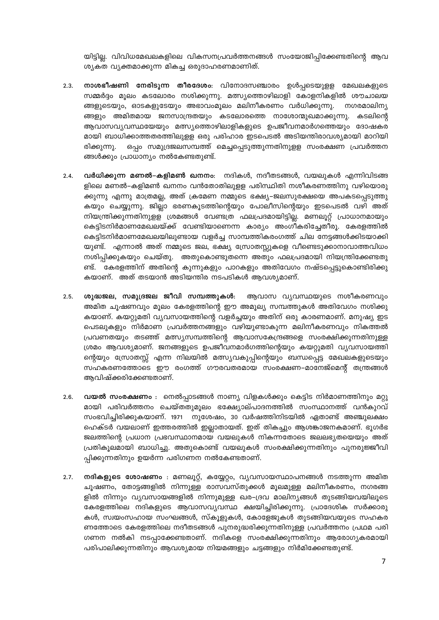യിട്ടില്ല. വിവിധമേഖലകളിലെ വികസനപ്രവർത്തനങ്ങൾ സംയോജിപ്പിക്കേണ്ടതിന്റെ ആവ ശ്യകത വ്യക്തമാക്കുന്ന മികച്ച ഒരുദാഹരണമാണിത്.

- $2.3.$ നാശഭീഷണി നേരിടുന്ന തീരദേശം: വിനോദസഞ്ചാരം ഉൾപ്പടെയുള്ള മേഖലകളുടെ സമ്മർദ്ദം മൂലം കടലോരം നശിക്കുന്നു. മത്സ്യത്തൊഴിലാളി കോളനികളിൽ ശൗചാലയ ങ്ങളുടെയും, ഓടകളുടേയും അഭാവംമൂലം മലിനീകരണം വർധിക്കുന്നു. നഗരമാലിന്യ ങ്ങളും അമിതമായ ജനസാന്ദ്രതയും കടലോരത്തെ നാശോന്മുഖമാക്കുന്നു. കടലിന്റെ ആവാസവ്യവസ്ഥയേയും മത്സ്യത്തൊഴിലാളികളുടെ ഉപജീവനമാർഗത്തെയും ദോഷകര മായി ബാധിക്കാത്തതരത്തിലുളള ഒരു പരിഹാര ഇടപെടൽ അടിയന്തിരാവശ്യമായി മാറിയി ഒപ്പം സമുദ്രജലസമ്പത്ത് മെച്ചപ്പെടുത്തുന്നതിനുളള സംരക്ഷണ പ്രവർത്തന രിക്കുന്നു. ങ്ങൾക്കും പ്രാധാന്യം നൽകേണ്ടതുണ്ട്.
- $2.4.$ **വർധിക്കുന്ന മണൽ–കളിമൺ ഖനനം**: നദികൾ, നദീതടങ്ങൾ, വയലുകൾ എന്നിവിടങ്ങ ളിലെ മണൽ–കളിമൺ ഖനനം വൻതോതിലുളള പരിസ്ഥിതി നശീകരണത്തിനു വഴിയൊരു ക്കുന്നു എന്നു മാത്രമല്ല, അത് ക്രമേണ നമ്മുടെ ഭക്ഷ്യ–ജലസുരക്ഷയെ അപകടപ്പെടുത്തു കയും ചെയ്യുന്നു. ജില്ലാ ഭരണകൂടത്തിന്റെയും പോലീസിന്റെയും ഇടപെടൽ വഴി അത് നിയന്ത്രിക്കുന്നതിനുളള ശ്രമങ്ങൾ വേണ്ടത്ര ഫലപ്രദമായിട്ടില്ല. മണലൂറ്റ് പ്രാധാനമായും കെട്ടിടനിർമാണമേഖലയ്ക്ക് വേണ്ടിയാണെന്ന കാര്യം അംഗീകരിച്ചേതീരൂ. കേരളത്തിൽ കെട്ടിടനിർമാണമേഖലയിലുണ്ടായ വളർച്ച സാമ്പത്തികരംഗത്ത് ചില നേട്ടങ്ങൾക്കിടയാക്കി യുണ്ട്. എന്നാൽ അത് നമ്മുടെ ജല, ഭക്ഷ്യ സ്രോതസ്സുകളെ വീണ്ടെടുക്കാനാവാത്തവിധം നശിപ്പിക്കുകയും ചെയ്തു. അതുകൊണ്ടുതന്നെ അതും ഫലപ്രദമായി നിയന്ത്രിക്കേണ്ടതു ണ്ട്. കേരളത്തിന് അതിന്റെ കുന്നുകളും പാറകളും അതിവേഗം നഷ്ടപ്പെട്ടുകൊണ്ടിരിക്കു കയാണ്. അത് തടയാൻ അടിയന്തിര നടപടികൾ ആവശ്യമാണ്.
- ശുദ്ധജല, സമുദ്രജല ജീവി സമ്പത്തുകൾ:  $2.5.$ ആവാസ വ്യവസ്ഥയുടെ നശീകരണവും അമിത ചൂഷണവും മൂലം കേരളത്തിന്റെ ഈ അമൂല്യ സമ്പത്തുകൾ അതിവേഗം നശിക്കു കയാണ്. കയറ്റുമതി വ്യവസായത്തിന്റെ വളർച്ചയും അതിന് ഒരു കാരണമാണ്. മനുഷ്യ ഇട പെടലുകളും നിർമാണ പ്രവർത്തനങ്ങളും വഴിയുണ്ടാകുന്ന മലിനീകരണവും നികത്തൽ പ്രവണതയും തടഞ്ഞ് മത്സ്യസമ്പത്തിന്റെ ആവാസകേന്ദ്രങ്ങളെ സംരക്ഷിക്കുന്നതിനുള്ള ശ്രമം ആവശ്യമാണ്. ജനങ്ങളുടെ ഉപജീവനമാർഗത്തിന്റെയും കയറ്റുമതി വ്യവസായത്തി ന്റെയും സ്രോതസ്സ് എന്ന നിലയിൽ മത്സ്യവകുപ്പിന്റെയും ബന്ധപ്പെട്ട മേഖലകളുടെയും സഹകരണത്തോടെ ഈ രംഗത്ത് ഗൗരവതരമായ സംരക്ഷണ–മാനേജ്മെന്റ് തന്ത്രങ്ങൾ ആവിഷ്ക്കരിക്കേണ്ടതാണ്.
- $2.6.$ **വയൽ സംരക്ഷണം** : നെൽപ്പാടങ്ങൾ നാണ്യ വിളകൾക്കും കെട്ടിട നിർമാണത്തിനും മറ്റു മായി പരിവർത്തനം ചെയ്തതുമൂലം ഭക്ഷ്യോല്പാദനത്തിൽ സംസ്ഥാനത്ത് വൻകുറവ് സംഭവിച്ചിരിക്കുകയാണ്. 1971 നുശേഷം, 30 വർഷത്തിനിടയിൽ ഏതാണ്ട് അഞ്ചുലക്ഷം ഹെക്ടർ വയലാണ് ഇത്തരത്തിൽ ഇല്ലാതായത്. ഇത് തികച്ചും ആശങ്കാജനകമാണ്. ഭൂഗർഭ ജലത്തിന്റെ പ്രധാന പ്രഭവസ്ഥാനമായ വയലുകൾ നികന്നതോടെ ജലലഭ്യതയെയും അത് പ്രതികുലമായി ബാധിച്ചു. അതുകൊണ്ട് വയലുകൾ സംരക്ഷിക്കുന്നതിനും പുനരുജ്ജീവി പ്പിക്കുന്നതിനും ഉയർന്ന പരിഗണന നൽകേണ്ടതാണ്.
- $2.7.$ . നദികളുടെ ശോഷണം : മണലൂറ്റ്, കയ്യേറ്റം, വ്യവസായസ്ഥാപനങ്ങൾ നടത്തുന്ന അമിത ചൂഷണം, തോട്ടങ്ങളിൽ നിന്നുള്ള രാസവസ്തുക്കൾ മൂലമുള്ള മലിനീകരണം, നഗരങ്ങ ളിൽ നിന്നും വ്യവസായങ്ങളിൽ നിന്നുമുള്ള ഖര–ദ്രവ മാലിനൃങ്ങൾ തുടങ്ങിയവയിലൂടെ കേരളത്തിലെ നദികളുടെ ആവാസവ്യവസ്ഥ ക്ഷയിച്ചിരിക്കുന്നു. പ്രാദേശിക സർക്കാരു കൾ, സ്വയംസഹായ സംഘങ്ങൾ, സ്കൂളുകൾ, കോളേജുകൾ തുടങ്ങിയവയുടെ സഹകര ണത്തോടെ കേരളത്തിലെ നദീതടങ്ങൾ പുനരുദ്ധരിക്കുന്നതിനുള്ള പ്രവർത്തനം പ്രഥമ പരി ഗണന നൽകി നടപ്പാക്കേണ്ടതാണ്. നദികളെ സംരക്ഷിക്കുന്നതിനും ആരോഗൃകരമായി പരിപാലിക്കുന്നതിനും ആവശ്യമായ നിയമങ്ങളും ചട്ടങ്ങളും നിർമിക്കേണ്ടതുണ്ട്.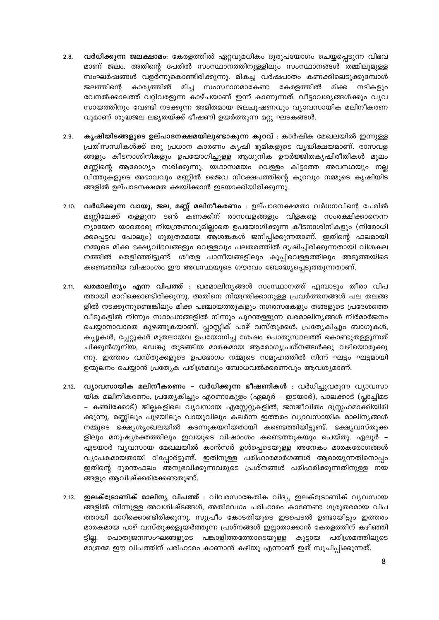- വർധിക്കുന്ന ജലക്ഷാമം: കേരളത്തിൽ ഏറ്റവുമധികം ദുരുപയോഗം ചെയ്യപ്പെടുന്ന വിഭവ  $2.8.$ മാണ് ജലം. അതിന്റെ പേരിൽ സംസ്ഥാനത്തിനുള്ളിലും സംസ്ഥാനങ്ങൾ തമ്മിലുമുള്ള സംഘർഷങ്ങൾ വളർന്നുകൊണ്ടിരിക്കുന്നു. മികച്ച വർഷപാതം കണക്കിലെടുക്കുമ്പോൾ കാര്യത്തിൽ മിച്ച സംസ്ഥാനമാകേണ്ട കേരളത്തിൽ മിക്ക നദികളും ജലത്തിന്റെ വേനൽക്കാലത്ത് വറ്റിവരളുന്ന കാഴ്ചയാണ് ഇന്ന് കാണുന്നത്. വീട്ടാവശ്യങ്ങൾക്കും വ്യവ സായത്തിനും വേണ്ടി നടക്കുന്ന അമിതമായ ജലചൂഷണവും വ്യാവസായിക മലിനീകരണ വുമാണ് ശുദ്ധജല ലഭ്യതയ്ക്ക് ഭീഷണി ഉയർത്തുന്ന മറ്റു ഘടകങ്ങൾ.
- കൃഷിയിടങ്ങളുടെ ഉല്പാദനക്ഷമയിലുണ്ടാകുന്ന കുറവ് : കാർഷിക മേഖലയിൽ ഇന്നുള്ള  $2.9.$ പ്രതിസന്ധികൾക്ക് ഒരു പ്രധാന കാരണം കൃഷി ഭൂമികളുടെ വൃദ്ധിക്ഷയമാണ്. രാസവള ങ്ങളും കീടനാശിനികളും ഉപയോഗിച്ചുള്ള ആധുനിക ഊർജ്ജിതകൃഷിരീതികൾ മൂലം മണ്ണിന്റെ ആരോഗ്യം നശിക്കുന്നു. യഥാസമയം വെള്ളം കിട്ടാത്ത അവസ്ഥയും നല്ല വിത്തുകളുടെ അഭാവവും മണ്ണിൽ ജൈവ നിക്ഷേപത്തിന്റെ കുറവും നമ്മുടെ കൃഷിയിട ങ്ങളിൽ ഉല്പാദനക്ഷമത ക്ഷയിക്കാൻ ഇടയാക്കിയിരിക്കുന്നു.
- 2.10. വർധിക്കുന്ന വായു, ജല, മണ്ണ് മലിനീകരണം : ഉല്പാദനക്ഷമതാ വർധനവിന്റെ പേരിൽ മണ്ണിലേക്ക് തള്ളുന്ന ടൺ കണക്കിന് രാസവളങ്ങളും വിളകളെ സംരക്ഷിക്കാനെന്ന ന്യായേന യാതൊരു നിയന്ത്രണവുമില്ലാതെ ഉപയോഗിക്കുന്ന കീടനാശിനികളും (നിരോധി ക്കപ്പെട്ടവ പോലും) ഗുരുതരമായ ആശങ്കകൾ ജനിപ്പിക്കുന്നതാണ്. ഇതിന്റെ ഫലമായി നമ്മുടെ മിക്ക ഭക്ഷ്യവിഭവങ്ങളും വെള്ളവും പലതരത്തിൽ ദുഷിച്ചിരിക്കുന്നതായി വിശകല നത്തിൽ തെളിഞ്ഞിട്ടുണ്ട്. ശീതള പാനീയങ്ങളിലും കുപ്പിവെള്ളത്തിലും അടുത്തയിടെ കണ്ടെത്തിയ വിഷാംശം ഈ അവസ്ഥയുടെ ഗൗരവം ബോദ്ധ്യപ്പെടുത്തുന്നതാണ്.
- 2.11. **ഖരമാലിന്യം എന്ന വിപത്ത്** : ഖരമാലിന്യങ്ങൾ സംസ്ഥാനത്ത് എമ്പാടും തീരാ വിപ ത്തായി മാറിക്കൊണ്ടിരിക്കുന്നു. അതിനെ നിയന്ത്രിക്കാനുള്ള പ്രവർത്തനങ്ങൾ പല തലങ്ങ ളിൽ നടക്കുന്നുണ്ടെങ്കിലും മിക്ക പഞ്ചായത്തുകളും നഗരസഭകളും തങ്ങളുടെ പ്രദേശത്തെ വീടുകളിൽ നിന്നും സ്ഥാപനങ്ങളിൽ നിന്നും പുറന്തള്ളുന്ന ഖരമാലിന്യങ്ങൾ നിർമാർജനം ചെയ്യാനാവാതെ കുഴങ്ങുകയാണ്. പ്ലാസ്റ്റിക് പാഴ് വസ്തുക്കൾ, പ്രത്യേകിച്ചും ബാഗുകൾ, കപ്പുകൾ, പ്ലേറ്റുകൾ മുതലായവ ഉപയോഗിച്ച ശേഷം പൊതുസ്ഥലത്ത് കൊണ്ടുതള്ളുന്നത് ചിക്കുൻഗുനിയ, ഡെങ്കു തുടങ്ങിയ മാരകമായ ആരോഗ്യപ്രശ്നങ്ങൾക്കു വഴിയൊരുക്കു ന്നു. ഇത്തരം വസ്തുക്കളുടെ ഉപഭോഗം നമ്മുടെ സമൂഹത്തിൽ നിന്ന് ഘട്ടം ഘട്ടമായി ഉന്മൂലനം ചെയ്യാൻ പ്രത്യേക പരിശ്രമവും ബോധവൽക്കരണവും ആവശ്യമാണ്.
- 2.12. വ്യാവസായിക മലിനീകരണം വർധിക്കുന്ന ഭീഷണികൾ : വർധിച്ചുവരുന്ന വ്യാവസാ യിക മലിനീകരണം, പ്രത്യേകിച്ചും എറണാകുളം (ഏലൂർ – ഇടയാർ), പാലക്കാട് (പ്ലാച്ചിമട – കഞ്ചിക്കോട്) ജില്ലകളിലെ വ്യവസായ എസ്റ്റേറ്റുകളിൽ, ജനജീവിതം ദുസ്സഹമാക്കിയിരി ക്കുന്നു. മണ്ണിലും പുഴയിലും വായുവിലും കലർന്ന ഇത്തരം വ്യാവസായിക മാലിന്യങ്ങൾ നമ്മുടെ ഭക്ഷ്യശൃംഖലയിൽ കടന്നുകയറിയതായി കണ്ടെത്തിയിട്ടുണ്ട്. ഭക്ഷ്യവസ്തുക്ക ളിലും മനുഷ്യരക്തത്തിലും ഇവയുടെ വിഷാംശം കണ്ടെത്തുകയും ചെയ്തു. ഏലൂർ – എടയാർ വ്യവസായ മേഖലയിൽ കാൻസർ ഉൾപ്പെടെയുള്ള അനേകം മാരകരോഗങ്ങൾ വ്യാപകമായതായി റിപ്പോർട്ടുണ്ട്. ഇതിനുള്ള പരിഹാരമാർഗങ്ങൾ ആരായുന്നതിനൊപ്പം ഇതിന്റെ ദുരന്തഫലം അനുഭവിക്കുന്നവരുടെ പ്രശ്നങ്ങൾ പരിഹരിക്കുന്നതിനുള്ള നയ ങ്ങളും ആവിഷ്ക്കരിക്കേണ്ടതുണ്ട്.
- 2.13. **ഇലക്ട്രോണിക് മാലിന്യ വിപത്ത്** : വിവരസാങ്കേതിക വിദ്യ, ഇലക്ട്രോണിക് വ്യവസായ ങ്ങളിൽ നിന്നുള്ള അവശിഷ്ടങ്ങൾ, അതിവേഗം പരിഹാരം കാണേണ്ട ഗുരുതരമായ വിപ ത്തായി മാറിക്കൊണ്ടിരിക്കുന്നു. സുപ്രീം കോടതിയുടെ ഇടപെടൽ ഉണ്ടായിട്ടും ഇത്തരം മാരകമായ പാഴ് വസ്തുക്കളുയർത്തുന്ന പ്രശ്നങ്ങൾ ഇല്ലാതാക്കാൻ കേരളത്തിന് കഴിഞ്ഞി ടില്ല. പൊതുജനസംഘങ്ങളുടെ പങ്കാളിത്തത്തോടെയുള്ള കൂട്ടായ പരിശ്രമത്തിലൂടെ മാത്രമേ ഈ വിപത്തിന് പരിഹാരം കാണാൻ കഴിയൂ എന്നാണ് ഇത് സൂചിപ്പിക്കുന്നത്.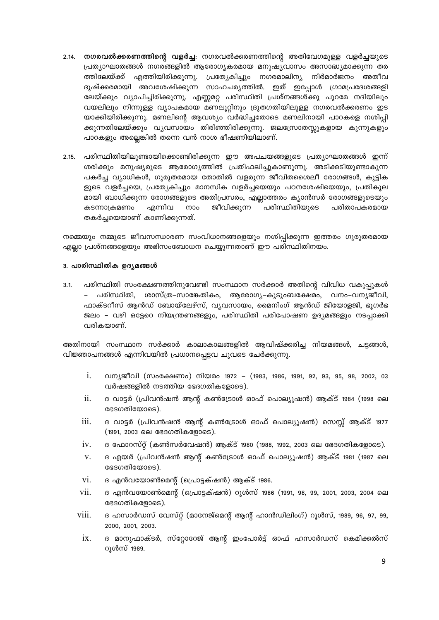- 2.14. നഗരവൽക്കരണത്തിന്റെ വളർച്ച: നഗരവൽക്കരണത്തിന്റെ അതിവേഗമുള്ള വളർച്ചയുടെ പ്രത്യാഘാതങ്ങൾ നഗരങ്ങളിൽ ആരോഗ്യകരമായ മനുഷ്യവാസം അസാദ്ധ്യമാക്കുന്ന തര ത്തിലേയ്ക്ക് എത്തിയിരിക്കുന്നു. പ്രത്യേകിച്ചും നഗരമാലിന്യ നിർമാർജനം അതീവ ദുഷ്ക്കരമായി അവശേഷിക്കുന്ന സാഹചര്യത്തിൽ. ഇത് ഇപ്പോൾ ഗ്രാമപ്രദേശങ്ങളി ലേയ്ക്കും വ്യാപിച്ചിരിക്കുന്നു. എണ്ണമറ്റ പരിസ്ഥിതി പ്രശ്നങ്ങൾക്കു പുറമേ നദിയിലും വയലിലും നിന്നുള്ള വ്യാപകമായ മണലൂറ്റിനും ദ്രുതഗതിയിലുള്ള നഗരവൽക്കരണം ഇട യാക്കിയിരിക്കുന്നു. മണലിന്റെ ആവശ്യം വർദ്ധിച്ചതോടെ മണലിനായി പാറകളെ നശിപ്പി ക്കുന്നതിലേയ്ക്കും വ്യവസായം തിരിഞ്ഞിരിക്കുന്നു. ജലസ്രോതസ്സുകളായ കുന്നുകളും പാറകളും അല്ലെങ്കിൽ തന്നെ വൻ നാശ ഭീഷണിയിലാണ്.
- 2.15. പരിസ്ഥിതിയിലുണ്ടായിക്കൊണ്ടിരിക്കുന്ന ഈ അപചയങ്ങളുടെ പ്രത്യാഘാതങ്ങൾ ഇന്ന് ശരിക്കും മനുഷ്യരുടെ ആരോഗ്യത്തിൽ പ്രതിഫലിച്ചുകാണുന്നു. അടിക്കടിയുണ്ടാകുന്ന പകർച്ച വ്യാധികൾ, ഗുരുതരമായ തോതിൽ വളരുന്ന ജീവിതശൈലീ രോഗങ്ങൾ, കുട്ടിക ളുടെ വളർച്ചയെ, പ്രത്യേകിച്ചും മാനസിക വളർച്ചയെയും പഠനശേഷിയെയും, പ്രതികൂല മായി ബാധിക്കുന്ന രോഗങ്ങളുടെ അതിപ്രസരം, എല്ലാത്തരം ക്യാൻസർ രോഗങ്ങളുടെയും കടന്നാക്രമണം എന്നിവ നാം ജീവിക്കുന്ന പരിസ്ഥിതിയുടെ പരിതാപകരമായ തകർച്ചയെയാണ് കാണിക്കുന്നത്.

നമ്മെയും നമ്മുടെ ജീവസന്ധാരണ സംവിധാനങ്ങളെയും നശിപ്പിക്കുന്ന ഇത്തരം ഗുരുതരമായ എല്ലാ പ്രശ്നങ്ങളെയും അഭിസംബോധന ചെയ്യുന്നതാണ് ഈ പരിസ്ഥിതിനയം.

## 3. പാരിസ്ഥിതിക ഉദൃമങ്ങൾ

പരിസ്ഥിതി സംരക്ഷണത്തിനുവേണ്ടി സംസ്ഥാന സർക്കാർ അതിന്റെ വിവിധ വകുപ്പുകൾ  $3.1.$ – പരിസ്ഥിതി, ശാസ്ത്ര–സാങ്കേതികം, ആരോഗ്യ–കുടുംബക്ഷേമം, വനം–വന്യജീവി, ഫാക്ടറീസ് ആൻഡ് ബോയ്ലേഴ്സ്, വ്യവസായം, മൈനിംഗ് ആൻഡ് ജിയോളജി, ഭൂഗർഭ ജലം – വഴി ഒട്ടേറെ നിയന്ത്രണങ്ങളും, പരിസ്ഥിതി പരിപോഷണ ഉദ്യമങ്ങളും നടപ്പാക്കി വരികയാണ്.

അതിനായി സംസ്ഥാന സർക്കാർ കാലാകാലങ്ങളിൽ ആവിഷ്ക്കരിച്ച നിയമങ്ങൾ, ചട്ടങ്ങൾ, വിജ്ഞാപനങ്ങൾ എന്നിവയിൽ പ്രധാനപ്പെട്ടവ ചുവടെ ചേർക്കുന്നു.

- വന്യജീവി (സംരക്ഷണം) നിയമം 1972 (1983, 1986, 1991, 92, 93, 95, 98, 2002, 03 i. വർഷങ്ങളിൽ നടത്തിയ ഭേദഗതികളോടെ).
- $ii$ . ദ വാട്ടർ (പ്രിവൻഷൻ ആന്റ് കൺട്രോൾ ഓഫ് പൊല്യുഷൻ) ആക്ട് 1984 (1998 ലെ ഭേദഗതിയോടെ).
- iii. ദ വാട്ടർ (പ്രിവൻഷൻ ആന്റ് കൺട്രോൾ ഓഫ് പൊല്യൂഷൻ) സെസ്സ് ആക്ട് 1977 (1991, 2003 ലെ ഭേദഗതികളോടെ).
- $iv_{-}$ ദ ഫോറസ്റ്റ് (കൺസർവേഷൻ) ആക്ട് 1980 (1988, 1992, 2003 ലെ ഭേദഗതികളോടെ).
- ദ എയർ (പ്രിവൻഷൻ ആന്റ് കൺട്രോൾ ഓഫ് പൊല്യൂഷൻ) ആക്ട് 1981 (1987 ലെ  $V_{r}$ ഭേദഗതിയോടെ).
- vi. ദ എൻവയോൺമെന്റ് (പ്രൊട്ടക്ഷൻ) ആക്ട് 1986.
- vii. ദ എൻവയോൺമെന്റ് (പ്രൊട്ടക്ഷൻ) റൂൾസ് 1986 (1991, 98, 99, 2001, 2003, 2004 ലെ ഭേദഗതികളോടെ).
- viii. ദ ഹസാർഡസ് വേസ്റ്റ് (മാനേജ്മെന്റ് ആന്റ് ഹാൻഡിലിംഗ്) റൂൾസ്, 1989, 96, 97, 99, 2000, 2001, 2003.
	- $ix -$ ദ മാനുഫാക്ടർ, സ്റ്റോറേജ് ആന്റ് ഇംപോർട്ട് ഓഫ് ഹസാർഡസ് കെമിക്കൽസ് റുൾസ് 1989.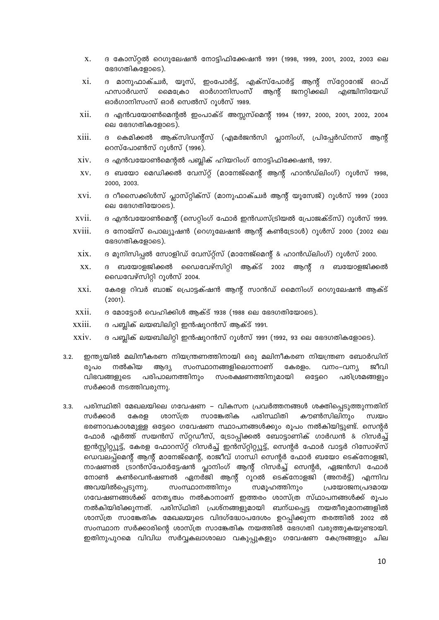- $X.$  ദ കോസ്റ്റൽ റെഗുലേഷൻ നോട്ടിഫിക്കേഷൻ 1991 (1998, 1999, 2001, 2002, 2003 ലെ ഭേദഗതികളോടെ).
- $xi$ . ദ മാനുഫാക്ച്രർ, യൂസ്, ഇംപോർട്ട്, എക്സ്പോർട്ട് ആന്റ് സ്റ്റോറേജ് ഓഫ് ഹസാർഡസ് മൈക്രോ ഓർഗാനിസംസ് ആന്റ് ജനറ്റിക്കലി എഞ്ചിനിയേഡ്  $B$ ദാർഗാനിസംസ് ഓർ സെൽസ് റൂൾസ് 1989.
- $xii.$  ദ എൻവയോൺമെന്റൽ ഇംപാക്ട് അസ്സസ്മെന്റ് 1994 (1997, 2000, 2001, 2002, 2004 ലെ ഭേദഗതികളോടെ).
- $xiii.$  ദ കെമിക്കൽ ആക്സിഡന്റ്സ് (എമർജൻസി പ്ലാനിംഗ്, പ്രിപ്പേർഡ്നസ് ആന്റ് രെസ്പോൺസ് റൂൾസ് (1996).
- $XIV.$  ദ എൻവയോൺമെന്റൽ പബ്ലിക് ഹിയറിംഗ് നോട്ടിഫിക്കേഷൻ, 1997.
- $XV.$  ദ ബയോ മെഡിക്കൽ വേസ്റ്റ് (മാനേജ്മെന്റ് ആന്റ് ഹാൻഡ്ലിംഗ്) റൂൾസ് 1998, 2000, 2003.
- xvi. ദ റീസൈക്കിൾസ് പ്ലാസ്റ്റിക്സ് (മാനുഫാക്ച്വർ ആന്റ് യൂസേജ്) റൂൾസ് 1999 (2003 ലെ ഭേദഗതിയോടെ).
- $xvii$ . ദ എൻവയോൺമെന്റ് (സെറ്റിംഗ് ഫോർ ഇൻഡസ്ട്രിയൽ പ്രോജക്ട്സ്) റൂൾസ് 1999.
- $xviii.$   $\;$  ദ നോയ്സ് പൊല്യുഷൻ (റെഗുലേഷൻ ആന്റ് കൺട്രോൾ) റുൾസ് 2000 (2002 ലെ ഭേദഗതികളോടെ).
	- $x$ i $x$ . ദ മുനിസിപ്പൽ സോളിഡ് വേസ്റ്റ്സ് (മാനേജ്മെന്റ് & ഹാൻഡ്ലിംഗ്) റൂൾസ് 2000.
	- $XX.$  ദ ബയോളജിക്കൽ ഡൈവേഴ്സിറ്റി ആക്ട് 2002 ആന്റ് ദ ബയോളജിക്കൽ ഡൈവേഴ്സിറ്റി റൂൾസ് 2004.
	- $xxi$ . കേരള റിവർ ബാങ്ക് പ്രൊട്ടക്ഷൻ ആന്റ് സാൻഡ് മൈനിംഗ് റെഗുലേഷൻ ആക്ട് (2001).
- $\overline{x}$ xii.  $\overline{a}$  മോട്ടോർ വെഹിക്കിൾ ആക്ട് 1938 (1988 ലെ ഭേദഗതിയോടെ).
- $xxiii.$  ദ പബ്ലിക് ലയബിലിറ്റി ഇൻഷുറൻസ് ആക്ട് 1991.
- $xxiv.$  ദ പബ്ലിക് ലയബിലിറ്റി ഇൻഷുറൻസ് റൂൾസ് 1991 (1992, 93 ലെ ഭേദഗതികളോടെ).
- $3.2.$  ഇന്ത്യയിൽ മലിനീകരണ നിയന്ത്രണത്തിനായി ഒരു മലിനീകരണ നിയന്ത്രണ ബോർഡിന് രൂപം നൽകിയ ആദ്യ സംസ്ഥാനങ്ങളിലൊന്നാണ് കേരളം. വനം–വന്യ ജീവി വിഭവങ്ങളുടെ പരിപാലനത്തിനും സംരക്ഷണത്തിനുമായി ഒട്ടേറെ പരിശ്രമങ്ങളും സർക്കാർ നടത്തിവരുന്നു.
- $3.3.$  പരിസ്ഥിതി മേഖലയിലെ ഗവേഷണ വികസന പ്രവർത്തനങ്ങൾ ശക്തിപ്പെടുത്തുന്നതിന് സർക്കാർ കേരള ശാസ്ത്ര സാങ്കേതിക പരിസ്ഥിതി കൗൺസിലിനും സ്വയം ഭരണാവകാശമുള്ള ഒട്ടേറെ ഗവേഷണ സ്ഥാപനങ്ങൾക്കും രൂപം നൽകിയിട്ടുണ്ട്. സെന്റർ ഫോർ എർത്ത് സയൻസ് സ്റ്റഡീസ്, ട്രോപ്പിക്കൽ ബോട്ടാണിക് ഗാർഡൻ & റിസർച്ച് ഇൻസ്റ്റിറ്റ്യൂട്ട്, കേരള ഫോറസ്റ്റ് റിസർച്ച് ഇൻസ്റ്റിറ്റ്യൂട്ട്, സെന്റർ ഫോർ വാട്ടർ റിസോഴ്സ് ഡെവലപ്പ്മെന്റ് ആന്റ് മാനേജ്മെന്റ്, രാജീവ് ഗാന്ധി സെന്റർ ഫോർ ബയോ ടെക്നോളജി, നാഷണൽ ട്രാൻസ്പോർട്ടേഷൻ പ്ലാനിംഗ് ആന്റ് റിസർച്ച് സെന്റർ, ഏജൻസി ഫോർ നോൺ കൺവെൻഷണൽ ഏനർജി ആന്റ് റൂറൽ ടെക്നോളജി (അനർട്ട്) എന്നിവ അവയിൽപ്പെടുന്നു. സംസ്ഥാനത്തിനും സമൂഹത്തിനും പ്രയോജനപ്രദമായ ഗവേഷണങ്ങൾക്ക് നേതൃത്വം നൽകാനാണ് ഇത്തരം ശാസ്ത്ര സ്ഥാപനങ്ങൾക്ക് രൂപം  $\alpha$ ൽകിയിരിക്കുന്നത്. പരിസ്ഥിതി പ്രശ്നങ്ങളുമായി ബന്ധപ്പെട്ട നയതീരുമാനങ്ങളിൽ ശാസ്ത്ര സാങ്കേതിക മേഖലയുടെ വിദഗ്ദ്ധോപദേശം ഉറപ്പിക്കുന്ന തരത്തിൽ 2002 ൽ സംസ്ഥാന സർക്കാരിന്റെ ശാസ്ത്ര സാങ്കേതിക നയത്തിൽ ഭേദഗതി വരുത്തുകയുണ്ടായി. ഇതിനുപുറമെ വിവിധ സർവ്വകലാശാലാ വകുപ്പുകളും ഗവേഷണ കേന്ദ്രങ്ങളും ചില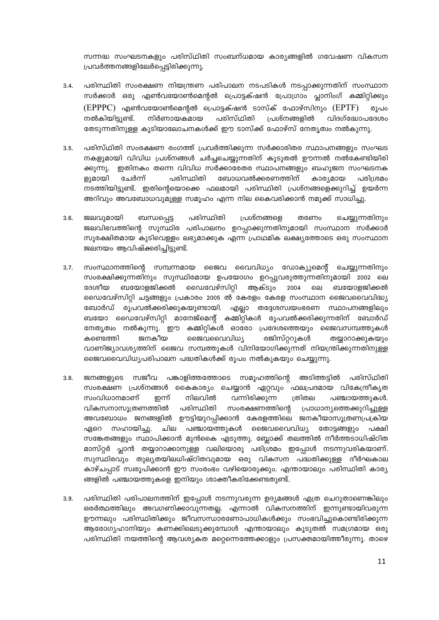സന്നദ്ധ സംഘടനകളും പരിസ്ഥിതി സംബന്ധമായ കാര്യങ്ങളിൽ ഗവേഷണ വികസന പ്രവർത്തനങ്ങളിലേർപ്പെട്ടിരിക്കുന്നു.

- പരിസ്ഥിതി സംരക്ഷണ നിയന്ത്രണ പരിപാലന നടപടികൾ നടപ്പാക്കുന്നതിന് സംസ്ഥാന  $3.4.$ സർക്കാർ ഒരു എൺവയോൺമെന്റൽ പ്രൊട്ടക്ഷൻ പ്രോഗ്രാം പ്ലാനിംഗ് കമ്മിറ്റിക്കും (EPPPC) എൺവയോൺമെന്റൽ പ്രൊട്ടക്ഷൻ ടാസ്ക് ഫോഴ്സിനും (EPTF) രൂപറ നൽകിയിട്ടുണ്ട്. നിർണായകമായ പരിസ്ഥിതി പ്രശ്നങ്ങളിൽ വിദഗ്ദ്ധോപദേശം തേടുന്നതിനുള്ള കൂടിയാലോചനകൾക്ക് ഈ ടാസ്ക്ക് ഫോഴ്സ് നേതൃത്വം നൽകുന്നു.
- പരിസ്ഥിതി സംരക്ഷണ രംഗത്ത് പ്രവർത്തിക്കുന്ന സർക്കാരിതര സ്ഥാപനങ്ങളും സംഘട  $3.5.$ നകളുമായി വിവിധ പ്രശ്നങ്ങൾ ചർച്ചചെയ്യുന്നതിന് കൂടുതൽ ഊന്നൽ നൽകേണ്ടിയിരി ക്കുന്നു. ഇതിനകം തന്നെ വിവിധ സർക്കാരേതര സ്ഥാപനങ്ങളും ബഹുജന സംഘടനക ചേർന്ന് പരിസ്ഥിതി ബോധവൽക്കരണത്തിന് ളുമായി കാര്യമായ പരിശ്രമം നടത്തിയിട്ടുണ്ട്. ഇതിന്റെയൊക്കെ ഫലമായി പരിസ്ഥിതി പ്രശ്നങ്ങളെക്കുറിച്ച് ഉയർന്ന അറിവും അവബോധവുമുള്ള സമൂഹം എന്ന നില കൈവരിക്കാൻ നമുക്ക് സാധിച്ചു.
- ബന്ധപ്പെട്ട തരണം ജലവുമായി പരിസ്ഥിതി പ്രശ്നങ്ങളെ ചെയ്യുന്നതിനും  $3.6.$ ജലവിഭവത്തിന്റെ സുസ്ഥിര പരിപാലനം ഉറപ്പാക്കുന്നതിനുമായി സംസ്ഥാന സർക്കാർ സുരക്ഷിതമായ കുടിവെള്ളം ലഭ്യമാക്കുക എന്ന പ്രാഥമിക ലക്ഷ്യത്തോടെ ഒരു സംസ്ഥാന ജലനയം ആവിഷ്ക്കരിച്ചിട്ടുണ്ട്.
- $3.7.$ സംസ്ഥാനത്തിന്റെ സമ്പന്നമായ ജൈവ വൈവിധ്യം ഡോക്യുമെന്റ് ചെയ്യുന്നതിനും സംരക്ഷിക്കുന്നതിനും സുസ്ഥിരമായ ഉപയോഗം ഉറപ്പുവരുത്തുന്നതിനുമായി 2002 ലെ ബയോളജിക്കൽ ഡൈവേഴ്സിറ്റി ആക്ടും 2004 ലെ ദേശീയ ബയോളജിക്കൽ ഡൈവേഴ്സിറ്റി ചട്ടങ്ങളും പ്രകാരം 2005 ൽ കേരളം കേരള സംസ്ഥാന ജൈവവൈവിദ്ധ്യ ബോർഡ് രൂപവൽക്കരിക്കുകയുണ്ടായി. എല്ലാ തദ്ദേശസ്വയംഭരണ സ്ഥാപനങ്ങളിലും ബയോ ഡൈവേഴ്സിറ്റി മാനേജ്മെന്റ് കമ്മിറ്റികൾ രൂപവൽക്കരിക്കുന്നതിന് ബോർഡ് നേതൃത്വം നൽകുന്നു. ഈ കമ്മിറ്റികൾ ഓരോ പ്രദേശത്തെയും ജൈവസമ്പത്തുകൾ രജിസ്റ്ററുകൾ കണ്ടെത്തി ജനകീയ ജൈവവൈവിധ്യ തയ്യാറാക്കുകയും വാണിജ്യാവശ്യത്തിന് ജൈവ സമ്പത്തുകൾ വിനിയോഗിക്കുന്നത് നിയന്ത്രിക്കുന്നതിനുള്ള ജൈവവൈവിധ്യപരിപാലന പദ്ധതികൾക്ക് രുപം നൽകുകയും ചെയ്യുന്നു.
- $3.8.$ ജനങ്ങളുടെ സജീവ പങ്കാളിത്തത്തോടെ സമൂഹത്തിന്റെ അടിത്തട്ടിൽ പരിസ്ഥിതി സംരക്ഷണ പ്രശ്നങ്ങൾ കൈകാര്യം ചെയ്യാൻ ഏറ്റവും ഫലപ്രദമായ വികേന്ദ്രീകൃത സംവിധാനമാണ് നിലവിൽ വന്നിരിക്കുന്ന ത്രിതല ഇന്ന് പഞ്ചായത്തുകൾ. വികസനാസൂത്രണത്തിൽ പരിസ്ഥിതി സംരക്ഷണത്തിന്റെ പ്രാധാന്യത്തെക്കുറിച്ചുള്ള അവബോധം ജനങ്ങളിൽ ഊട്ടിയുറപ്പിക്കാൻ കേരളത്തിലെ ജനകീയാസൂത്രണപ്രക്രിയ സഹായിച്ചു. ചില പഞ്ചായത്തുകൾ ജൈവവൈവിധ്യ ഏറെ തോട്ടങ്ങളും പക്ഷി സങ്കേതങ്ങളും സ്ഥാപിക്കാൻ മുൻകൈ എടുത്തു. ബ്ലോക്ക് തലത്തിൽ നീർത്തടാധിഷ്ഠിത മാസ്റ്റർ പ്ലാൻ തയ്യാറാക്കാനുള്ള വലിയൊരു പരിശ്രമം ഇപ്പോൾ നടന്നുവരികയാണ്. സുസ്ഥിരവും തുല്യതയിലധിഷ്ഠിതവുമായ ഒരു വികസന പദ്ധതിക്കുള്ള ദീർഘകാല കാഴ്ചപ്പാട് സ്വരൂപിക്കാൻ ഈ സംരംഭം വഴിയൊരുക്കും. എന്തായാലും പരിസ്ഥിതി കാര്യ ങ്ങളിൽ പഞ്ചായത്തുകളെ ഇനിയും ശാക്തീകരിക്കേണ്ടതുണ്ട്.
- പരിസ്ഥിതി പരിപാലനത്തിന് ഇപ്പോൾ നടന്നുവരുന്ന ഉദ്യമങ്ങൾ എത്ര ചെറുതാണെങ്കിലും  $3.9.$ ഒരർത്ഥത്തിലും അവഗണിക്കാവുന്നതല്ല. എന്നാൽ വികസനത്തിന് ഇന്നുണ്ടായിവരുന്ന ഊന്നലും പരിസ്ഥിതിക്കും ജീവസന്ധാരണോപാധികൾക്കും സംഭവിച്ചുകൊണ്ടിരിക്കുന്ന ആരോഗ്യഹാനിയും കണക്കിലെടുക്കുമ്പോൾ എന്തായാലും കുടുതൽ സമഗ്രമായ ഒരു പരിസ്ഥിതി നയത്തിന്റെ ആവശ്യകത മറ്റെന്നെത്തേക്കാളും പ്രസക്തമായിത്തീരുന്നു. താഴെ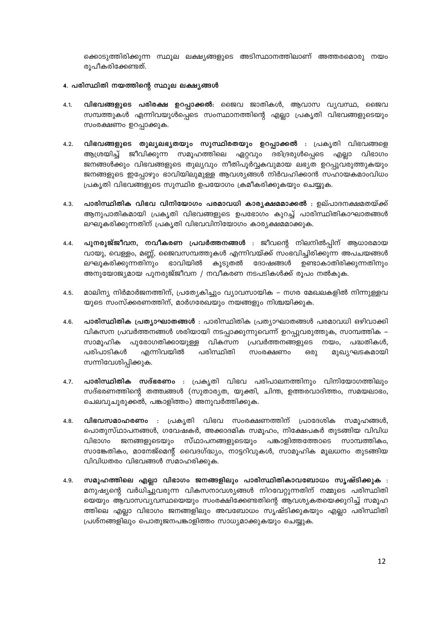ക്കൊടുത്തിരിക്കുന്ന സ്ഥൂല ലക്ഷ്യങ്ങളുടെ അടിസ്ഥാനത്തിലാണ് അത്തരമൊരു നയം രുപീകരിക്കേണ്ടത്.

## 4. പരിസ്ഥിതി നയത്തിന്റെ സ്ഥൂല ലക്ഷ്യങ്ങൾ

- വിഭവങ്ങളുടെ പരിരക്ഷ ഉറപ്പാക്കൽ: ജൈവ ജാതികൾ, ആവാസ വ്യവസ്ഥ, ജൈവ  $4.1.$ സമ്പത്തുകൾ എന്നിവയുൾപ്പെടെ സംസ്ഥാനത്തിന്റെ എല്ലാ പ്രകൃതി വിഭവങ്ങളുടെയും സംരക്ഷണം ഉറപ്പാക്കുക.
- വിഭവങ്ങളുടെ തുല്യലഭ്യതയും സുസ്ഥിരതയും ഉറപ്പാക്കൽ : പ്രകൃതി വിഭവങ്ങളെ  $4.2.$ ആശ്രയിച്ച് ജീവിക്കുന്ന സമൂഹത്തിലെ ഏറ്റവും ദരിദ്രരുൾപ്പെടെ എല്ലാ വിഭാഗം ജനങ്ങൾക്കും വിഭവങ്ങളുടെ തുല്യവും നീതിപൂർവ്വകവുമായ ലഭ്യത ഉറപ്പുവരുത്തുകയും ജനങ്ങളുടെ ഇപ്പോഴും ഭാവിയിലുമുള്ള ആവശ്യങ്ങൾ നിർവഹിക്കാൻ സഹായകമാംവിധം പ്രകൃതി വിഭവങ്ങളുടെ സുസ്ഥിര ഉപയോഗം ക്രമീകരിക്കുകയും ചെയ്യുക.
- 4.3. പാരിസ്ഥിതിക വിഭവ വിനിയോഗം പരമാവധി കാര്യക്ഷമമാക്കൽ : ഉല്പാദനക്ഷമതയ്ക്ക് ആനുപാതികമായി പ്രകൃതി വിഭവങ്ങളുടെ ഉപഭോഗം കുറച്ച് പാരിസ്ഥിതികാഘാതങ്ങൾ ലഘുകരിക്കുന്നതിന് പ്രകൃതി വിഭവവിനിയോഗം കാര്യക്ഷമമാക്കുക.
- പുനരുജ്ജീവന, നവീകരണ പ്രവർത്തനങ്ങൾ : ജീവന്റെ നിലനിൽപ്പിന് ആധാരമായ  $4.4.$ വായു, വെള്ളം, മണ്ണ്, ജൈവസമ്പത്തുകൾ എന്നിവയ്ക്ക് സംഭവിച്ചിരിക്കുന്ന അപചയങ്ങൾ ലഘുകരിക്കുന്നതിനും ഭാവിയിൽ കുടുതൽ ദോഷങ്ങൾ ഉണ്ടാകാതിരിക്കുന്നതിനും അനുയോജ്യമായ പുനരുജ്ജീവന / നവീകരണ നടപടികൾക്ക് രൂപം നൽകുക.
- മാലിന്യ നിർമാർജനത്തിന്, പ്രത്യേകിച്ചും വ്യാവസായിക നഗര മേഖലകളിൽ നിന്നുള്ളവ  $4.5.$ യുടെ സംസ്ക്കരണത്തിന്, മാർഗരേഖയും നയങ്ങളും നിശ്ചയിക്കുക.
- **പാരിസ്ഥിതിക പ്രത്യാഘാതങ്ങൾ** : പാരിസ്ഥിതിക പ്രത്യാഘാതങ്ങൾ പരമാവധി ഒഴിവാക്കി 4.6. വികസന പ്രവർത്തനങ്ങൾ ശരിയായി നടപ്പാക്കുന്നുവെന്ന് ഉറപ്പുവരുത്തുക, സാമ്പത്തിക – സാമൂഹിക പുരോഗതിക്കായുള്ള വികസന പ്രവർത്തനങ്ങളുടെ നയം, പദ്ധതികൾ, എന്നിവയിൽ പരിപാടികൾ പരിസ്ഥിതി സംരക്ഷണം മുഖ്യഘടകമായി ഒരു സന്നിവേശിപ്പിക്കുക.
- **പാരിസ്ഥിതിക സദ്ഭരണം** : പ്രകൃതി വിഭവ പരിപാലനത്തിനും വിനിയോഗത്തിലും  $4.7.$ സദ്ഭരണത്തിന്റെ തത്ത്വങ്ങൾ (സുതാര്യത, യുക്തി, ചിന്ത, ഉത്തരവാദിത്തം, സമയലാഭം, ചെലവുചുരുക്കൽ, പങ്കാളിത്തം) അനുവർത്തിക്കുക.
- വിഭവസമാഹരണം : പ്രകൃതി വിഭവ സംരക്ഷണത്തിന് പ്രാദേശിക സമൂഹങ്ങൾ,  $4.8.$ പൊതുസ്ഥാപനങ്ങൾ, ഗവേഷകർ, അക്കാദമിക സമൂഹം, നിക്ഷേപകർ തുടങ്ങിയ വിവിധ വിഭാഗം ജനങ്ങളുടെയും സ്ഥാപനങ്ങളുടെയും പങ്കാളിത്തത്തോടെ സാമ്പത്തികം, സാങ്കേതികം, മാനേജ്മെന്റ് വൈദഗ്ദ്ധ്യം, നാട്ടറിവുകൾ, സാമൂഹിക മൂലധനം തുടങ്ങിയ വിവിധതരം വിഭവങ്ങൾ സമാഹരിക്കുക.
- സമൂഹത്തിലെ എല്ലാ വിഭാഗം ജനങ്ങളിലും പാരിസ്ഥിതികാവബോധം സൃഷ്ടിക്കുക :  $4.9.$ മനുഷ്യന്റെ വർധിച്ചുവരുന്ന വികസനാവശ്യങ്ങൾ നിറവേറ്റുന്നതിന് നമ്മുടെ പരിസ്ഥിതി യെയും ആവാസവ്യവസ്ഥയെയും സംരക്ഷിക്കേണ്ടതിന്റെ ആവശ്യകതയെക്കുറിച്ച് സമൂഹ ത്തിലെ എല്ലാ വിഭാഗം ജനങ്ങളിലും അവബോധം സൃഷ്ടിക്കുകയും എല്ലാ പരിസ്ഥിതി പ്രശ്നങ്ങളിലും പൊതുജനപങ്കാളിത്തം സാധ്യമാക്കുകയും ചെയ്യുക.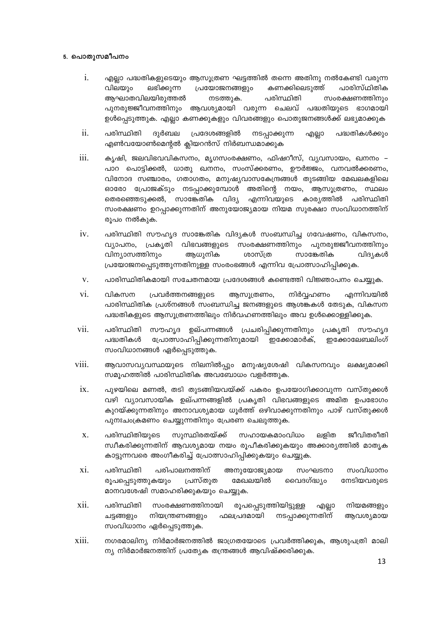## 5. പൊതുസമീപനം

- $\mathbf{i}$ . എലാ പദ്ധതികളുടെയും ആസുത്രണ ഘട്ടത്തിൽ തന്നെ അതിനു നൽകേണ്ടി വരുന്ന വിലയും ലഭിക്കുന്ന പ്രയോജനങ്ങളും കണക്കിലെടുത്ത് പാരിസ്ഥിതിക ആഘാതവിലയിരുത്തൽ പരിസ്ഥിതി നടത്തുക. സംരക്ഷണത്തിനും പുനരുജ്ജീവനത്തിനും ആവശ്യമായി വരുന്ന ചെലവ് പദ്ധതിയുടെ ഭാഗമായി ഉൾപ്പെടുത്തുക. എല്ലാ കണക്കുകളും വിവരങ്ങളും പൊതുജനങ്ങൾക്ക് ലഭ്യമാക്കുക
- $ii.$ പരിസ്ഥിതി ദുർബല പ്രദേശങ്ങളിൽ നടപ്പാക്കുന്ന പദ്ധതികൾക്കും എല്ലാ എൺവയോൺമെന്റൽ ക്ലിയറൻസ് നിർബന്ധമാക്കുക
- iii. കൃഷി, ജലവിഭവവികസനം, മൃഗസംരക്ഷണം, ഫിഷറീസ്, വ്യവസായം, ഖനനം – പാറ പൊട്ടിക്കൽ, ധാതു ഖനനം, സംസ്ക്കരണം, ഊർജ്ജം, വനവൽക്കരണം, വിനോദ സഞ്ചാരം, ഗതാഗതം, മനുഷ്യവാസകേന്ദ്രങ്ങൾ തുടങ്ങിയ മേഖലകളിലെ ഓരോ പ്രോജക്ടും നടപ്പാക്കുമ്പോൾ അതിന്റെ നയം, ആസൂത്രണം, സ്ഥലം തെരഞ്ഞെടുക്കൽ, സാങ്കേതിക വിദ്യ എന്നിവയുടെ കാര്യത്തിൽ പരിസ്ഥിതി സംരക്ഷണം ഉറപ്പാക്കുന്നതിന് അനുയോജ്യമായ നിയമ സുരക്ഷാ സംവിധാനത്തിന് രൂപം നൽകുക.
- $iv.$ പരിസ്ഥിതി സൗഹൃദ സാങ്കേതിക വിദ്യകൾ സംബന്ധിച്ച ഗവേഷണം, വികസനം, വ്യാപനം, പ്രകൃതി വിഭവങ്ങളുടെ സംരക്ഷണത്തിനും പുനരുജ്ജീവനത്തിനും വിന്യാസത്തിനും ആധൂനിക ശാസ്ത്ര സാങ്കേതിക വിദ്യകൾ പ്രയോജനപ്പെടുത്തുന്നതിനുള്ള സംരംഭങ്ങൾ എന്നിവ പ്രോത്സാഹിപ്പിക്കുക.
- $V_{\rm L}$ പാരിസ്ഥിതികമായി സചേതനമായ പ്രദേശങ്ങൾ കണ്ടെത്തി വിജ്ഞാപനം ചെയ്യുക.
- vi. വികസന പ്രവർത്തനങ്ങളുടെ ആസൂത്രണം, നിർവ്വഹണം എന്നിവയിൽ പാരിസ്ഥിതിക പ്രശ്നങ്ങൾ സംബന്ധിച്ച ജനങ്ങളുടെ ആശങ്കകൾ തേടുക, വികസന പദ്ധതികളുടെ ആസൂത്രണത്തിലും നിർവഹണത്തിലും അവ ഉൾക്കൊള്ളിക്കുക.
- പരിസ്ഥിതി സൗഹൃദ ഉല്പന്നങ്ങൾ പ്രചരിപ്പിക്കുന്നതിനും പ്രകൃതി സൗഹൃദ vii. പദ്ധതികൾ പ്രോത്സാഹിപ്പിക്കുന്നതിനുമായി ഇക്കോമാർക്, ഇക്കോലേബലിംഗ് സംവിധാനങ്ങൾ ഏർപ്പെടുത്തുക.
- viii. ആവാസവൃവസ്ഥയുടെ നിലനിൽപ്പും മനുഷ്യശേഷി വികസനവും ലക്ഷ്യമാക്കി സമൂഹത്തിൽ പാരിസ്ഥിതിക അവബോധം വളർത്തുക.
	- $ix.$ പൂഴയിലെ മണൽ, തടി തുടങ്ങിയവയ്ക്ക് പകരം ഉപയോഗിക്കാവുന്ന വസ്തുക്കൾ വഴി വ്യാവസായിക ഉല്പന്നങ്ങളിൽ പ്രകൃതി വിഭവങ്ങളുടെ അമിത ഉപഭോഗം കുറയ്ക്കുന്നതിനും അനാവശ്യമായ ധൂർത്ത് ഒഴിവാക്കുന്നതിനും പാഴ് വസ്തുക്കൾ പുനഃചംക്രമണം ചെയ്യുന്നതിനും പ്രേരണ ചെലുത്തുക.
	- പരിസ്ഥിതിയുടെ സൂസ്ഥിരതയ്ക്ക് സഹായകമാംവിധം ലളിത ജീവിതരീതി  $\mathbf{X}$ . സ്ഥീകരിക്കുന്നതിന് ആവശ്യമായ നയം രൂപീകരിക്കുകയും അക്കാര്യത്തിൽ മാതൃക കാട്ടുന്നവരെ അംഗീകരിച്ച് പ്രോത്സാഹിപ്പിക്കുകയും ചെയ്യുക.
	- xi. പരിസ്ഥിതി പരിപാലനത്തിന് അനുയോജ്യമായ സംഘടനാ സംവിധാനം രുപപ്പെടുത്തുകയും പ്രസ്തുത മേഖലയിൽ വൈദഗ്ദ്ധ്യം നേടിയവരുടെ മാനവശേഷി സമാഹരിക്കുകയും ചെയ്യുക.
- xii. സംരക്ഷണത്തിനായി പരിസ്ഥിതി രൂപപ്പെടുത്തിയിട്ടുള്ള എല്ലാ നിയമങ്ങളും നടപ്പാക്കുന്നതിന് ചട്ടങ്ങളും നിയന്ത്രണങ്ങളും ഫലപ്രദമായി അവശ്യമായ സംവിധാനം ഏർപ്പെടുത്തുക.
- xiii. നഗരമാലിന്യ നിർമാർജനത്തിൽ ജാഗ്രതയോടെ പ്രവർത്തിക്കുക, ആശുപത്രി മാലി ന്യ നിർമാർജനത്തിന് പ്രത്യേക തന്ത്രങ്ങൾ ആവിഷ്ക്കരിക്കുക.

13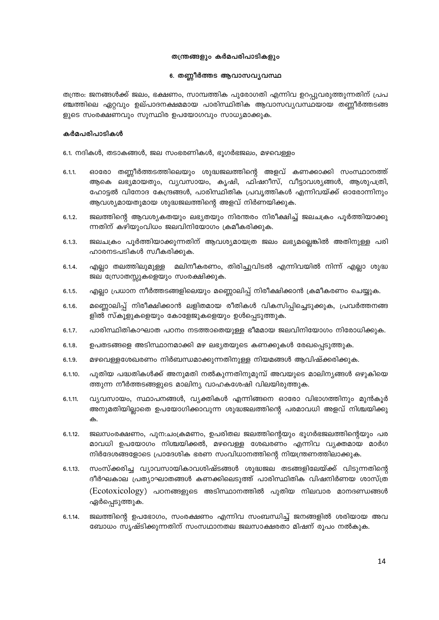## തന്ത്രങ്ങളും കർമപരിപാടികളും

#### 6. തണ്ണീർത്തട ആവാസവൃവസ്ഥ

തന്ത്രം: ജനങ്ങൾക്ക് ജലം, ഭക്ഷണം, സാമ്പത്തിക പുരോഗതി എന്നിവ ഉറപ്പുവരുത്തുന്നതിന് പ്രപ ഞ്ചത്തിലെ ഏറ്റവും ഉല്പാദനക്ഷമമായ പാരിസ്ഥിതിക ആവാസവ്യവസ്ഥയായ തണ്ണീർത്തടങ്ങ ളുടെ സംരക്ഷണവും സുസ്ഥിര ഉപയോഗവും സാധ്യമാക്കുക.

#### കർമപരിപാടികൾ

6.1. നദികൾ, തടാകങ്ങൾ, ജല സംഭരണികൾ, ഭൂഗർഭജലം, മഴവെള്ളം

- $6.1.1$ ഓരോ തണ്ണീർത്തടത്തിലെയും ശുദ്ധജലത്തിന്റെ അളവ് കണക്കാക്കി സംസ്ഥാനത്ത് ആകെ ലഭ്യമായതും, വ്യവസായം, കൃഷി, ഫിഷറീസ്, വീട്ടാവശ്യങ്ങൾ, ആശുപത്രി, ഹോട്ടൽ വിനോദ കേന്ദ്രങ്ങൾ, പാരിസ്ഥിതിക പ്രവൃത്തികൾ എന്നിവയ്ക്ക് ഓരോന്നിനും ആവശ്യമായതുമായ ശുദ്ധജലത്തിന്റെ അളവ് നിർണയിക്കുക.
- ജലത്തിന്റെ ആവശ്യകതയും ലഭ്യതയും നിരന്തരം നിരീക്ഷിച്ച് ജലചക്രം പൂർത്തിയാക്കു  $6.1.2.$ ന്നതിന് കഴിയുംവിധം ജലവിനിയോഗം ക്രമീകരിക്കുക.
- ജലചക്രം പൂർത്തിയാക്കുന്നതിന് ആവശ്യമായത്ര ജലം ലഭ്യമല്ലെങ്കിൽ അതിനുള്ള പരി  $6.1.3.$ ഹാരനടപടികൾ സ്വീകരിക്കുക.
- മലിനീകരണം, തിരിച്ചുവിടൽ എന്നിവയിൽ നിന്ന് എല്ലാ ശുദ്ധ  $6.1.4.$ എല്ലാ തലത്തിലുമുള്ള ജല സ്രോതസ്സുകളെയും സംരക്ഷിക്കുക.
- എല്ലാ പ്രധാന നീർത്തടങ്ങളിലെയും മണ്ണൊലിപ്പ് നിരീക്ഷിക്കാൻ ക്രമീകരണം ചെയ്യുക.  $6.1.5.$
- മണ്ണൊലിപ്പ് നിരീക്ഷിക്കാൻ ലളിതമായ രീതികൾ വികസിപ്പിച്ചെടുക്കുക, പ്രവർത്തനങ്ങ  $6.1.6.$ ളിൽ സ്കൂളുകളെയും കോളേജുകളെയും ഉൾപ്പെടുത്തുക.
- $6.1.7.$ പാരിസ്ഥിതികാഘാത പഠനം നടത്താതെയുള്ള ഭീമമായ ജലവിനിയോഗം നിരോധിക്കുക.
- ഉപതടങ്ങളെ അടിസ്ഥാനമാക്കി മഴ ലഭ്യതയുടെ കണക്കുകൾ രേഖപ്പെടുത്തുക.  $6.1.8.$
- മഴവെള്ളശേഖരണം നിർബന്ധമാക്കുന്നതിനുള്ള നിയമങ്ങൾ ആവിഷ്ക്കരിക്കുക.  $6.1.9.$
- പുതിയ പദ്ധതികൾക്ക് അനുമതി നൽകുന്നതിനുമുമ്പ് അവയുടെ മാലിന്യങ്ങൾ ഒഴുകിയെ  $6.1.10.$ ത്തുന്ന നീർത്തടങ്ങളുടെ മാലിന്യ വാഹകശേഷി വിലയിരുത്തുക.
- $6.1.11.$ വ്യവസായം, സ്ഥാപനങ്ങൾ, വ്യക്തികൾ എന്നിങ്ങനെ ഓരോ വിഭാഗത്തിനും മുൻകൂർ അനുമതിയില്ലാതെ ഉപയോഗിക്കാവുന്ന ശുദ്ധജലത്തിന്റെ പരമാവധി അളവ് നിശ്ചയിക്കു ക.
- ജലസംരക്ഷണം, പുന:ചംക്രമണം, ഉപരിതല ജലത്തിന്റെയും ഭൂഗർഭജലത്തിന്റെയും പര  $6.1.12.$ മാവധി ഉപയോഗം നിശ്ചയിക്കൽ, മഴവെള്ള ശേഖരണം എന്നിവ വ്യക്തമായ മാർഗ നിർദേശങ്ങളോടെ പ്രാദേശിക ഭരണ സംവിധാനത്തിന്റെ നിയന്ത്രണത്തിലാക്കുക.
- സംസ്ക്കരിച്ച വ്യാവസായികാവശിഷ്ടങ്ങൾ ശുദ്ധജല തടങ്ങളിലേയ്ക്ക് വിടുന്നതിന്റെ  $6.1.13.$ ദീർഘകാല പ്രത്യാഘാതങ്ങൾ കണക്കിലെടുത്ത് പാരിസ്ഥിതിക വിഷനിർണയ ശാസ്ത്ര (Ecotoxicology) പഠനങ്ങളുടെ അടിസ്ഥാനത്തിൽ പുതിയ നിലവാര മാനദണ്ഡങ്ങൾ ഏർപ്പെടുത്തുക.
- ജലത്തിന്റെ ഉപഭോഗം, സംരക്ഷണം എന്നിവ സംബന്ധിച്ച് ജനങ്ങളിൽ ശരിയായ അവ  $6.1.14.$ ബോധം സൃഷ്ടിക്കുന്നതിന് സംസഥാനതല ജലസാക്ഷരതാ മിഷന് രുപം നൽകുക.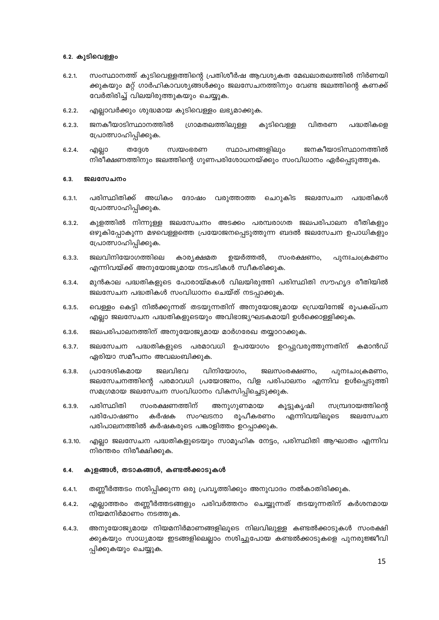## 6.2. കുടിവെള്ളം

- സംസ്ഥാനത്ത് കുടിവെള്ളത്തിന്റെ പ്രതിശീർഷ ആവശ്യകത മേഖലാതലത്തിൽ നിർണയി  $6.2.1$ ക്കുകയും മറ്റ് ഗാർഹികാവശ്യങ്ങൾക്കും ജലസേചനത്തിനും വേണ്ട ജലത്തിന്റെ കണക്ക് വേർതിരിച്ച് വിലയിരുത്തുകയും ചെയ്യുക.
- എല്ലാവർക്കും ശുദ്ധമായ കുടിവെള്ളം ലഭ്യമാക്കുക.  $6.2.2.$
- ജനകീയാടിസ്ഥാനത്തിൽ കുടിവെള്ള വിതരണ  $6.2.3.$ ഗ്രാമതലത്തിലുള്ള പദ്ധതികളെ പ്രോത്സാഹിപ്പിക്കുക.
- സ്ഥാപനങ്ങളിലും ജനകീയാടിസ്ഥാനത്തിൽ  $6.2.4.$ എല്ലാ തദേശ സ്വയംഭരണ നിരീക്ഷണത്തിനും ജലത്തിന്റെ ഗുണപരിശോധനയ്ക്കും സംവിധാനം ഏർപ്പെടുത്തുക.

#### $6.3.$ ജലസേചനം

- $6.3.1$ പരിസ്ഥിതിക്ക് അധികം ദോഷം വരുത്താത്ത ചെറുകിട ജലസേചന പദ്ധതികൾ പ്രോത്സാഹിപ്പിക്കുക.
- കുളത്തിൽ നിന്നുള്ള ജലസേചനം അടക്കം പരമ്പരാഗത ജലപരിപാലന രീതികളും  $6.3.2.$ ഒഴുകിപ്പോകുന്ന മഴവെള്ളത്തെ പ്രയോജനപ്പെടുത്തുന്ന ബദൽ ജലസേചന ഉപാധികളും പ്രോത്സാഹിപ്പിക്കുക.
- ജലവിനിയോഗത്തിലെ  $6.3.3.$ കാര്യക്ഷമത ഉയർത്തൽ, സംരക്ഷണം, പുനഃചംക്രമണം എന്നിവയ്ക്ക് അനുയോജ്യമായ നടപടികൾ സ്വീകരിക്കുക.
- മുൻകാല പദ്ധതികളുടെ പോരായ്മകൾ വിലയിരുത്തി പരിസ്ഥിതി സൗഹൃദ രീതിയിൽ  $6.3.4.$ ജലസേചന പദ്ധതികൾ സംവിധാനം ചെയ്ത് നടപ്പാക്കുക.
- വെള്ളം കെട്ടി നിൽക്കുന്നത് തടയുന്നതിന് അനുയോജ്യമായ ഡ്രെയിനേജ് രൂപകല്പന  $6.3.5.$ എല്ലാ ജലസേചന പദ്ധതികളുടെയും അവിഭാജ്യഘടകമായി ഉൾക്കൊള്ളിക്കുക.
- ജലപരിപാലനത്തിന് അനുയോജ്യമായ മാർഗരേഖ തയ്യാറാക്കുക. 6.3.6.
- ജലസേചന പദ്ധതികളുടെ പരമാവധി ഉപയോഗം ഉറപ്പുവരുത്തുന്നതിന് കമാൻഡ്  $6.3.7.$ ഏരിയാ സമീപനം അവലംബിക്കുക.
- ജലവിഭവ  $6.3.8.$ പ്രാദേശികമായ വിനിയോഗം. ജലസംരക്ഷണം, പുനഃചാക്രമണം, ജലസേചനത്തിന്റെ പരമാവധി പ്രയോജനം, വിള പരിപാലനം എന്നിവ ഉൾപ്പെടുത്തി സമഗ്രമായ ജലസേചന സംവിധാനം വികസിപ്പിച്ചെടുക്കുക.
- പരിസ്ഥിതി സംരക്ഷണത്തിന് 6.3.9. അനുഗുണമായ കൂട്ടുകൃഷി സമ്പ്രദായത്തിന്റെ പരിപോഷണം കർഷക സംഘടനാ രൂപീകരണം എന്നിവയിലുടെ ജലസേചന പരിപാലനത്തിൽ കർഷകരുടെ പങ്കാളിത്തം ഉറപ്പാക്കുക.
- $6.3.10.$ എല്ലാ ജലസേചന പദ്ധതികളുടെയും സാമൂഹിക നേട്ടം, പരിസ്ഥിതി ആഘാതം എന്നിവ നിരന്തരം നിരീക്ഷിക്കുക.

#### $6.4.$ കുളങ്ങൾ, തടാകങ്ങൾ, കണ്ടൽക്കാടുകൾ

- തണ്ണീർത്തടം നശിപ്പിക്കുന്ന ഒരു പ്രവൃത്തിക്കും അനുവാദം നൽകാതിരിക്കുക.  $6.4.1$
- എല്ലാത്തരം തണ്ണീർത്തടങ്ങളും പരിവർത്തനം ചെയ്യുന്നത് തടയുന്നതിന് കർശനമായ  $6.4.2.$ നിയമനിർമാണം നടത്തുക.
- അനുയോജ്യമായ നിയമനിർമാണങ്ങളിലുടെ നിലവിലുള്ള കണ്ടൽക്കാടുകൾ സംരക്ഷി  $6.4.3.$ ക്കുകയും സാധ്യമായ ഇടങ്ങളിലെല്ലാം നശിച്ചുപോയ കണ്ടൽക്കാടുകളെ പുനരുജ്ജീവി പ്പിക്കുകയും ചെയ്യുക.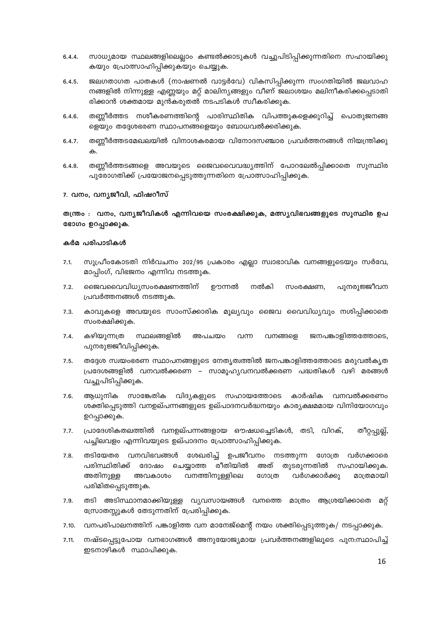- സാധ്യമായ സ്ഥലങ്ങളിലെല്ലാം കണ്ടൽക്കാടുകൾ വച്ചുപിടിപ്പിക്കുന്നതിനെ സഹായിക്കു  $6.4.4.$ കയും പ്രോത്സാഹിപ്പിക്കുകയും ചെയ്യുക.
- ജലഗതാഗത പാതകൾ (നാഷണൽ വാട്ടർവേ) വികസിപ്പിക്കുന്ന സംഗതിയിൽ ജലവാഹ  $6.4.5.$ നങ്ങളിൽ നിന്നുള്ള എണ്ണയും മറ്റ് മാലിന്യങ്ങളും വീണ് ജലാശയം മലിനീകരിക്കപ്പെടാതി രിക്കാൻ ശക്തമായ മുൻകരുതൽ നടപടികൾ സ്വീകരിക്കുക.
- തണ്ണീർത്തട നശീകരണത്തിന്റെ പാരിസ്ഥിതിക വിപത്തുകളെക്കുറിച്ച് പൊതുജനങ്ങ  $6.4.6.$ ളെയും തദ്ദേശഭരണ സ്ഥാപനങ്ങളെയും ബോധവൽക്കരിക്കുക.
- $6.4.7.$ തണ്ണീർത്തടമേഖലയിൽ വിനാശകരമായ വിനോദസഞ്ചാര പ്രവർത്തനങ്ങൾ നിയന്ത്രിക്കു  $\bigoplus$
- $6.4.8.$ തണ്ണീർത്തടങ്ങളെ അവയുടെ ജൈവവൈവദ്ധ്യത്തിന് പോറലേൽപ്പിക്കാതെ സുസ്ഥിര പുരോഗതിക്ക് പ്രയോജനപ്പെടുത്തുന്നതിനെ പ്രോത്സാഹിപ്പിക്കുക.

## 7. വനം, വന്യജീവി, ഫിഷറീസ്

തന്ത്രം : വനം, വന്യജീവികൾ എന്നിവയെ സംരക്ഷിക്കുക, മത്സ്യവിഭവങ്ങളുടെ സുസ്ഥിര ഉപ ഭോഗം ഉറപ്പാക്കുക.

- സുപ്രീംകോടതി നിർവചനം 202/95 പ്രകാരം എല്ലാ സ്വാഭാവിക വനങ്ങളുടെയും സർവേ,  $7.1.$ മാപ്പിംഗ്, വിഭജനം എന്നിവ നടത്തുക.
- $7.2.$ രെജവവൈവിധ്യസംരക്ഷണത്തിന് ഊന്നൽ നൽകി സംരക്ഷണ, പുനരുജ്ജീവന പ്രവർത്തനങ്ങൾ നടത്തുക.
- $7.3.$ കാവുകളെ അവയുടെ സാംസ്ക്കാരിക മൂല്യവും ജൈവ വൈവിധ്യവും നശിപ്പിക്കാതെ സംരക്ഷിക്കുക.
- $7.4.$ കഴിയുന്നത്ര സ്ഥലങ്ങളിൽ അപചയം വന്ന വനങ്ങളെ ജനപങ്കാളിത്തത്തോടെ, പുനരുജ്ജീവിപ്പിക്കുക.
- $7.5.$ തദ്ദേശ സ്വയംഭരണ സ്ഥാപനങ്ങളുടെ നേതൃത്വത്തിൽ ജനപങ്കാളിത്തത്തോടെ മരുവൽകൃത പ്രദേശങ്ങളിൽ വനവൽക്കരണ – സാമൂഹ്യവനവൽക്കരണ പദ്ധതികൾ വഴി മരങ്ങൾ വച്ചുപിടിപ്പിക്കുക.
- ആധുനിക സാങ്കേതിക വിദൃകളുടെ സഹായത്തോടെ കാർഷിക വനവൽക്കരണം  $7.6.$ ശക്തിപ്പെടുത്തി വനഉല്പന്നങ്ങളുടെ ഉല്പാദനവർദ്ധനയും കാര്യക്ഷമമായ വിനിയോഗവും ഉറപ്പാക്കുക.
- പ്രാദേശികതലത്തിൽ വനഉല്പന്നങ്ങളായ ഔഷധച്ചെടികൾ, തടി, വിറക്,  $7.7.$ തീറ്റപ്പുല്ല്, പച്ചിലവളം എന്നിവയുടെ ഉല്പാദനം പ്രോത്സാഹിപ്പിക്കുക.
- $7.8.$ തടിയേതര വനവിഭവങ്ങൾ ശേഖരിച്ച് ഉപജീവനം നടത്തുന്ന ഗോത്ര വർഗക്കാരെ പരിസ്ഥിതിക്ക് ചെയ്യാത്ത രീതിയിൽ അത് തുടരുന്നതിൽ സഹായിക്കുക. ദോഷം അതിനുള്ള വനത്തിനുള്ളിലെ മാത്രമായി ഗോത്ര വർഗക്കാർക്കു അവകാശം പരിമിതപ്പെടുത്തുക.
- തടി അടിസ്ഥാനമാക്കിയുള്ള വ്യവസായങ്ങൾ വനത്തെ മാത്രം ആശ്രയിക്കാതെ  $7.9.$ മറ്റ് സ്രോതസ്സുകൾ തേടുന്നതിന് പ്രേരിപ്പിക്കുക.
- വനപരിപാലനത്തിന് പങ്കാളിത്ത വന മാനേജ്മെന്റ് നയം ശക്തിപ്പെടുത്തുക/ നടപ്പാക്കുക.  $7.10.$
- നഷ്ടപ്പെട്ടുപോയ വനഭാഗങ്ങൾ അനുയോജ്യമായ പ്രവർത്തനങ്ങളിലൂടെ പുന:സ്ഥാപിച്ച്  $7.11.$ ഇടനാഴികൾ സ്ഥാപിക്കുക.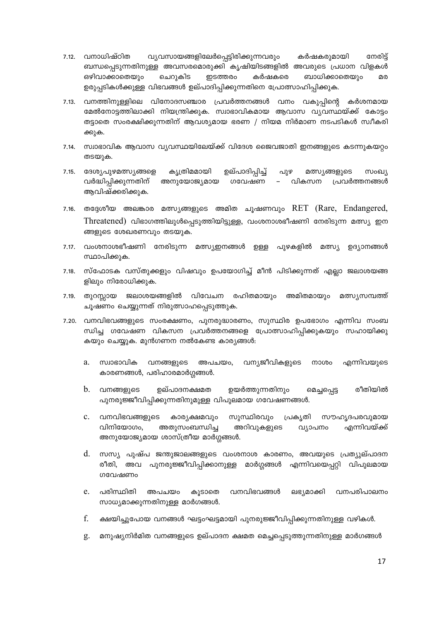- വ്യവസായങ്ങളിലേർപ്പെട്ടിരിക്കുന്നവരും 7.12. വനാധിഷ്ഠിത കർഷകരുമായി നേരിട് ബന്ധപ്പെടുന്നതിനുള്ള അവസരമൊരുക്കി കൃഷിയിടങ്ങളിൽ അവരുടെ പ്രധാന വിളകൾ ഇടത്തരം ഒഴിവാക്കാതെയും ചെറുകിട കർഷകരെ ബാധിക്കാതെയും മര ഉരുപ്പടികൾക്കുള്ള വിഭവങ്ങൾ ഉല്പാദിപ്പിക്കുന്നതിനെ പ്രോത്സാഹിപ്പിക്കുക.
- 7.13. വനത്തിനുള്ളിലെ വിനോദസഞ്ചാര പ്രവർത്തനങ്ങൾ വനം വകുപ്പിന്റെ കർശനമായ മേൽനോട്ടത്തിലാക്കി നിയന്ത്രിക്കുക. സ്വാഭാവികമായ ആവാസ വ്യവസ്ഥയ്ക്ക് കോട്ടം തട്ടാതെ സംരക്ഷിക്കുന്നതിന് ആവശ്യമായ ഭരണ / നിയമ നിർമാണ നടപടികൾ സ്വീകരി ക്കുക.
- 7.14. സ്വാഭാവിക ആവാസ വ്യവസ്ഥയിലേയ്ക്ക് വിദേശ ജൈവജാതി ഇനങ്ങളുടെ കടന്നുകയറ്റം തടയുക.
- 7.15. ദേശൃപുഴമത്സ്യങ്ങളെ ഉല്പാദിപ്പിച്ച് കൃത്രിമമായി പുഴ മത്സ്യങ്ങളുടെ സംഖ്യ വർദ്ധിപ്പിക്കുന്നതിന് അനുയോജ്യമായ ഗവേഷണ വികസന പ്രവർത്തനങ്ങൾ ആവിഷ്ക്കരിക്കുക.
- തദ്ദേശീയ അലങ്കാര മത്സ്യങ്ങളുടെ അമിത ചൂഷണവും RET (Rare, Endangered,  $7.16.$  $Threated)$  വിഭാഗത്തിലുൾപ്പെടുത്തിയിട്ടുള്ള, വംശനാശഭീഷണി നേരിടുന്ന മത്സ്യ ഇന ങ്ങളുടെ ശേഖരണവും തടയുക.
- 7.17. വംശനാശഭീഷണി നേരിടുന്ന മത്സ്യഇനങ്ങൾ ഉള്ള പുഴകളിൽ മത്സ്യ ഉദ്യാനങ്ങൾ സ്ഥാപിക്കുക.
- സ്ഫോടക വസ്തുക്കളും വിഷവും ഉപയോഗിച്ച് മീൻ പിടിക്കുന്നത് എല്ലാ ജലാശയങ്ങ  $7.18.$ ളിലും നിരോധിക്കുക.
- 7.19. തുറസ്സായ ജലാശയങ്ങളിൽ വിവേചന രഹിതമായും അമിതമായും മത്സ്യസമ്പത്ത് ചൂഷണം ചെയ്യുന്നത് നിരുത്സാഹപ്പെടുത്തുക.
- 7.20. വനവിഭവങ്ങളുടെ സംരക്ഷണം, പുനരുദ്ധാരണം, സുസ്ഥിര ഉപഭോഗം എന്നിവ സംബ ന്ധിച്ച ഗവേഷണ വികസന പ്രവർത്തനങ്ങളെ പ്രോത്സാഹിപ്പിക്കുകയും സഹായിക്കു കയും ചെയ്യുക. മുൻഗണന നൽകേണ്ട കാര്യങ്ങൾ:
	- സ്വാഭാവിക വനങ്ങളുടെ അപചയം, വന്യജീവികളുടെ നാശം എന്നിവയുടെ <sub>2</sub> കാരണങ്ങൾ, പരിഹാരമാർഗ്ഗങ്ങൾ.
	- b. വനങ്ങളുടെ ഉല്പാദനക്ഷമത ഉയർത്തുന്നതിനും രീതിയിൽ മെച്ചപ്പെട്ട പുനരുജ്ജീവിപ്പിക്കുന്നതിനുമുള്ള വിപുലമായ ഗവേഷണങ്ങൾ.
	- വനവിഭവങ്ങളുടെ കാര്യക്ഷമവും സുസ്ഥിരവും പ്രകൃതി  $c_{-}$ സൗഹൃദപരവുമായ വിനിയോഗം. അതുസംബന്ധിച്ച അറിവുകളുടെ വ്യാപനം എന്നിവയ്ക്ക് അനുയോജ്യമായ ശാസ്ത്രീയ മാർഗ്ഗങ്ങൾ.
	- d. സസ്യ പുഷ്പ ജന്തുജാലങ്ങളുടെ വംശനാശ കാരണം, അവയുടെ പ്രത്യുല്പാദന രീതി, അവ പുനരുജ്ജീവിപ്പിക്കാനുള്ള മാർഗ്ഗങ്ങൾ എന്നിവയെപ്പറ്റി വിപുലമായ ഗവേഷണം
	- വനപരിപാലനം പരിസ്ഥിതി വനവിഭവങ്ങൾ  $e^{\prime}$ അപചയം കൂടാതെ ലഭ്യമാക്കി സാധ്യമാക്കുന്നതിനുള്ള മാർഗങ്ങൾ.
	- f. ക്ഷയിച്ചുപോയ വനങ്ങൾ ഘട്ടംഘട്ടമായി പുനരുജ്ജീവിപ്പിക്കുന്നതിനുള്ള വഴികൾ.
	- മനുഷ്യനിർമിത വനങ്ങളുടെ ഉല്പാദന ക്ഷമത മെച്ചപ്പെടുത്തുന്നതിനുള്ള മാർഗങ്ങൾ g.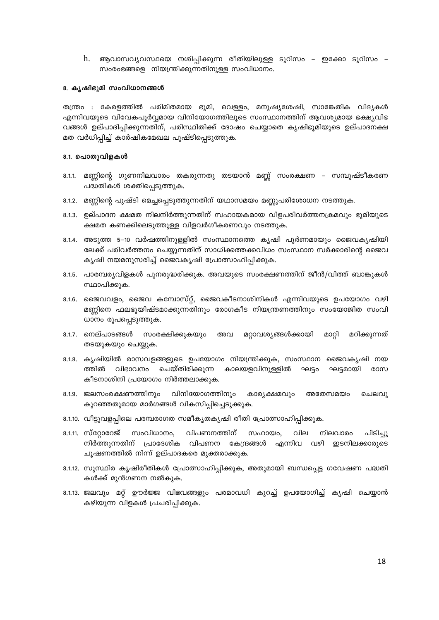ആവാസവ്യവസ്ഥയെ നശിപ്പിക്കുന്ന രീതിയിലുള്ള ടൂറിസം – ഇക്കോ ടൂറിസം – h. സംരംഭങ്ങളെ നിയന്ത്രിക്കുന്നതിനുള്ള സംവിധാനം.

## 8. കൃഷിഭൂമി സംവിധാനങ്ങൾ

തന്ത്രം : കേരളത്തിൽ പരിമിതമായ ഭൂമി, വെള്ളം, മനുഷ്യശേഷി, സാങ്കേതിക വിദ്യകൾ എന്നിവയുടെ വിവേകപൂർവ്വമായ വിനിയോഗത്തിലൂടെ സംസ്ഥാനത്തിന് ആവശ്യമായ ഭക്ഷ്യവിഭ വങ്ങൾ ഉല്പാദിപ്പിക്കുന്നതിന്, പരിസ്ഥിതിക്ക് ദോഷം ചെയ്യാതെ കൃഷിഭൂമിയുടെ ഉല്പാദനക്ഷ മത വർധിപ്പിച്ച് കാർഷികമേഖല പുഷ്ടിപ്പെടുത്തുക.

## 8.1. പൊതുവിളകൾ

- 8.1.1. മണ്ണിന്റെ ഗുണനിലവാരം തകരുന്നതു തടയാൻ മണ്ണ് സംരക്ഷണ സമ്പുഷ്ടീകരണ പദ്ധതികൾ ശക്തിപ്പെടുത്തുക.
- 8.1.2. മണ്ണിന്റെ പുഷ്ടി മെച്ചപ്പെടുത്തുന്നതിന് യഥാസമയം മണ്ണുപരിശോധന നടത്തുക.
- 8.1.3. ഉല്പാദന ക്ഷമത നിലനിർത്തുന്നതിന് സഹായകമായ വിളപരിവർത്തനക്രമവും ഭൂമിയുടെ ക്ഷമത കണക്കിലെടുത്തുള്ള വിളവർഗീകരണവും നടത്തുക.
- 8.1.4. അടുത്ത 5–10 വർഷത്തിനുള്ളിൽ സംസ്ഥാനത്തെ കൃഷി പൂർണമായും ജൈവകൃഷിയി ലേക്ക് പരിവർത്തനം ചെയ്യുന്നതിന് സാധിക്കത്തക്കവിധം സംസ്ഥാന സർക്കാരിന്റെ ജൈവ കൃഷി നയമനുസരിച്ച് ജൈവകൃഷി പ്രോത്സാഹിപ്പിക്കുക.
- 8.1.5. പാരമ്പര്യവിളകൾ പുനരുദ്ധരിക്കുക. അവയുടെ സംരക്ഷണത്തിന് ജീൻ/വിത്ത് ബാങ്കുകൾ സ്ഥാപിക്കുക.
- 8.1.6. ജൈവവളം, ജൈവ കമ്പോസ്റ്റ്, ജൈവകീടനാശിനികൾ എന്നിവയുടെ ഉപയോഗം വഴി മണ്ണിനെ ഫലഭൂയിഷ്ടമാക്കുന്നതിനും രോഗകീട നിയന്ത്രണത്തിനും സംയോജിത സംവി ധാനം രൂപപ്പെടുത്തുക.
- മറ്റാവശ്യങ്ങൾക്കായി 8.1.7. നെല്പാടങ്ങൾ സംരക്ഷിക്കുകയും അവ മാറ്റി മറിക്കുന്നത് തടയുകയും ചെയ്യുക.
- 8.1.8. കൃഷിയിൽ രാസവളങ്ങളുടെ ഉപയോഗം നിയന്ത്രിക്കുക, സംസ്ഥാന ജൈവകൃഷി നയ ത്തിൽ വിഭാവനം ചെയ്തിരിക്കുന്ന കാലയളവിനുള്ളിൽ ഘട്ടം ഘട്ടമായി രാസ കീടനാശിനി പ്രയോഗം നിർത്തലാക്കുക.
- 8.1.9. ജലസംരക്ഷണത്തിനും വിനിയോഗത്തിനും കാര്യക്ഷമവും അതേസമയം ചെലവു കുറഞ്ഞതുമായ മാർഗങ്ങൾ വികസിപ്പിച്ചെടുക്കുക.
- 8.1.10. വീട്ടുവളപ്പിലെ പരമ്പരാഗത സമീകൃതകൃഷി രീതി പ്രോത്സാഹിപ്പിക്കുക.
- 8.1.11. സ്റ്റോറേജ് സംവിധാനം, വിപണനത്തിന് സഹായം, വില നിലവാരം പിടിച്ചു ഇടനിലക്കാരുടെ നിർത്തുന്നതിന് പ്രാദേശിക വിപണന കേന്ദ്രങ്ങൾ എന്നിവ വഴി ചൂഷണത്തിൽ നിന്ന് ഉല്പാദകരെ മുക്തരാക്കുക.
- 8.1.12. സുസ്ഥിര കൃഷിരീതികൾ പ്രോത്സാഹിപ്പിക്കുക, അതുമായി ബന്ധപ്പെട്ട ഗവേഷണ പദ്ധതി കൾക്ക് മുൻഗണന നൽകുക.
- 8.1.13. ജലവും മറ്റ് ഊർജ്ജ വിഭവങ്ങളും പരമാവധി കുറച്ച് ഉപയോഗിച്ച് കൃഷി ചെയ്യാൻ കഴിയുന്ന വിളകൾ പ്രചരിപ്പിക്കുക.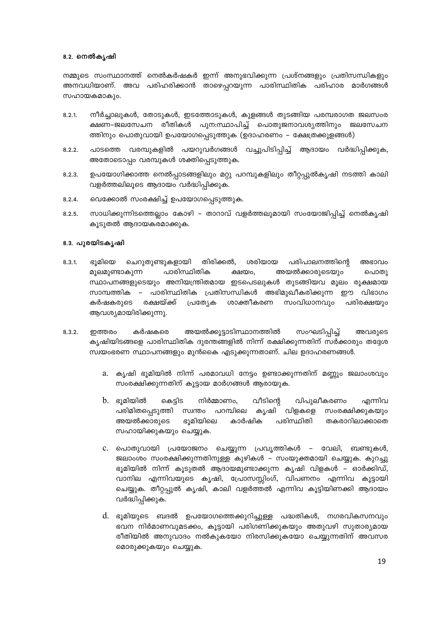## 8.2. നെൽകൃഷി

നമ്മുടെ സംസ്ഥാനത്ത് നെൽകർഷകർ ഇന്ന് അനുഭവിക്കുന്ന പ്രശ്നങ്ങളും പ്രതിസന്ധികളും അനവധിയാണ്. അവ പരിഹരിക്കാൻ താഴെപ്പറയുന്ന പാരിസ്ഥിതിക പരിഹാര മാർഗങ്ങൾ സഹായകമാകും.

- നീർച്ചാലുകൾ, തോടുകൾ, ഇടത്തോടുകൾ, കുളങ്ങൾ തുടങ്ങിയ പരമ്പരാഗത ജലസംര  $8.2.1$ ക്ഷണ–ജലസേചന രീതികൾ പുന:സ്ഥാപിച്ച് പൊതുജനാവശ്യത്തിനും ജലസേചന ത്തിനും പൊതുവായി ഉപയോഗപ്പെടുത്തുക (ഉദാഹരണം – ക്ഷേത്രക്കുളങ്ങൾ)
- പാടത്തെ വരമ്പുകളിൽ പയറുവർഗങ്ങൾ വച്ചുപിടിപ്പിച്ച് ആദായം വർദ്ധിപ്പിക്കുക,  $8.2.2.$ അതോടൊപ്പം വരമ്പുകൾ ശക്തിപ്പെടുത്തുക.
- ഉപയോഗിക്കാത്ത നെൽപ്പാടങ്ങളിലും മറ്റു പറമ്പുകളിലും തീറ്റപ്പുൽകൃഷി നടത്തി കാലി  $8.2.3.$ വളർത്തലിലൂടെ ആദായം വർദ്ധിപ്പിക്കുക.
- വെക്കോൽ സംരക്ഷിച്ച് ഉപയോഗപ്പെടുത്തുക.  $8.2.4.$
- സാധിക്കുന്നിടത്തെലാം കോഴി താറാവ് വളർത്തലുമായി സംയോജിപിച്ച് നെൽകൃഷി  $8.2.5.$ കൂടുതൽ ആദായകരമാക്കുക.

## 8.3. പുരയിടകൃഷി

- ഭൂമിയെ ചെറുതുണ്ടുകളായി തിരിക്കൽ, ശരിയായ പരിപാലനത്തിന്റെ  $8.3.1$ അഭാവം പാരിസ്ഥിതിക അയൽക്കാരുടെയും പൊതു മുലമുണ്ടാകുന്ന ക്ഷയം. സ്ഥാപനങ്ങളുടെയും അനിയന്ത്രിതമായ ഇടപെടലുകൾ തുടങ്ങിയവ മൂലം രൂക്ഷമായ സാമ്പത്തിക – പാരിസ്ഥിതിക പ്രതിസന്ധികൾ അഭിമുഖീകരിക്കുന്ന ഈ വിഭാഗം സംവിധാനവും കർഷകരുടെ രക്ഷയ്ക്ക് പ്രത്യേക ശാക്തീകരണ പരിരക്ഷയും ആവശ്യമായിരിക്കുന്നു.
- അയൽക്കൂട്ടാടിസ്ഥാനത്തിൽ കർഷകരെ സംഘടിപ്പിച്ച്  $8.3.2.$ ഇത്തരം അവരുടെ കൃഷിയിടങ്ങളെ പാരിസ്ഥിതിക ദുരന്തങ്ങളിൽ നിന്ന് രക്ഷിക്കുന്നതിന് സർക്കാരും തദ്ദേശ സ്വയംഭരണ സ്ഥാപനങ്ങളും മുൻകൈ എടുക്കുന്നതാണ്. ചില ഉദാഹരണങ്ങൾ.
	- കൃഷി ഭുമിയിൽ നിന്ന് പരമാവധി നേട്ടം ഉണ്ടാക്കുന്നതിന് മണ്ണും ജലാംശവും  $a_{-}$ സംരക്ഷിക്കുന്നതിന് കൂട്ടായ മാർഗങ്ങൾ ആരായുക.
	- വീടിന്റെ b. ഭൂമിയിൽ കെടിട നിർമ്മാണം. വിപുലീകരണം എന്നിവ പരിമിതപെടുത്തി സ്വന്തം പറമ്പിലെ കൃഷി വിളകളെ സംരക്ഷിക്കുകയും ഭുമിയിലെ അയൽക്കാരുടെ കാർഷിക പരിസ്ഥിതി തകരാറിലാക്കാതെ സഹായിക്കുകയും ചെയ്യുക.
	- C. പൊതുവായി പ്രയോജനം ചെയ്യുന്ന പ്രവൃത്തികൾ വേലി, ബണ്ടുകൾ. ജലാംശം സംരക്ഷിക്കുന്നതിനുള്ള കുഴികൾ – സംയുക്തമായി ചെയ്യുക. കുറച്ചു ഭൂമിയിൽ നിന്ന് കൂടുതൽ ആദായമുണ്ടാക്കുന്ന കൃഷി വിളകൾ – ഓർക്കിഡ്, വാനില എന്നിവയുടെ കൃഷി, പ്രോസസ്സിംഗ്, വിപണനം എന്നിവ കൂട്ടായി ചെയ്യുക. തീറ്റപ്പുൽ കൃഷി, കാലി വളർത്തൽ എന്നിവ കുട്ടിയിണക്കി ആദായം വർദ്ധിപ്പിക്കുക.
	- d. ഭൂമിയുടെ ബദൽ ഉപയോഗത്തെക്കുറിച്ചുള്ള പദ്ധതികൾ, നഗരവികസനവും ഭവന നിർമാണവുമടക്കം, കൂട്ടായി പരിഗണിക്കുകയും അതുവഴി സുതാര്യമായ രീതിയിൽ അനുവാദം നൽകുകയോ നിരസിക്കുകയോ ചെയ്യുന്നതിന് അവസര മൊരുക്കുകയും ചെയ്യുക.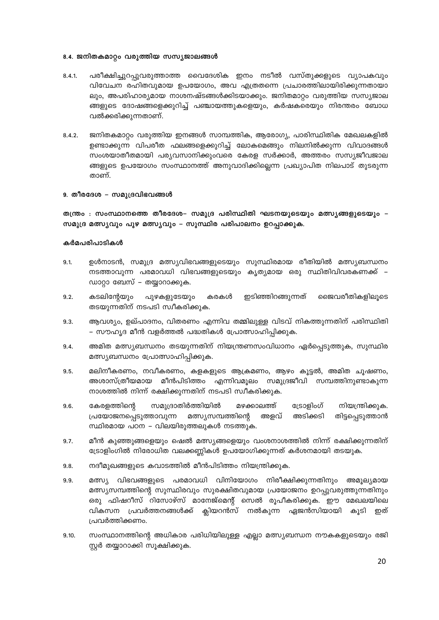## 8.4. ജനിതകമാറ്റം വരുത്തിയ സസ്യജാലങ്ങൾ

- പരീക്ഷിച്ചുറപ്പുവരുത്താത്ത വൈദേശിക ഇനം നടീൽ വസ്തുക്കളുടെ വ്യാപകവും  $8.4.1$ വിവേചന രഹിതവുമായ ഉപയോഗം, അവ എത്രതന്നെ പ്രചാരത്തിലായിരിക്കുന്നതായാ ലും, അപരിഹാര്യമായ നാശനഷ്ടങ്ങൾക്കിടയാക്കും. ജനിതമാറ്റം വരുത്തിയ സസ്യജാല ങ്ങളുടെ ദോഷങ്ങളെക്കുറിച്ച് പഞ്ചായത്തുകളെയും, കർഷകരെയും നിരന്തരം ബോധ വൽക്കരിക്കുന്നതാണ്.
- ജനിതകമാറ്റം വരുത്തിയ ഇനങ്ങൾ സാമ്പത്തിക, ആരോഗ്യ, പാരിസ്ഥിതിക മേഖലകളിൽ  $8.4.2.$ ഉണ്ടാക്കുന്ന വിപരീത ഫലങ്ങളെക്കുറിച്ച് ലോകമെങ്ങും നിലനിൽക്കുന്ന വിവാദങ്ങൾ സംശയാതീതമായി പര്യവസാനിക്കുംവരെ കേരള സർക്കാർ, അത്തരം സസ്യജീവജാല ങ്ങളുടെ ഉപയോഗം സംസ്ഥാനത്ത് അനുവാദിക്കില്ലെന്ന പ്രഖ്യാപിത നിലപാട് തുടരുന്ന താണ്.

## 9. തീരദേശ - സമുദ്രവിഭവങ്ങൾ

തന്ത്രം : സംസ്ഥാനത്തെ തീരദേശ– സമുദ്ര പരിസ്ഥിതി ഘടനയുടെയും മത്സ്യങ്ങളുടെയും – സമുദ്ര മത്സ്യവും പുഴ മത്സ്യവും – സുസ്ഥിര പരിപാലനം ഉറപ്പാക്കുക.

- ഉൾനാടൻ, സമുദ്ര മത്സ്യവിഭവങ്ങളുടെയും സുസ്ഥിരമായ രീതിയിൽ മത്സ്യബന്ധനം  $9.1.$ നടത്താവുന്ന പരമാവധി വിഭവങ്ങളുടെയും കൃത്യമായ ഒരു സ്ഥിതിവിവരകണക്ക് – ഡാറ്റാ ബേസ് – തയ്യാറാക്കുക.
- $9.2.$ കടലിന്റേയും പുഴകളുടേയും കരകൾ ഇടിഞ്ഞിറങ്ങുന്നത് ജൈവരീതികളിലുടെ തടയുന്നതിന് നടപടി സ്വീകരിക്കുക.
- ആവശ്യം, ഉല്പാദനം, വിതരണം എന്നിവ തമ്മിലുള്ള വിടവ് നികത്തുന്നതിന് പരിസ്ഥിതി 9.3. – സൗഹ്യദ മീൻ വളർത്തൽ പദ്ധതികൾ പ്രോത്സാഹിപ്പിക്കുക.
- അമിത മത്സ്യബന്ധനം തടയുന്നതിന് നിയന്ത്രണസംവിധാനം ഏർപ്പെടുത്തുക, സുസ്ഥിര 9.4. മത്സ്യബന്ധനം പ്രോത്സാഹിപ്പിക്കുക.
- മലിനീകരണം, നവീകരണം, കളകളുടെ ആക്രമണം, ആഴം കൂട്ടൽ, അമിത ചൂഷണം, 9.5. അശാസ്ത്രീയമായ മീൻപിടിത്തം എന്നിവമൂലം സമുദ്രജീവി സമ്പത്തിനുണ്ടാകുന്ന നാശത്തിൽ നിന്ന് രക്ഷിക്കുന്നതിന് നടപടി സ്വീകരിക്കുക.
- സമുദ്രാതിർത്തിയിൽ  $9.6.$ കേരളത്തിന്റെ മഴക്കാലത്ത് ട്രോളിംഗ് നിയന്ത്രിക്കുക. അടിക്കടി തിട്ടപ്പെടുത്താൻ പ്രയോജനപ്പെടുത്താവുന്ന മത്സ്യസമ്പത്തിന്റെ അളവ് സ്ഥിരമായ പഠന – വിലയിരുത്തലുകൾ നടത്തുക.
- $9.7.$ മീൻ കുഞ്ഞുങ്ങളെയും ഷെൽ മത്സ്യങ്ങളെയും വംശനാശത്തിൽ നിന്ന് രക്ഷിക്കുന്നതിന് ട്രോളിംഗിൽ നിരോധിത വലക്കണ്ണികൾ ഉപയോഗിക്കുന്നത് കർശനമായി തടയുക.
- നദീമുഖങ്ങളുടെ കവാടത്തിൽ മീൻപിടിത്തം നിയന്ത്രിക്കുക. 9.8.
- മത്സ്യ വിഭവങ്ങളുടെ പരമാവധി വിനിയോഗം നിരീക്ഷിക്കുന്നതിനും അമൂല്യമായ 9.9. മത്സ്യസമ്പത്തിന്റെ സുസ്ഥിരവും സുരക്ഷിതവുമായ പ്രയോജനം ഉറപ്പുവരുത്തുന്നതിനും ഒരു ഫിഷറീസ് റിസോഴ്സ് മാനേജ്മെന്റ് സെൽ രൂപീകരിക്കുക. ഈ മേഖലയിലെ കൂടി ഇത് വികസന പ്രവർത്തനങ്ങൾക്ക് ക്ലിയറൻസ് നൽകുന്ന ഏജൻസിയായി പ്രവർത്തിക്കണം.
- 9.10. സംസ്ഥാനത്തിന്റെ അധികാര പരിധിയിലുള്ള എല്ലാ മത്സ്യബന്ധന നൗകകളുടെയും രജി സ്റ്റർ തയ്യാറാക്കി സൂക്ഷിക്കുക.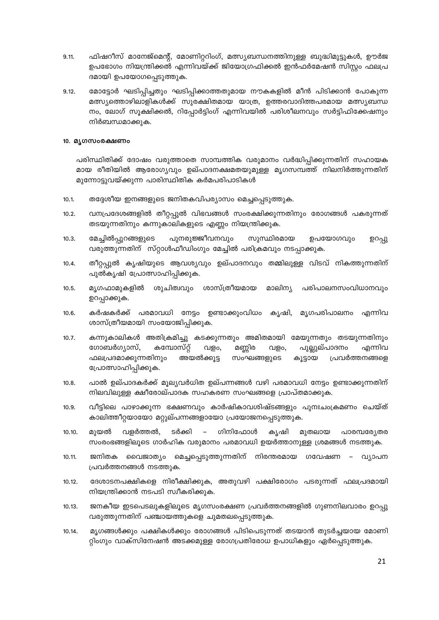- ഫിഷറീസ് മാനേജ്മെന്റ്, മോണിറ്ററിംഗ്, മത്സ്യബന്ധനത്തിനുള്ള ബുദ്ധിമുട്ടുകൾ, ഊർജ 9.11. ഉപഭോഗം നിയന്ത്രിക്കൽ എന്നിവയ്ക്ക് ജിയോഗ്രഫിക്കൽ ഇൻഫർമേഷൻ സിസ്റ്റം ഫലപ്ര ദമായി ഉപയോഗപ്പെടുത്തുക.
- മോട്ടോർ ഘടിപ്പിച്ചതും ഘടിപ്പിക്കാത്തതുമായ നൗകകളിൽ മീൻ പിടിക്കാൻ പോകുന്ന  $9.12.$ മത്സ്യത്തൊഴിലാളികൾക്ക് സുരക്ഷിതമായ യാത്ര, ഉത്തരവാദിത്തപരമായ മത്സ്യബന്ധ നം, ലോഗ് സൂക്ഷിക്കൽ, റിപ്പോർട്ടിംഗ് എന്നിവയിൽ പരിശീലനവും സർട്ടിഫിക്കേഷനും നിർബന്ധമാക്കുക.

## 10. മൃഗസംരക്ഷണം

പരിസ്ഥിതിക്ക് ദോഷം വരുത്താതെ സാമ്പത്തിക വരുമാനം വർദ്ധിപ്പിക്കുന്നതിന് സഹായക മായ രീതിയിൽ ആരോഗ്യവും ഉല്പാദനക്ഷമതയുമുള്ള മൃഗസമ്പത്ത് നിലനിർത്തുന്നതിന് മുന്നോട്ടുവയ്ക്കുന്ന പാരിസ്ഥിതിക കർമപരിപാടികൾ

- തദ്ദേശീയ ഇനങ്ങളുടെ ജനിതകവിപര്യാസം മെച്ചപ്പെടുത്തുക.  $10.1.$
- വനപ്രദേശങ്ങളിൽ തീറ്റപ്പുൽ വിഭവങ്ങൾ സംരക്ഷിക്കുന്നതിനും രോഗങ്ങൾ പകരുന്നത്  $10.2.$ തടയുന്നതിനും കന്നുകാലികളുടെ എണ്ണം നിയന്ത്രിക്കുക.
- പുനരുജ്ജീവനവും  $10.3.$ മേച്ചിൽപ്പുറങ്ങളുടെ സുസ്ഥിരമായ ഉപയോഗവും ഉറപ്പു വരുത്തുന്നതിന് സ്റ്റാൾഫീഡിംഗും മേച്ചിൽ പരിക്രമവും നടപ്പാക്കുക.
- തീറ്റപ്പുൽ കൃഷിയുടെ ആവശ്യവും ഉല്പാദനവും തമ്മിലുള്ള വിടവ് നികത്തുന്നതിന്  $10.4.$ പുൽകൃഷി പ്രോത്സാഹിപ്പിക്കുക.
- ശുചിത്വവും ശാസ്ത്രീയമായ മാലിന്യ  $10.5.$ മൃഗഫാമുകളിൽ പരിപാലനസംവിധാനവും ഉറപ്പാക്കുക.
- കർഷകർക്ക് പരമാവധി നേട്ടം ഉണ്ടാക്കുംവിധം കൃഷി,  $10.6.$ മൃഗപരിപാലനം എന്നിവ ശാസ്ത്രീയമായി സംയോജിപ്പിക്കുക.
- $10.7.$ കന്നുകാലികൾ അതിക്രമിച്ചു കടക്കുന്നതും അമിതമായി മേയുന്നതും തടയുന്നതിനും ഗോബർഗ്യാസ്, കമ്പോസ്റ്റ് മണ്ണിര പുല്ലുല്പാദനം എന്നിവ വളം, വളം, അയൽക്കൂട്ട ഫലപ്രദമാക്കുന്നതിനും സംഘങ്ങളുടെ കൂട്ടായ പ്രവർത്തനങ്ങളെ പ്രോത്സാഹിപ്പിക്കുക.
- $10.8.$ പാൽ ഉല്പാദകർക്ക് മൂല്യവർധിത ഉല്പന്നങ്ങൾ വഴി പരമാവധി നേട്ടം ഉണ്ടാക്കുന്നതിന് നിലവിലുള്ള ക്ഷീരോല്പാദക സഹകരണ സംഘങ്ങളെ പ്രാപ്തമാക്കുക.
- വീട്ടിലെ പാഴാക്കുന്ന ഭക്ഷണവും കാർഷികാവശിഷ്ടങ്ങളും പുനഃചംക്രമണം ചെയ്ത്  $10.9.$ കാലിത്തീറ്റയായോ മറ്റുല്പന്നങ്ങളായോ പ്രയോജനപ്പെടുത്തുക.
- വളർത്തൽ, ടർക്കി ഗിനിഫോൾ പാരമ്പര്യേതര  $10.10.$ മുയൽ കൃഷി മുതലായ സംരംഭങ്ങളിലൂടെ ഗാർഹിക വരുമാനം പരമാവധി ഉയർത്താനുള്ള ശ്രമങ്ങൾ നടത്തുക.
- വൈജാത്യം മെച്ചപ്പെടുത്തുന്നതിന് നിരന്തരമായ ഗവേഷണ  $10.11.$ ജനിതക വ്യാപന പ്രവർത്തനങ്ങൾ നടത്തുക.
- ദേശാടനപക്ഷികളെ നിരീക്ഷിക്കുക, അതുവഴി പക്ഷിരോഗം പടരുന്നത് ഫലപ്രദമായി  $10.12.$ നിയന്ത്രിക്കാൻ നടപടി സ്വീകരിക്കുക.
- ജനകീയ ഇടപെടലുകളിലൂടെ മൃഗസംരക്ഷണ പ്രവർത്തനങ്ങളിൽ ഗുണനിലവാരം ഉറപ്പു  $10.13.$ വരുത്തുന്നതിന് പഞ്ചായത്തുകളെ ചുമതലപ്പെടുത്തുക.
- മൃഗങ്ങൾക്കും പക്ഷികൾക്കും രോഗങ്ങൾ പിടിപെടുന്നത് തടയാൻ തുടർച്ചയായ മോണി  $10.14.$ റ്റിംഗും വാക്സിനേഷൻ അടക്കമുള്ള രോഗപ്രതിരോധ ഉപാധികളും ഏർപ്പെടുത്തുക.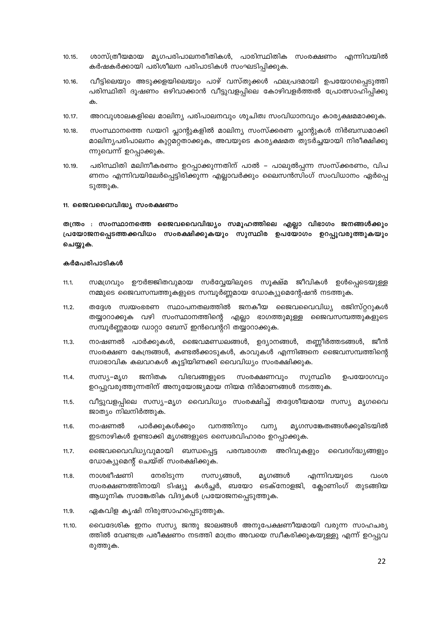- ശാസ്ത്രീയമായ മൃഗപരിപാലനരീതികൾ, പാരിസ്ഥിതിക സംരക്ഷണം എന്നിവയിൽ  $10.15.$ കർഷകർക്കായി പരിശീലന പരിപാടികൾ സംഘടിപ്പിക്കുക.
- വീട്ടിലെയും അടുക്കളയിലെയും പാഴ് വസ്തുക്കൾ ഫലപ്രദമായി ഉപയോഗപ്പെടുത്തി  $10.16.$ പരിസ്ഥിതി ദൂഷണം ഒഴിവാക്കാൻ വീട്ടുവളപ്പിലെ കോഴിവളർത്തൽ പ്രോത്സാഹിപ്പിക്കു ക.
- അറവുശാലകളിലെ മാലിന്യ പരിപാലനവും ശുചിത്വ സംവിധാനവും കാര്യക്ഷമമാക്കുക.  $10.17.$
- സംസ്ഥാനത്തെ ഡയറി പ്ലാന്റുകളിൽ മാലിന്യ സംസ്ക്കരണ പ്ലാന്റുകൾ നിർബന്ധമാക്കി 10.18. മാലിന്യപരിപാലനം കുറ്റമറ്റതാക്കുക, അവയുടെ കാര്യക്ഷമത തുടർച്ചയായി നിരീക്ഷിക്കു ന്നുവെന്ന് ഉറപ്പാക്കുക.
- പരിസ്ഥിതി മലിനീകരണം ഉറപ്പാക്കുന്നതിന് പാൽ പാലുൽപ്പന്ന സംസ്ക്കരണം, വിപ  $10.19.$ ണനം എന്നിവയിലേർപ്പെട്ടിരിക്കുന്ന എല്ലാവർക്കും ലൈസൻസിംഗ് സംവിധാനം ഏർപ്പെ ടുത്തുക.
- 11. ജൈവവൈവിദ്ധ്യ സംരക്ഷണം

തന്ത്രം : സംസ്ഥാനത്തെ ജൈവവൈവിദ്ധ്യം സമൂഹത്തിലെ എല്ലാ വിഭാഗം ജനങ്ങൾക്കും പ്രയോജനപ്പെടത്തക്കവിധം സംരക്ഷിക്കുകയും സുസ്ഥിര ഉപയോഗം ഉറപ്പുവരുത്തുകയും ചെയ്യുക.

- സമഗ്രവും ഊർജ്ജിതവുമായ സർവ്വേയിലൂടെ സൂക്ഷ്മ ജീവികൾ ഉൾപ്പെടെയുള്ള  $11.1.$ നമ്മുടെ ജൈവസമ്പത്തുകളുടെ സമ്പൂർണ്ണമായ ഡോക്യുമെന്റേഷൻ നടത്തുക.
- തദ്ദേശ സ്വയംഭരണ സ്ഥാപനതലത്തിൽ ജനകീയ ജൈവവൈവിധ്യ രജിസ്റ്ററുകൾ  $11.2.$ തയ്യാറാക്കുക വഴി സംസ്ഥാനത്തിന്റെ എല്ലാ ഭാഗത്തുമുള്ള ജൈവസമ്പത്തുകളുടെ സമ്പൂർണ്ണമായ ഡാറ്റാ ബേസ് ഇൻവെന്ററി തയ്യാറാക്കുക.
- $11.3.$ നാഷണൽ പാർക്കുകൾ, ജൈവമണ്ഡലങ്ങൾ, ഉദ്യാനങ്ങൾ, തണ്ണീർത്തടങ്ങൾ, ജീൻ സംരക്ഷണ കേന്ദ്രങ്ങൾ, കണ്ടൽക്കാടുകൾ, കാവുകൾ എന്നിങ്ങനെ ജൈവസമ്പത്തിന്റെ സ്വാഭാവിക കലവറകൾ കൂട്ടിയിണക്കി വൈവിധ്യം സംരക്ഷിക്കുക.
- $11.4.$ **സസ്യ–മൃഗ** ജനിതക വിഭവങ്ങളുടെ സംരക്ഷണവും സുസ്ഥിര ഉപയോഗവും ഉറപ്പുവരുത്തുന്നതിന് അനുയോജ്യമായ നിയമ നിർമാണങ്ങൾ നടത്തുക.
- വീട്ടുവളപ്പിലെ സസ്യ–മൃഗ വൈവിധ്യം സംരക്ഷിച്ച് തദ്ദേശീയമായ സസ്യ മൃഗവൈ  $11.5.$ ജാത്യം നിലനിർത്തുക.
- $11.6.$ നാഷണൽ പാർക്കുകൾക്കും വനത്തിനും വന്യ മൃഗസങ്കേതങ്ങൾക്കുമിടയിൽ ഇടനാഴികൾ ഉണ്ടാക്കി മൃഗങ്ങളുടെ സൈരവിഹാരം ഉറപ്പാക്കുക.
- ജൈവവൈവിധ്യവുമായി ബന്ധപ്പെട്ട പരമ്പരാഗത അറിവുകളും വൈദഗ്ദ്ധ്യങ്ങളും  $11.7.$ ഡോക്യുമെന്റ് ചെയ്ത് സംരക്ഷിക്കുക.
- നേരിടുന്ന  $11.8.$ നാശഭീഷണി സസ്യങ്ങൾ, മൃഗങ്ങൾ എന്നിവയുടെ വംശ സംരക്ഷണത്തിനായി ടിഷ്യൂ കൾച്ചർ, ബയോ ടെക്നോളജി, ക്ലോണിംഗ് തുടങ്ങിയ ആധൂനിക സാങ്കേതിക വിദ്യകൾ പ്രയോജനപ്പെടുത്തുക.
- ഏകവിള കൃഷി നിരുത്സാഹപ്പെടുത്തുക.  $11.9.$
- 11.10. വൈദേശിക ഇനം സസ്യ ജന്തു ജാലങ്ങൾ അനുപേക്ഷണീയമായി വരുന്ന സാഹചര്യ ത്തിൽ വേണ്ടത്ര പരീക്ഷണം നടത്തി മാത്രം അവയെ സ്വീകരിക്കുകയുള്ളു എന്ന് ഉറപ്പുവ രുത്തുക.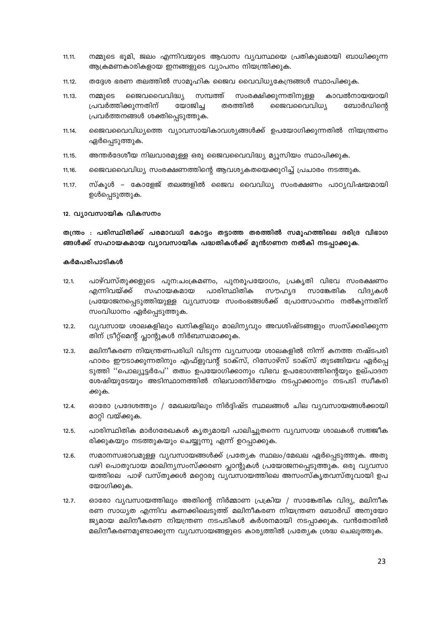- 11.11. നമ്മുടെ ഭൂമി, ജലം എന്നിവയുടെ ആവാസ വ്യവസ്ഥയെ പ്രതികൂലമായി ബാധിക്കുന്ന ആക്രമണകാരികളായ ഇനങ്ങളുടെ വ്യാപനം നിയന്ത്രിക്കുക.
- തദ്ദേശ ഭരണ തലത്തിൽ സാമൂഹിക ജൈവ വൈവിധ്യകേന്ദ്രങ്ങൾ സ്ഥാപിക്കുക.  $11.12.$
- കാവൽനായയായി നമ്മുടെ ജൈവവൈവിദ്ധ്യ സമ്പത്ത് സംരക്ഷിക്കുന്നതിനുള്ള  $11.13.$ യോജിച്ച പ്രവർത്തിക്കുന്നതിന് തരത്തിൽ ജൈവവൈവിധ്യ ബോർഡിന്റെ പ്രവർത്തനങ്ങൾ ശക്തിപ്പെടുത്തുക.
- ജൈവവൈവിധ്യത്തെ വ്യാവസായികാവശ്യങ്ങൾക്ക് ഉപയോഗിക്കുന്നതിൽ നിയന്ത്രണം 11.14. ഏർപ്പെടുത്തുക.
- അന്തർദേശീയ നിലവാരമുള്ള ഒരു ജൈവവൈവിദ്ധ്യ മ്യൂസിയം സ്ഥാപിക്കുക. 11.15.
- ജൈവവൈവിധ്യ സംരക്ഷണത്തിന്റെ ആവശ്യകതയെക്കുറിച്ച് പ്രചാരം നടത്തുക. 11.16.
- സ്കൂൾ കോളേജ് തലങ്ങളിൽ ജൈവ വൈവിധ്യ സംരക്ഷണം പാഠ്യവിഷയമായി  $11.17.$ ഉൾപ്പെടുത്തുക.

#### 12. വ്യാവസായിക വികസനം

തന്ത്രം : പരിസ്ഥിതിക്ക് പരമാവധി കോട്ടം തട്ടാത്ത തരത്തിൽ സമൂഹത്തിലെ ദരിദ്ര വിഭാഗ ങ്ങൾക്ക് സഹായകമായ വ്യാവസായിക പദ്ധതികൾക്ക് മുൻഗണന നൽകി നടപ്പാക്കുക.

- $12.1.$ പാഴ്വസ്തുക്കളുടെ പുന:ചാക്രമണം, പുനരുപയോഗം, പ്രകൃതി വിഭവ സംരക്ഷണം എന്നിവയ്ക്ക് സഹായകമായ പാരിസ്ഥിതിക സൗഹൃദ സാങ്കേതിക വിദ്യകൾ പ്രയോജനപ്പെടുത്തിയുള്ള വ്യവസായ സംരംഭങ്ങൾക്ക് പ്രോത്സാഹനം നൽകുന്നതിന് സംവിധാനം ഏർപ്പെടുത്തുക.
- വ്യവസായ ശാലകളിലും ഖനികളിലും മാലിന്യവും അവശിഷ്ടങ്ങളും സംസ്ക്കരിക്കുന്ന  $12.2.$ തിന് ട്രീറ്റ്മെന്റ് പ്ലാന്റുകൾ നിർബന്ധമാക്കുക.
- മലിനീകരണ നിയന്ത്രണപരിധി വിടുന്ന വ്യവസായ ശാലകളിൽ നിന്ന് കനത്ത നഷ്ടപരി  $12.3.$ ഹാരം ഈടാക്കുന്നതിനും എഫ്ളുവന്റ് ടാക്സ്, റിസോഴ്സ് ടാക്സ് തുടങ്ങിയവ ഏർപ്പെ ടുത്തി ''പൊല്യൂട്ടർപേ'' തത്വം ഉപയോഗിക്കാനും വിഭവ ഉപഭോഗത്തിന്റെയും ഉല്പാദന ശേഷിയുടേയും അടിസ്ഥാനത്തിൽ നിലവാരനിർണയം നടപ്പാക്കാനും നടപടി സ്വീകരി ക്കുക.
- ഓരോ പ്രദേശത്തും / മേഖലയിലും നിർദ്ദിഷ്ട സ്ഥലങ്ങൾ ചില വ്യവസായങ്ങൾക്കായി  $12.4.$ മാറ്റി വയ്ക്കുക.
- പാരിസ്ഥിതിക മാർഗരേഖകൾ കൃത്യമായി പാലിച്ചുതന്നെ വ്യവസായ ശാലകൾ സജ്ജീക  $12.5.$ രിക്കുകയും നടത്തുകയും ചെയ്യുന്നു എന്ന് ഉറപ്പാക്കുക.
- $12.6.$ സമാനസ്വഭാവമുള്ള വ്യവസായങ്ങൾക്ക് പ്രത്യേക സ്ഥലം/മേഖല ഏർപ്പെടുത്തുക. അതു വഴി പൊതുവായ മാലിന്യസംസ്ക്കരണ പ്ലാന്റുകൾ പ്രയോജനപ്പെടുത്തുക. ഒരു വ്യവസാ യത്തിലെ പാഴ് വസ്തുക്കൾ മറ്റൊരു വ്യവസായത്തിലെ അസംസ്കൃതവസ്തുവായി ഉപ യോഗിക്കുക.
- ഓരോ വ്യവസായത്തിലും അതിന്റെ നിർമ്മാണ പ്രക്രിയ / സാങ്കേതിക വിദ്യ, മലിനീക  $12.7.$ രണ സാധ്യത എന്നിവ കണക്കിലെടുത്ത് മലിനീകരണ നിയന്ത്രണ ബോർഡ് അനുയോ ജ്യമായ മലിനീകരണ നിയന്ത്രണ നടപടികൾ കർശനമായി നടപ്പാക്കുക. വൻതോതിൽ മലിനീകരണമുണ്ടാക്കുന്ന വ്യവസായങ്ങളുടെ കാര്യത്തിൽ പ്രത്യേക ശ്രദ്ധ ചെലുത്തുക.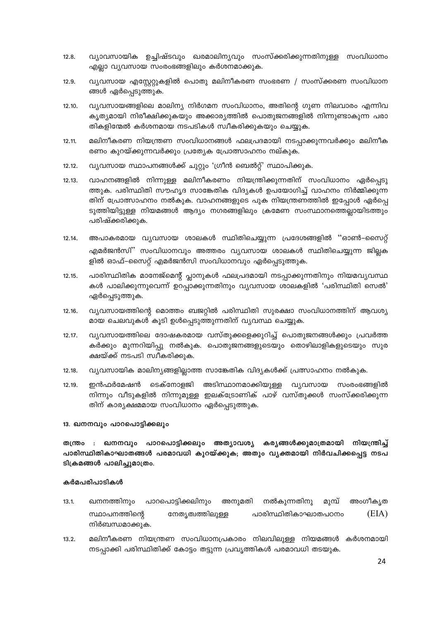- വ്യാവസായിക ഉച്ചിഷ്ടവും ഖരമാലിന്യവും സംസ്ക്കരിക്കുന്നതിനുള്ള സംവിധാനം  $12.8.$ എല്ലാ വ്യവസായ സംരംഭങ്ങളിലും കർശനമാക്കുക.
- വ്യവസായ എസ്റ്റേറ്റുകളിൽ പൊതു മലിനീകരണ സംഭരണ / സംസ്ക്കരണ സംവിധാന  $12.9.$ ങ്ങൾ ഏർപ്പെടുത്തുക.
- വ്യവസായങ്ങളിലെ മാലിന്യ നിർഗമന സംവിധാനം, അതിന്റെ ഗുണ നിലവാരം എന്നിവ 12.10. കൃത്യമായി നിരീക്ഷിക്കുകയും അക്കാര്യത്തിൽ പൊതുജനങ്ങളിൽ നിന്നുണ്ടാകുന്ന പരാ തികളിന്മേൽ കർശനമായ നടപടികൾ സ്വീകരിക്കുകയും ചെയ്യുക.
- $12.11.$ മലിനീകരണ നിയന്ത്രണ സംവിധാനങ്ങൾ ഫലപ്രദമായി നടപ്പാക്കുന്നവർക്കും മലിനീക രണം കുറയ്ക്കുന്നവർക്കും പ്രത്യേക പ്രോത്സാഹനം നല്കുക.
- വ്യവസായ സ്ഥാപനങ്ങൾക്ക് ചുറ്റും 'ഗ്രീൻ ബെൽറ്റ്' സ്ഥാപിക്കുക.  $12.12.$
- വാഹനങ്ങളിൽ നിന്നുള്ള മലിനീകരണം നിയന്ത്രിക്കുന്നതിന് സംവിധാനം ഏർപ്പെടു  $12.13.$ ത്തുക. പരിസ്ഥിതി സൗഹൃദ സാങ്കേതിക വിദ്യകൾ ഉപയോഗിച്ച് വാഹനം നിർമ്മിക്കുന്ന തിന് പ്രോത്സാഹനം നൽകുക. വാഹനങ്ങളുടെ പുക നിയന്ത്രണത്തിൽ ഇപ്പോൾ ഏർപ്പെ ടുത്തിയിട്ടുള്ള നിയമങ്ങൾ ആദ്യം നഗരങ്ങളിലും ക്രമേണ സംസ്ഥാനത്തെല്ലായിടത്തും പരിഷ്ക്കരിക്കുക.
- അപാകരമായ വ്യവസായ ശാലകൾ സ്ഥിതിചെയ്യുന്ന പ്രദേശങ്ങളിൽ "ഓൺ–സൈറ്റ്  $12.14.$ എമർജൻസി" സംവിധാനവും അത്തരം വ്യവസായ ശാലകൾ സ്ഥിതിചെയ്യുന്ന ജില്ലക ളിൽ ഓഫ്–സൈറ്റ് എമർജൻസി സംവിധാനവും ഏർപ്പെടുത്തുക.
- 12.15. പാരിസ്ഥിതിക മാനേജ്മെന്റ് പ്ലാനുകൾ ഫലപ്രദമായി നടപ്പാക്കുന്നതിനും നിയമവ്യവസ്ഥ കൾ പാലിക്കുന്നുവെന്ന് ഉറപ്പാക്കുന്നതിനും വ്യവസായ ശാലകളിൽ 'പരിസ്ഥിതി സെൽ' ഏർപ്പെടുത്തുക.
- വ്യവസായത്തിന്റെ മൊത്തം ബജറ്റിൽ പരിസ്ഥിതി സുരക്ഷാ സംവിധാനത്തിന് ആവശ്യ 12.16. മായ ചെലവുകൾ കൂടി ഉൾപ്പെടുത്തുന്നതിന് വ്യവസ്ഥ ചെയ്യുക.
- വ്യവസായത്തിലെ ദോഷകരമായ വസ്തുക്കളെക്കുറിച്ച് പൊതുജനങ്ങൾക്കും പ്രവർത്ത  $12.17.$ കർക്കും മുന്നറിയിപ്പു നൽകുക. പൊതുജനങ്ങളുടെയും തൊഴിലാളികളുടെയും സുര ക്ഷയ്ക്ക് നടപടി സ്വീകരിക്കുക.
- വ്യവസായിക മാലിന്യങ്ങളില്ലാത്ത സാങ്കേതിക വിദ്യകൾക്ക് പ്രത്സാഹനം നൽകുക. 12.18.
- ഇൻഫർമേഷൻ ടെക്നോളജി അടിസ്ഥാനമാക്കിയുള്ള വ്യവസായ സംരംഭങ്ങളിൽ 12 19 നിന്നും വീടുകളിൽ നിന്നുമുള്ള ഇലക്ട്രോണിക് പാഴ് വസ്തുക്കൾ സംസ്ക്കരിക്കുന്ന തിന് കാര്യക്ഷമമായ സംവിധാനം ഏർപ്പെടുത്തുക.

## 13. ഖനനവും പാറപൊട്ടിക്കലും

: ഖനനവും പാറപൊട്ടിക്കലും അത്യാവശ്യ കര്യങ്ങൾക്കുമാത്രമായി നിയന്ത്രിച്ച് തന്ത്രം പാരിസ്ഥിതികാഘാതങ്ങൾ പരമാവധി കുറയ്ക്കുക; അതും വൃക്തമായി നിർവചിക്കപ്പെട്ട നടപ ടിക്രമങ്ങൾ പാലിച്ചുമാത്രം.

- അംഗീകൃത  $13.1.$ ഖനനത്തിനും പാറപൊട്ടിക്കലിനും അനുമതി നൽകുന്നതിനു മുമ്പ്  $(EIA)$ സ്ഥാപനത്തിന്റെ നേതൃത്വത്തിലുള്ള പാരിസ്ഥിതികാഘാതപഠനം നിർബന്ധമാക്കുക.
- മലിനീകരണ നിയന്ത്രണ സംവിധാനപ്രകാരം നിലവിലുള്ള നിയമങ്ങൾ കർശനമായി  $13.2.$ നടപ്പാക്കി പരിസ്ഥിതിക്ക് കോട്ടം തട്ടുന്ന പ്രവൃത്തികൾ പരമാവധി തടയുക.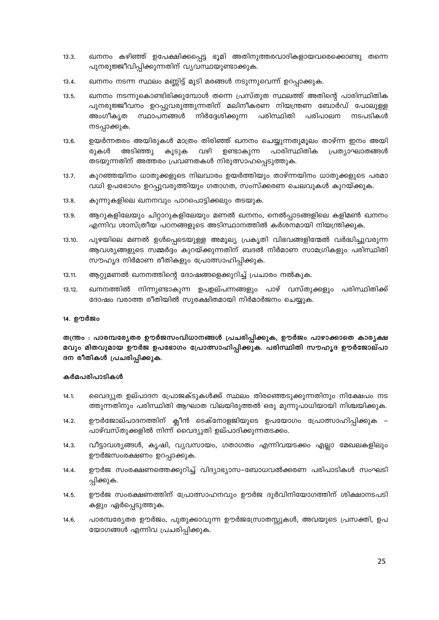- ഖനനം കഴിഞ്ഞ് ഉപേക്ഷിക്കപ്പെട്ട ഭൂമി അതിനുത്തരവാദികളായവരെക്കൊണ്ടു തന്നെ  $13.3.$ പുനരുജ്ജീവിപ്പിക്കുന്നതിന് വ്യവസ്ഥയുണ്ടാക്കുക.
- ഖനനം നടന്ന സ്ഥലം മണ്ണിട്ട് മൂടി മരങ്ങൾ നടുന്നുവെന്ന് ഉറപ്പാക്കുക.  $13.4.$
- ഖനനം നടന്നുകൊണ്ടിരിക്കുമ്പോൾ തന്നെ പ്രസ്തുത സ്ഥലത്ത് അതിന്റെ പാരിസ്ഥിതിക  $13.5.$ പുനരുജ്ജീവനം ഉറപ്പുവരുത്തുന്നതിന് മലിനീകരണ നിയന്ത്രണ ബോർഡ് പോലുള്ള അംഗീകൃത സ്ഥാപനങ്ങൾ നിർദ്ദേശിക്കുന്ന പരിസ്ഥിതി പരിപാലന നടപടികൾ നടപ്പാക്കുക.
- $13.6.$ ഉയർന്നതരം അയിരുകൾ മാത്രം തിരിഞ്ഞ് ഖനനം ചെയ്യുന്നതുമൂലം താഴ്ന്ന ഇനം അയി അടിഞ്ഞു കൂടുക വഴി ഉണ്ടാകുന്ന പാരിസ്ഥിതിക പ്രത്യാഘാതങ്ങൾ രുകൾ തടയുന്നതിന് അത്തരം പ്രവണതകൾ നിരുത്സാഹപ്പെടുത്തുക.
- $13.7.$ കുറഞ്ഞയിനം ധാതുക്കളുടെ നിലവാരം ഉയർത്തിയും താഴ്ന്നയിനം ധാതുക്കളുടെ പരമാ വധി ഉപഭോഗം ഉറപ്പുവരുത്തിയും ഗതാഗത, സംസ്ക്കരണ ചെലവുകൾ കുറയ്ക്കുക.
- $13.8.$ കുന്നുകളിലെ ഖനനവും പാറപൊട്ടിക്കലും തടയുക.
- ആറുകളിലേയും ചിറ്റാറുകളിലേയും മണൽ ഖനനം, നെൽപ്പാടങ്ങളിലെ കളിമൺ ഖനനം 13.9. എന്നിവ ശാസ്ത്രീയ പഠനങ്ങളുടെ അടിസ്ഥാനത്തിൽ കർശനമായി നിയന്ത്രിക്കുക.
- പുഴയിലെ മണൽ ഉൾപ്പെടെയുള്ള അമൂല്യ പ്രകൃതി വിഭവങ്ങളിന്മേൽ വർദ്ധിച്ചുവരുന്ന 13.10. ആവശ്യങ്ങളുടെ സമ്മർദ്ദം കുറയ്ക്കുന്നതിന് ബദൽ നിർമാണ സാമഗ്രികളും പരിസ്ഥിതി സൗഹൃദ നിർമാണ രീതികളും പ്രോത്സാഹിപ്പിക്കുക.
- ആറ്റുമണൽ ഖനനത്തിന്റെ ദോഷങ്ങളെക്കുറിച്ച് പ്രചാരം നൽകുക.  $13.11.$
- $13.12.$ ഖനനത്തിൽ നിന്നുണ്ടാകുന്ന ഉപഉല്പന്നങ്ങളും പാഴ് വസ്തുക്കളും പരിസ്ഥിതിക്ക് ദോഷം വരാത്ത രീതിയിൽ സുരക്ഷിതമായി നിർമാർജനം ചെയ്യുക.

#### 14. ഊർജം

തന്ത്രം : പാരമ്പര്യേതര ഊർജസംവിധാനങ്ങൾ പ്രചരിപ്പിക്കുക, ഊർജം പാഴാക്കാതെ കാര്യക്ഷ മവും മിതവുമായ ഊർജ ഉപഭോഗം പ്രോത്സാഹിപ്പിക്കുക. പരിസ്ഥിതി സൗഹൃദ ഊർജോല്പാ ദന രീതികൾ പ്രചരിപ്പിക്കുക.

- വൈദ്യുത ഉല്പാദന പ്രോജക്ടുകൾക്ക് സ്ഥലം തിരഞ്ഞെടുക്കുന്നതിനും നിക്ഷേപം നട  $14.1.$ ത്തുന്നതിനും പരിസ്ഥിതി ആഘാത വിലയിരുത്തൽ ഒരു മുന്നുപാധിയായി നിശ്ചയിക്കുക.
- ഊർജോല്പാദനത്തിന് ക്ലീൻ ടെക്നോളജിയുടെ ഉപയോഗം പ്രോത്സാഹിപ്പിക്കുക  $14.2.$ പാഴ്വസ്തുക്കളിൽ നിന്ന് വൈദ്യുതി ഉല്പാദിക്കുന്നതടക്കം.
- വീട്ടാവശ്യങ്ങൾ, കൃഷി, വ്യവസായം, ഗതാഗതം എന്നിവയടക്കം എല്ലാ മേഖലകളിലും  $14.3.$ ഊർജസംരക്ഷണം ഉറപ്പാക്കുക.
- ഊർജ സംരക്ഷണത്തെക്കുറിച്ച് വിദ്യാഭ്യാസ–ബോധവൽക്കരണ പരിപാടികൾ സംഘടി 14.4. പ്പിക്കുക.
- ഊർജ സംരക്ഷണത്തിന് പ്രോത്സാഹനവും ഊർജ ദുർവിനിയോഗത്തിന് ശിക്ഷാനടപടി  $14.5.$ കളും ഏർപ്പെടുത്തുക.
- പാരമ്പര്യേതര ഊർജം, പുതുക്കാവുന്ന ഊർജസ്രോതസ്സുകൾ, അവയുടെ പ്രസക്തി, ഉപ 14.6. യോഗങ്ങൾ എന്നിവ പ്രചരിപ്പിക്കുക.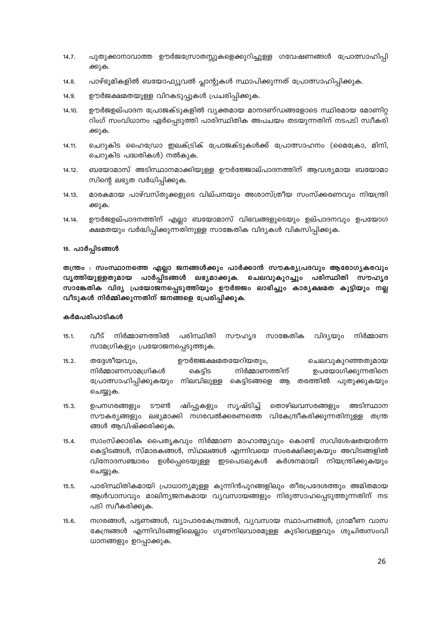- 14.7. പുതുക്കാനാവാത്ത ഊർജസ്രോതസ്സുകളെക്കുറിച്ചുള്ള ഗവേഷണങ്ങൾ പ്രോത്സാഹിപ്പി ക്കുക.
- പാഴ്ഭൂമികളിൽ ബയോഫ്യൂവൽ പ്ലാന്റുകൾ സ്ഥാപിക്കുന്നത് പ്രോത്സാഹിപ്പിക്കുക.  $14.8.$
- ഊർജക്ഷമതയുള്ള വിറകടുപ്പുകൾ പ്രചരിപ്പിക്കുക. 14.9.
- ഊർജഉല്പാദന പ്രോജക്ടുകളിൽ വ്യക്തമായ മാനദണ്ഡങ്ങളോടെ സ്ഥിരമായ മോണിറ്റ 14.10. റിംഗ് സംവിധാനം ഏർപ്പെടുത്തി പാരിസ്ഥിതിക അപചയം തടയുന്നതിന് നടപടി സ്വീകരി ക്കുക.
- ചെറുകിട ഹൈഡ്രോ ഇലക്ട്രിക് പ്രോജക്ടുകൾക്ക് പ്രോത്സാഹനം (മൈക്രോ, മിനി,  $14.11.$ ചെറുകിട പദ്ധതികൾ) നൽകുക.
- ബയോമാസ് അടിസ്ഥാനമാക്കിയുള്ള ഊർജ്ജോല്പാദനത്തിന് ആവശ്യമായ ബയോമാ 14.12. സിന്റെ ലഭ്യത വർധിപ്പിക്കുക.
- മാരകമായ പാഴ്വസ്തുക്കളുടെ വില്പനയും അശാസ്ത്രീയ സംസ്ക്കരണവും നിയന്ത്രി 14.13. ക്കുക.
- ഊർജഉല്പാദനത്തിന് എല്ലാ ബയോമാസ് വിഭവങ്ങളുടെയും ഉല്പാദനവും ഉപയോഗ 14.14. ക്ഷമതയും വർദ്ധിപ്പിക്കുന്നതിനുള്ള സാങ്കേതിക വിദ്യകൾ വികസിപ്പിക്കുക.

## 15. പാർപ്പിടങ്ങൾ

തന്ത്രം : സംസ്ഥാനത്തെ എല്ലാ ജനങ്ങൾക്കും പാർക്കാൻ സൗകര്യപ്രദവും ആരോഗ്യകരവും വൃത്തിയുള്ളതുമായ പാർപ്പിടങ്ങൾ ലഭ്യമാക്കുക. ചെലവുകുറച്ചും പരിസ്ഥിതി സൗഹൃദ സാങ്കേതിക വിദ്യ പ്രയോജനപ്പെടുത്തിയും ഊർജ്ജം ലാഭിച്ചും കാര്യക്ഷമത കൂട്ടിയും നല്ല വീടുകൾ നിർമ്മിക്കുന്നതിന് ജനങ്ങളെ പ്രേരിപ്പിക്കുക.

- റ്റീട്  $15.1.$ നിർമ്മാണത്തിൽ പരിസ്ഥിതി സൗഹ്യദ സാങ്കേതിക വിദ്യയും നിർമ്മാണ സാമഗ്രികളും പ്രയോജനപ്പെടുത്തുക.
- $15.2.$ തദ്ദേശീയവും, ഊർജ്ജക്ഷമതയേറിയതും, ചെലവുകുറഞ്ഞതുമായ നിർമ്മാണത്തിന് നിർമ്മാണസാമഗ്രികൾ കെട്ടിട ഉപയോഗിക്കുന്നതിനെ പ്രോത്സാഹിപ്പിക്കുകയും നിലവിലുള്ള കെട്ടിടങ്ങളെ ആ തരത്തിൽ പുതുക്കുകയും ചെയ്യുക.
- ഷിപ്പുകളും തൊഴിലവസരങ്ങളും  $15.3.$ ഉപനഗരങ്ങളും ടൗൺ സൃഷ്ടിച്ച് അടിസ്ഥാന സൗകര്യങ്ങളും ലഭ്യമാക്കി നഗരവൽക്കരണത്തെ വികേന്ദ്രീകരിക്കുന്നതിനുള്ള തന്ത്ര ങ്ങൾ ആവിഷ്ക്കരിക്കുക.
- $15.4.$ സാംസ്ക്കാരിക പൈതൃകവും നിർമ്മാണ മാഹാത്മ്യവും കൊണ്ട് സവിശേഷതയാർന്ന കെട്ടിടങ്ങൾ, സ്മാരകങ്ങൾ, സ്ഥലങ്ങൾ എന്നിവയെ സംരക്ഷിക്കുകയും അവിടങ്ങളിൽ വിനോദസഞ്ചാരം ഉൾപ്പെടെയുള്ള ഇടപെടലുകൾ കർശനമായി നിയന്ത്രിക്കുകയും ചെയ്യുക.
- $15.5.$ പാരിസ്ഥിതികമായി പ്രാധാന്യമുള്ള കുന്നിൻപുറങ്ങളിലും തീരപ്രദേശത്തും അമിതമായ ആൾവാസവും മാലിന്യജനകമായ വ്യവസായങ്ങളും നിരുത്സാഹപ്പെടുത്തുന്നതിന് നട പടി സ്വീകരിക്കുക.
- $15.6.$ നഗരങ്ങൾ, പട്ടണങ്ങൾ, വ്യാപാരകേന്ദ്രങ്ങൾ, വ്യവസായ സ്ഥാപനങ്ങൾ, ഗ്രാമീണ വാസ കേന്ദ്രങ്ങൾ എന്നിവിടങ്ങളിലെല്ലാം ഗുണനിലവാരമുള്ള കുടിവെള്ളവും ശുചിത്വസംവി ധാനങ്ങളും ഉറപ്പാക്കുക.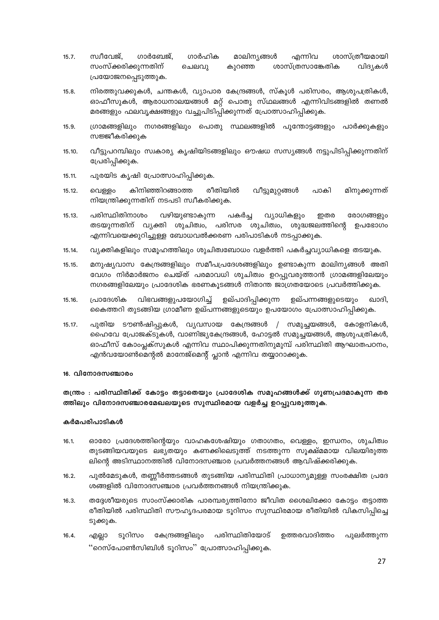- ഗാർഹിക സ്വീവേജ്, ശാസ്ത്രീയമായി  $15.7.$ ഗാർബേജ്, മാലിന്യങ്ങൾ എന്നിവ സംസ്ക്കരിക്കുന്നതിന് ശാസ്ത്രസാങ്കേതിക ചെലവു കുറഞ്ഞ വിദ്യകൾ പ്രയോജനപ്പെടുത്തുക.
- $15.8.$ നിരത്തുവക്കുകൾ, ചന്തകൾ, വ്യാപാര കേന്ദ്രങ്ങൾ, സ്കൂൾ പരിസരം, ആശുപത്രികൾ, ഓഫീസുകൾ, ആരാധനാലയങ്ങൾ മറ്റ് പൊതു സ്ഥലങ്ങൾ എന്നിവിടങ്ങളിൽ തണൽ മരങ്ങളും ഫലവൃക്ഷങ്ങളും വച്ചുപിടിപ്പിക്കുന്നത് പ്രോത്സാഹിപ്പിക്കുക.
- $15.9.$ ഗ്രാമങ്ങളിലും നഗരങ്ങളിലും പൊതു സ്ഥലങ്ങളിൽ പുന്തോട്ടങ്ങളും പാർക്കുകളും സജ്ജീകരിക്കുക
- $15, 10$ വീട്ടുപറമ്പിലും സ്വകാര്യ കൃഷിയിടങ്ങളിലും ഔഷധ സസ്യങ്ങൾ നട്ടുപിടിപ്പിക്കുന്നതിന് പ്രേരിപ്പിക്കുക.
- 15.11. പുരയിട കൃഷി പ്രോത്സാഹിപ്പിക്കുക.
- കിനിഞ്ഞിറങ്ങാത്ത രീതിയിൽ വീട്ടുമുറ്റങ്ങൾ മിനുക്കുന്നത്  $15.12.$ വെള്ളം പാകി നിയന്ത്രിക്കുന്നതിന് നടപടി സ്വീകരിക്കുക.
- പരിസ്ഥിതിനാശം വഴിയുണ്ടാകുന്ന പകർച്ച വ്യാധികളും 15 13 ഇതര രോഗങ്ങളും തടയുന്നതിന് വ്യക്തി ശുചിത്വം, പരിസര ശുചിത്വം, ശുദ്ധജലത്തിന്റെ ഉപഭോഗം എന്നിവയെക്കുറിച്ചുള്ള ബോധവൽക്കരണ പരിപാടികൾ നടപ്പാക്കുക.
- വ്യക്തികളിലും സമൂഹത്തിലും ശുചിത്വബോധം വളർത്തി പകർച്ചവ്യാധികളെ തടയുക. 15.14.
- $15.15.$ മനുഷ്യവാസ കേന്ദ്രങ്ങളിലും സമീപപ്രദേശങ്ങളിലും ഉണ്ടാകുന്ന മാലിന്യങ്ങൾ അതി വേഗം നിർമാർജനം ചെയ്ത് പരമാവധി ശുചിത്വം ഉറപ്പുവരുത്താൻ ഗ്രാമങ്ങളിലേയും നഗരങ്ങളിലേയും പ്രാദേശിക ഭരണകൂടങ്ങൾ നിതാന്ത ജാഗ്രതയോടെ പ്രവർത്തിക്കുക.
- വിഭവങ്ങളുപയോഗിച്ച് ഉല്പാദിപ്പിക്കുന്ന 15.16. പ്രാദേശിക ഉല്പന്നങ്ങളുടെയും ഖാദി. കൈത്തറി തുടങ്ങിയ ഗ്രാമീണ ഉല്പന്നങ്ങളുടെയും ഉപയോഗം പ്രോത്സാഹിപ്പിക്കുക.
- $15.17.$ പുതിയ ടൗൺഷിപ്പുകൾ, വ്യവസായ കേന്ദ്രങ്ങൾ / സമുച്ചയങ്ങൾ, കോളനികൾ, ഹൈവേ പ്രോജക്ടുകൾ, വാണിജ്യകേന്ദ്രങ്ങൾ, ഹോട്ടൽ സമൂച്ചയങ്ങൾ, ആശുപത്രികൾ, ഓഫീസ് കോംപ്ലക്സുകൾ എന്നിവ സ്ഥാപിക്കുന്നതിനുമുമ്പ് പരിസ്ഥിതി ആഘാതപഠനം, എൻവയോൺമെന്റൽ മാനേജ്മെന്റ് പ്ലാൻ എന്നിവ തയ്യാറാക്കുക.

## 16. വിനോദസഞ്ചാരം

തന്ത്രം : പരിസ്ഥിതിക്ക് കോട്ടം തട്ടാതെയും പ്രാദേശിക സമൂഹങ്ങൾക്ക് ഗുണപ്രദമാകുന്ന തര ത്തിലും വിനോദസഞ്ചാരമേഖലയുടെ സുസ്ഥിരമായ വളർച്ച ഉറപ്പുവരുത്തുക.

- $16.1.$ ഓരോ പ്രദേശത്തിന്റെയും വാഹകശേഷിയും ഗതാഗതം, വെള്ളം, ഇന്ധനം, ശുചിത്വം തുടങ്ങിയവയുടെ ലഭ്യതയും കണക്കിലെടുത്ത് നടത്തുന്ന സൂക്ഷ്മമായ വിലയിരുത്ത ലിന്റെ അടിസ്ഥാനത്തിൽ വിനോദസഞ്ചാര പ്രവർത്തനങ്ങൾ ആവിഷ്ക്കരിക്കുക.
- പുൽമേടുകൾ, തണ്ണീർത്തടങ്ങൾ തുടങ്ങിയ പരിസ്ഥിതി പ്രാധാന്യമുള്ള സംരക്ഷിത പ്രദേ  $16.2.$ ശങ്ങളിൽ വിനോദസഞ്ചാര പ്രവർത്തനങ്ങൾ നിയന്ത്രിക്കുക.
- തദ്ദേശീയരുടെ സാംസ്ക്കാരിക പാരമ്പര്യത്തിനോ ജീവിത ശൈലിക്കോ കോട്ടം തട്ടാത്ത  $16.3.$ രീതിയിൽ പരിസ്ഥിതി സൗഹൃദപരമായ ടൂറിസം സുസ്ഥിരമായ രീതിയിൽ വികസിപ്പിച്ചെ ടുക്കുക.
- $16.4.$ ടൂറിസം കേന്ദ്രങ്ങളിലും പരിസ്ഥിതിയോട് ഉത്തരവാദിത്തം പുലർത്തുന്ന എല്ലാ "റെസ്പോൺസിബിൾ ടൂറിസം" പ്രോത്സാഹിപ്പിക്കുക.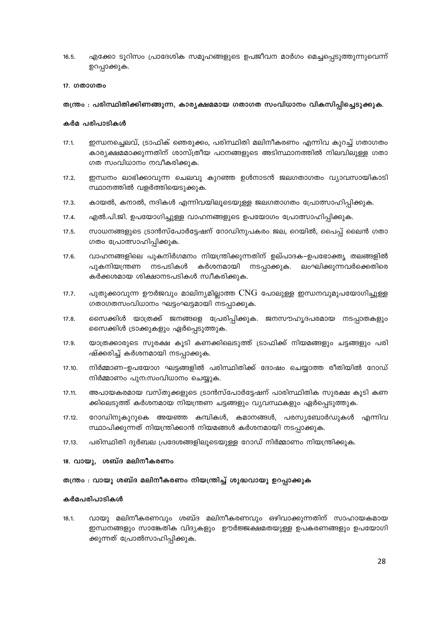$16.5.$ എക്കോ ടൂറിസം പ്രാദേശിക സമൂഹങ്ങളുടെ ഉപജീവന മാർഗം മെച്ചപ്പെടുത്തുന്നുവെന്ന് ഉറപ്പാക്കുക.

#### 17. ഗതാഗതം

## തന്ത്രം : പരിസ്ഥിതിക്കിണങ്ങുന്ന, കാര്യക്ഷമമായ ഗതാഗത സംവിധാനം വികസിപ്പിച്ചെടുക്കുക.

## കർമ പരിപാടികൾ

- $17.1.$ ഇന്ധനച്ചെലവ്, ട്രാഫിക് ഞെരുക്കം, പരിസ്ഥിതി മലിനീകരണം എന്നിവ കുറച്ച് ഗതാഗതം കാര്യക്ഷമമാക്കുന്നതിന് ശാസ്ത്രീയ പഠനങ്ങളുടെ അടിസ്ഥാനത്തിൽ നിലവിലുള്ള ഗതാ ഗത സംവിധാനം നവീകരിക്കുക.
- ഇന്ധനം ലാഭിക്കാവുന്ന ചെലവു കുറഞ്ഞ ഉൾനാടൻ ജലഗതാഗതം വ്യാവസായികാടി  $17.2.$ സ്ഥാനത്തിൽ വളർത്തിയെടുക്കുക.
- കായൽ, കനാൽ, നദികൾ എന്നിവയിലൂടെയുള്ള ജലഗതാഗതം പ്രോത്സാഹിപ്പിക്കുക.  $17.3.$
- $17.4.$ എൽ.പി.ജി. ഉപയോഗിച്ചുള്ള വാഹനങ്ങളുടെ ഉപയോഗം പ്രോത്സാഹിപ്പിക്കുക.
- സാധനങ്ങളുടെ ട്രാൻസ്പോർട്ടേഷന് റോഡിനുപകരം ജല, റെയിൽ, പൈപ്പ് ലൈൻ ഗതാ  $17.5.$ ഗതം പ്രോത്സാഹിപ്പിക്കുക.
- $17.6.$ വാഹനങ്ങളിലെ പുകനിർഗമനം നിയന്ത്രിക്കുന്നതിന് ഉല്പാദക–ഉപഭോക്തൃ തലങ്ങളിൽ കർശനമായി പുകനിയന്ത്രണ നടപടികൾ നടപ്പാക്കുക. ലംഘിക്കുന്നവർക്കെതിരെ കർക്കശമായ ശിക്ഷാനടപടികൾ സ്വീകരിക്കുക.
- പുതുക്കാവുന്ന ഊർജവും മാലിന്യമില്ലാത്ത  $\rm{CNG}$  പോലുള്ള ഇന്ധനവുമുപയോഗിച്ചുള്ള  $17.7.$ ഗതാഗതസംവിധാനം ഘട്ടംഘട്ടമായി നടപ്പാക്കുക.
- $17.8.$ സൈക്കിൾ യാത്രക്ക് ജനങ്ങളെ പ്രേരിപ്പിക്കുക. ജനസൗഹൃദപരമായ നടപ്പാതകളും സൈക്കിൾ ട്രാക്കുകളും ഏർപ്പെടുത്തുക.
- 17.9. യാത്രക്കാരുടെ സുരക്ഷ കൂടി കണക്കിലെടുത്ത് ട്രാഫിക്ക് നിയമങ്ങളും ചട്ടങ്ങളും പരി ഷ്ക്കരിച്ച് കർശനമായി നടപ്പാക്കുക.
- നിർമ്മാണ–ഉപയോഗ ഘട്ടങ്ങളിൽ പരിസ്ഥിതിക്ക് ദോഷം ചെയ്യാത്ത രീതിയിൽ റോഡ് 17.10. നിർമ്മാണം പുന:സംവിധാനം ചെയ്യുക.
- അപായകരമായ വസ്തുക്കളുടെ ട്രാൻസ്പോർട്ടേഷന് പാരിസ്ഥിതിക സുരക്ഷ കൂടി കണ 17.11. ക്കിലെടുത്ത് കർശനമായ നിയന്ത്രണ ചട്ടങ്ങളും വ്യവസ്ഥകളും ഏർപ്പെടുത്തുക.
- റോഡിനുകുറുകെ അയഞ്ഞ കമ്പികൾ, കമാനങ്ങൾ, പരസ്യബോർഡുകൾ എന്നിവ  $17.12.$ സ്ഥാപിക്കുന്നത് നിയന്ത്രിക്കാൻ നിയമങ്ങൾ കർശനമായി നടപ്പാക്കുക.
- പരിസ്ഥിതി ദുർബല പ്രദേശങ്ങളിലൂടെയുള്ള റോഡ് നിർമ്മാണം നിയന്ത്രിക്കുക. 17.13.

#### 18. വായു, ശബ്ദ മലിനീകരണം

#### തന്ത്രം : വായു ശബ്ദ മലിനീകരണം നിയന്ത്രിച്ച് ശുദ്ധവായു ഉറപ്പാക്കുക

#### കർമപരിപാടികൾ

 $18.1.$ വായു മലിനീകരണവും ശബ്ദ മലിനീകരണവും ഒഴിവാക്കുന്നതിന് സാഹായകമായ ഇന്ധനങ്ങളും സാങ്കേതിക വിദ്യകളും ഉൗർജ്ജക്ഷമതയുള്ള ഉപകരണങ്ങളും ഉപയോഗി ക്കുന്നത് പ്രോൽസാഹിപ്പിക്കുക.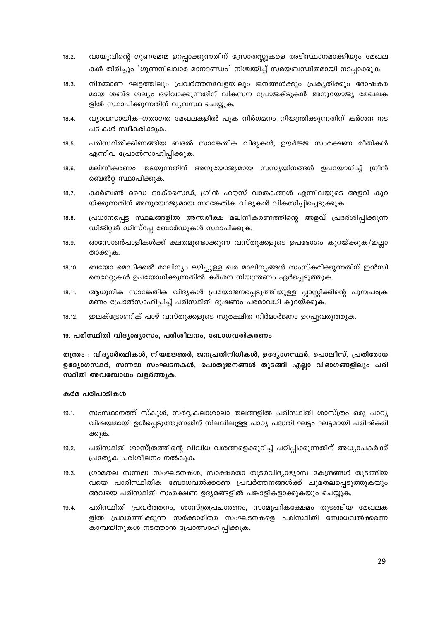- $18.2.$ വായുവിന്റെ ഗുണമേന്മ ഉറപ്പാക്കുന്നതിന് സ്രോതസ്സുകളെ അടിസ്ഥാനമാക്കിയും മേഖല കൾ തിരിച്ചും 'ഗുണനിലവാര മാനദണ്ഡം' നിശ്ചയിച്ച് സമയബന്ധിതമായി നടപ്പാക്കുക.
- നിർമ്മാണ ഘട്ടത്തിലും പ്രവർത്തനവേളയിലും ജനങ്ങൾക്കും പ്രകൃതിക്കും ദോഷകര  $18.3.$ മായ ശബ്ദ ശല്യം ഒഴിവാക്കുന്നതിന് വികസന പ്രോജക്ടുകൾ അനുയോജ്യ മേഖലക ളിൽ സ്ഥാപിക്കുന്നതിന് വ്യവസ്ഥ ചെയ്യുക.
- വ്യാവസായിക–ഗതാഗത മേഖലകളിൽ പുക നിർഗമനം നിയന്ത്രിക്കുന്നതിന് കർശന നട  $18.4.$ പടികൾ സ്വീകരിക്കുക.
- പരിസ്ഥിതിക്കിണങ്ങിയ ബദൽ സാങ്കേതിക വിദ്യകൾ, ഊർജ്ജ സംരക്ഷണ രീതികൾ  $18.5.$ എന്നിവ പ്രോൽസാഹിപ്പിക്കുക.
- മലിനീകരണം തടയുന്നതിന് അനുയോജ്യമായ സസ്യയിനങ്ങൾ ഉപയോഗിച്ച് ഗ്രീൻ  $18.6.$ ബെൽറ്റ് സ്ഥാപിക്കുക.
- കാർബൺ ഡൈ ഓക്സൈഡ്, ഗ്രീൻ ഹൗസ് വാതകങ്ങൾ എന്നിവയുടെ അളവ് കുറ  $18.7.$ യ്ക്കുന്നതിന് അനുയോജ്യമായ സാങ്കേതിക വിദ്യകൾ വികസിപ്പിച്ചെടുക്കുക.
- പ്രധാനപ്പെട്ട സ്ഥലങ്ങളിൽ അന്തരീക്ഷ മലിനീകരണത്തിന്റെ അളവ് പ്രദർശിപ്പിക്കുന്ന  $18.8.$ ഡിജിറ്റൽ ഡിസ്പ്ലേ ബോർഡുകൾ സ്ഥാപിക്കുക.
- 18.9. ഓസോൺപാളികൾക്ക് ക്ഷതമുണ്ടാക്കുന്ന വസ്തുക്കളുടെ ഉപഭോഗം കുറയ്ക്കുക/ഇല്ലാ താക്കുക.
- ബയോ മെഡിക്കൽ മാലിന്യം ഒഴിച്ചുള്ള ഖര മാലിന്യങ്ങൾ സംസ്കരിക്കുന്നതിന് ഇൻസി 18.10. നെറേറ്റുകൾ ഉപയോഗിക്കുന്നതിൽ കർശന നിയന്ത്രണം ഏർപ്പെടുത്തുക.
- ആധുനിക സാങ്കേതിക വിദ്യകൾ പ്രയോജനപ്പെടുത്തിയുള്ള പ്ലാസ്റ്റിക്കിന്റെ പുന:ചാക്ര 18.11. മണം പ്രോൽസാഹിപ്പിച്ച് പരിസ്ഥിതി ദൂഷണം പരമാവധി കുറയ്ക്കുക.
- 18.12. ഇലക്ട്രോണിക് പാഴ് വസ്തുക്കളുടെ സുരക്ഷിത നിർമാർജനം ഉറപ്പുവരുത്തുക.

## 19. പരിസ്ഥിതി വിദ്യാഭ്യാസം, പരിശീലനം, ബോധവൽകരണം

തന്ത്രം : വിദ്യാർത്ഥികൾ, നിയമജ്ഞർ, ജനപ്രതിനിധികൾ, ഉദ്യോഗസ്ഥർ, പൊലീസ്, പ്രതിരോധ ഉദ്യോഗസ്ഥർ, സന്നദ്ധ സംഘടനകൾ, പൊതുജനങ്ങൾ തുടങ്ങി എല്ലാ വിഭാഗങ്ങളിലും പരി സ്ഥിതി അവബോധം വളർത്തുക.

- സംസ്ഥാനത്ത് സ്കൂൾ, സർവ്വകലാശാലാ തലങ്ങളിൽ പരിസ്ഥിതി ശാസ്ത്രം ഒരു പാഠ്യ  $19.1.$ വിഷയമായി ഉൾപ്പെടുത്തുന്നതിന് നിലവിലുള്ള പാഠ്യ പദ്ധതി ഘട്ടം ഘട്ടമായി പരിഷ്കരി ക്കുക.
- പരിസ്ഥിതി ശാസ്ത്രത്തിന്റെ വിവിധ വശങ്ങളെക്കുറിച്ച് പഠിപ്പിക്കുന്നതിന് അധ്യാപകർക്ക്  $19.2.$ പ്രത്യേക പരിശീലനം നൽകുക.
- ഗ്രാമതല സന്നദ്ധ സംഘടനകൾ, സാക്ഷരതാ തുടർവിദ്യാഭ്യാസ കേന്ദ്രങ്ങൾ തുടങ്ങിയ  $19.3.$ വയെ പാരിസ്ഥിതിക ബോധവൽക്കരണ പ്രവർത്തനങ്ങൾക്ക് ചുമതലപ്പെടുത്തുകയും അവയെ പരിസ്ഥിതി സംരക്ഷണ ഉദ്യമങ്ങളിൽ പങ്കാളികളാക്കുകയും ചെയ്യുക.
- പരിസ്ഥിതി പ്രവർത്തനം, ശാസ്ത്രപ്രചാരണം, സാമൂഹികക്ഷേമം തുടങ്ങിയ മേഖലക  $19.4.$ ളിൽ പ്രവർത്തിക്കുന്ന സർക്കാരിതര സംഘടനകളെ പരിസ്ഥിതി ബോധവൽക്കരണ കാമ്പയിനുകൾ നടത്താൻ പ്രോത്സാഹിപ്പിക്കുക.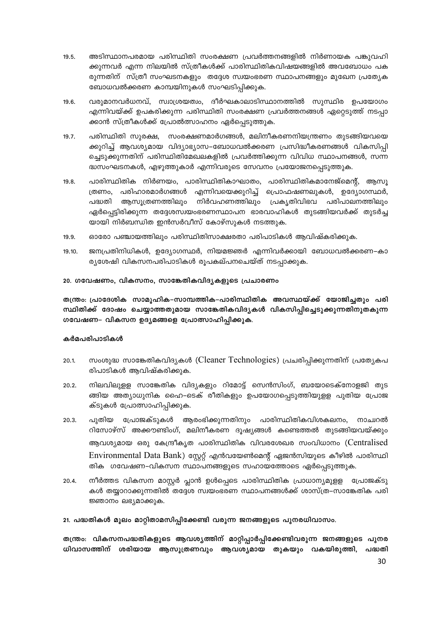- അടിസ്ഥാനപരമായ പരിസ്ഥിതി സംരക്ഷണ പ്രവർത്തനങ്ങളിൽ നിർണായക പങ്കുവഹി  $19.5.$ ക്കുന്നവർ എന്ന നിലയിൽ സ്ത്രീകൾക്ക് പാരിസ്ഥിതികവിഷയങ്ങളിൽ അവബോധം പക രുന്നതിന് സ്ത്രീ സംഘടനകളും തദ്ദേശ സ്വയംഭരണ സ്ഥാപനങ്ങളും മുഖേന പ്രത്യേക ബോധവൽക്കരണ കാമ്പയിനുകൾ സംഘടിപ്പിക്കുക.
- വരുമാനവർധനവ്, സ്വാശ്രയത്വം, ദീർഘകാലാടിസ്ഥാനത്തിൽ സുസ്ഥിര ഉപയോഗം 19.6. എന്നിവയ്ക്ക് ഉപകരിക്കുന്ന പരിസ്ഥിതി സംരക്ഷണ പ്രവർത്തനങ്ങൾ ഏറ്റെടുത്ത് നടപ്പാ ക്കാൻ സ്ത്രീകൾക്ക് പ്രോൽത്സാഹനം ഏർപ്പെടുത്തുക.
- പരിസ്ഥിതി സൂരക്ഷ, സംരക്ഷണമാർഗങ്ങൾ, മലിനീകരണനിയന്ത്രണം തുടങ്ങിയവയെ  $19.7.$ ക്കുറിച്ച് ആവശ്യമായ വിദ്യാഭ്യാസ–ബോധവൽക്കരണ പ്രസിദ്ധീകരണങ്ങൾ വികസിപ്പി ച്ചെടുക്കുന്നതിന് പരിസ്ഥിതിമേഖലകളിൽ പ്രവർത്തിക്കുന്ന വിവിധ സ്ഥാപനങ്ങൾ, സന്ന ദ്ധസംഘടനകൾ, എഴുത്തുകാർ എന്നിവരുടെ സേവനം പ്രയോജനപ്പെടുത്തുക.
- പാരിസ്ഥിതിക നിർണയം, പാരിസ്ഥിതികാഘാതം, പാരിസ്ഥിതികമാനേജ്മെന്റ്, ആസൂ  $19.8.$ ത്രണം, പരിഹാരമാർഗങ്ങൾ എന്നിവയെക്കുറിച്ച പ്രൊഫഷണലുകൾ, ഉദ്യോഗസ്ഥർ, ആസൂത്രണത്തിലും നിർവഹണത്തിലും പ്രകൃതിവിഭവ പരിപാലനത്തിലും പദ്ധതി ഏർപ്പെട്ടിരിക്കുന്ന തദ്ദേശസ്വയംഭരണസ്ഥാപന ഭാരവാഹികൾ തുടങ്ങിയവർക്ക് തുടർച്ച യായി നിർബന്ധിത ഇൻസർവീസ് കോഴ്സുകൾ നടത്തുക.
- ഓരോ പഞ്ചായത്തിലും പരിസ്ഥിതിസാക്ഷരതാ പരിപാടികൾ ആവിഷ്കരിക്കുക. 19.9.
- ജനപ്രതിനിധികൾ, ഉദ്യോഗസ്ഥർ, നിയമജ്ഞർ എന്നിവർക്കായി ബോധവൽക്കരണ–കാ  $19.10.$ ര്യശേഷി വികസനപരിപാടികൾ രൂപകല്പനചെയ്ത് നടപ്പാക്കുക.

#### 20. ഗവേഷണം, വികസനം, സാങ്കേതികവിദൃകളുടെ പ്രചാരണം

തന്ത്രം: പ്രാദേശിക സാമൂഹിക-സാമ്പത്തിക-പാരിസ്ഥിതിക അവസ്ഥയ്ക്ക് യോജിച്ചതും പരി സ്ഥിതിക്ക് ദോഷം ചെയ്യാത്തതുമായ സാങ്കേതികവിദൃകൾ വികസിപ്പിച്ചെടുക്കുന്നതിനുതകുന്ന ഗവേഷണ– വികസന ഉദ്യമങ്ങളെ പ്രോത്സാഹിപ്പിക്കുക.

## കർമപരിപാടികൾ

- സംശുദ്ധ സാങ്കേതികവിദ്യകൾ (Cleaner Technologies) പ്രചരിപ്പിക്കുന്നതിന് പ്രത്യേകപ  $20.1$ രിപാടികൾ ആവിഷ്കരിക്കുക.
- നിലവിലുളള സാങ്കേതിക വിദ്യകളും റിമോട്ട് സെൻസിംഗ്, ബയോടെക്നോളജി തുട 20.2. ങ്ങിയ അത്യാധുനിക ഹൈ–ടെക് രീതികളും ഉപയോഗപ്പെടുത്തിയുള്ള പുതിയ പ്രോജ ക്ടുകൾ പ്രോത്സാഹിപ്പിക്കുക.
- പുതിയ പ്രോജക്ടുകൾ ആരംഭിക്കുന്നതിനും പാരിസ്ഥിതികവിശകലനം, 20.3. നാച്വറൽ റിസോഴ്സ് അക്കൗണ്ടിംഗ്, മലിനീകരണ ദൂഷ്യങ്ങൾ കണ്ടെത്തൽ തുടങ്ങിയവയ്ക്കും ആവശ്യമായ ഒരു കേന്ദ്രീകൃത പാരിസ്ഥിതിക വിവരശേഖര സംവിധാനം (Centralised Environmental Data Bank) സ്റ്റേറ്റ് എൻവയേൺമെന്റ് ഏജൻസിയുടെ കീഴിൽ പാരിസ്ഥി തിക ഗവേഷണ–വികസന സ്ഥാപനങ്ങളുടെ സഹായത്തോടെ ഏർപ്പെടുത്തുക.
- നീർത്തട വികസന മാസ്റ്റർ പ്ലാൻ ഉൾപ്പെടെ പാരിസ്ഥിതിക പ്രാധാന്യമുളള പ്രോജക്ടു 20.4. കൾ തയ്യാറാക്കുന്നതിൽ തദ്ദേശ സ്വയംഭരണ സ്ഥാപനങ്ങൾക്ക് ശാസ്ത്ര–സാങ്കേതിക പരി ജ്ഞാനം ലഭ്യമാക്കുക.

## 21. പദ്ധതികൾ മൂലം മാറ്റിതാമസിപ്പിക്കേണ്ടി വരുന്ന ജനങ്ങളുടെ പുനരധിവാസം.

തന്ത്രം: വികസനപദ്ധതികളുടെ ആവശ്യത്തിന് മാറ്റിപ്പാർപ്പിക്കേണ്ടിവരുന്ന ജനങ്ങളുടെ പുനര ധിവാസത്തിന് ശരിയായ ആസൂത്രണവും ആവശ്യമായ തുകയും വകയിരുത്തി, പദ്ധതി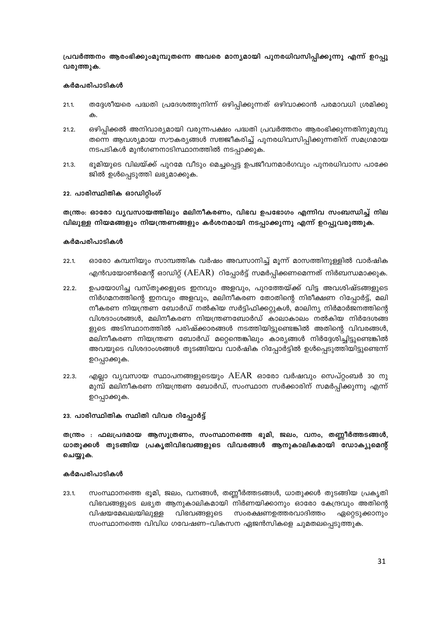പ്രവർത്തനം ആരംഭിക്കുംമുമ്പുതന്നെ അവരെ മാന്യമായി പുനരധിവസിപ്പിക്കുന്നു എന്ന് ഉറപ്പു വരുത്തുക.

## കർമപരിപാടികൾ

- തദ്ദേശീയരെ പദ്ധതി പ്രദേശത്തുനിന്ന് ഒഴിപ്പിക്കുന്നത് ഒഴിവാക്കാൻ പരമാവധി ശ്രമിക്കു  $21.1.$
- ഒഴിപ്പിക്കൽ അനിവാര്യമായി വരുന്നപക്ഷം പദ്ധതി പ്രവർത്തനം ആരംഭിക്കുന്നതിനുമുമ്പു  $21.2.$ തന്നെ ആവശ്യമായ സൗകര്യങ്ങൾ സജ്ജീകരിച്ച് പുനരധിവസിപ്പിക്കുന്നതിന് സമഗ്രമായ നടപടികൾ മുൻഗണനാടിസ്ഥാനത്തിൽ നടപ്പാക്കുക.
- ഭൂമിയുടെ വിലയ്ക്ക് പുറമേ വീടും മെച്ചപ്പെട്ട ഉപജീവനമാർഗവും പുനരധിവാസ പാക്കേ 21.3. ജിൽ ഉൾപ്പെടുത്തി ലഭ്യമാക്കുക.

## 22. പാരിസ്ഥിതിക ഓഡിറ്റിംഗ്

തന്ത്രം: ഓരോ വൃവസായത്തിലും മലിനീകരണം, വിഭവ ഉപഭോഗം എന്നിവ സംബന്ധിച്ച് നില വിലുള്ള നിയമങ്ങളും നിയന്ത്രണങ്ങളും കർശനമായി നടപ്പാക്കുന്നു എന്ന് ഉറപ്പുവരുത്തുക.

#### കർമപരിപാടികൾ

- $22.1$ ഓരോ കമ്പനിയും സാമ്പത്തിക വർഷം അവസാനിച്ച് മൂന്ന് മാസത്തിനുള്ളിൽ വാർഷിക എൻവയോൺമെന്റ് ഓഡിറ്റ്  $(AEAR)$  റിപ്പോർട്ട് സമർപ്പിക്കണമെന്നത് നിർബന്ധമാക്കുക.
- ഉപയോഗിച്ച വസ്തുക്കളുടെ ഇനവും അളവും, പുറത്തേയ്ക്ക് വിട്ട അവശിഷ്ടങ്ങളുടെ  $22.2.$ നിർഗമനത്തിന്റെ ഇനവും അളവും, മലിനീകരണ തോതിന്റെ നിരീക്ഷണ റിപ്പോർട്ട്, മലി നീകരണ നിയന്ത്രണ ബോർഡ് നൽകിയ സർട്ടിഫിക്കറ്റുകൾ, മാലിന്യ നിർമാർജനത്തിന്റെ വിശദാംശങ്ങൾ, മലിനീകരണ നിയന്ത്രണബോർഡ് കാലാകാലം നൽകിയ നിർദേശങ്ങ ളുടെ അടിസ്ഥാനത്തിൽ പരിഷ്ക്കാരങ്ങൾ നടത്തിയിട്ടുണ്ടെങ്കിൽ അതിന്റെ വിവരങ്ങൾ, മലിനീകരണ നിയന്ത്രണ ബോർഡ് മറ്റെന്തെങ്കിലും കാര്യങ്ങൾ നിർദ്ദേശിച്ചിട്ടുണ്ടെങ്കിൽ അവയുടെ വിശദാംശങ്ങൾ തുടങ്ങിയവ വാർഷിക റിപ്പോർട്ടിൽ ഉൾപ്പെടുത്തിയിട്ടുണ്ടെന്ന് ഉറപ്പാക്കുക.
- എല്ലാ വ്യവസായ സ്ഥാപനങ്ങളുടെയും AEAR ഓരോ വർഷവും സെപ്റ്റംബർ 30 നു  $22.3.$ മുമ്പ് മലിനീകരണ നിയന്ത്രണ ബോർഡ്, സംസ്ഥാന സർക്കാരിന് സമർപ്പിക്കുന്നു എന്ന് ഉറപ്പാക്കുക.

## 23. പാരിസ്ഥിതിക സ്ഥിതി വിവര റിപ്പോർട്ട്

തന്ത്രം : ഫലപ്രദമായ ആസൂത്രണം, സംസ്ഥാനത്തെ ഭൂമി, ജലം, വനം, തണ്ണീർത്തടങ്ങൾ, ധാതുക്കൾ തുടങ്ങിയ പ്രകൃതിവിഭവങ്ങളുടെ വിവരങ്ങൾ ആനുകാലികമായി ഡോക്യുമെന്റ് ചെയ്യുക.

#### കർമപരിപാടികൾ

സംസ്ഥാനത്തെ ഭൂമി, ജലം, വനങ്ങൾ, തണ്ണീർത്തടങ്ങൾ, ധാതുക്കൾ തുടങ്ങിയ പ്രകൃതി 23.1. വിഭവങ്ങളുടെ ലഭ്യത ആനുകാലികമായി നിർണയിക്കാനും ഓരോ കേന്ദ്രവും അതിന്റെ വിഷയമേഖലയിലുള്ള വിഭവങ്ങളുടെ സംരക്ഷണഉത്തരവാദിത്തം ഏറ്റെടുക്കാനും സംസ്ഥാനത്തെ വിവിധ ഗവേഷണ–വികസന ഏജൻസികളെ ചുമതലപ്പെടുത്തുക.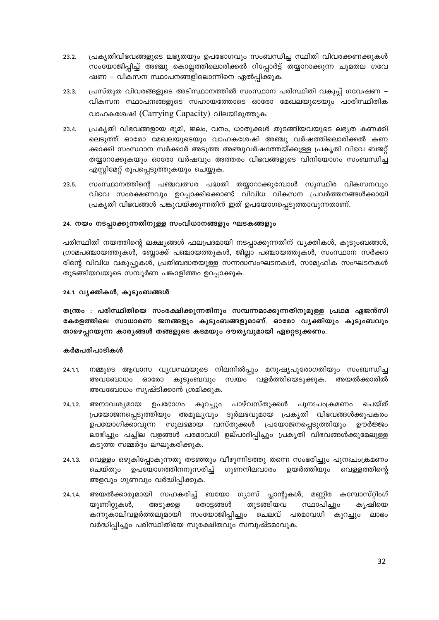- 23.2. പ്രകൃതിവിഭവങ്ങളുടെ ലഭ്യതയും ഉപഭോഗവും സംബന്ധിച്ച സ്ഥിതി വിവരക്കണക്കുകൾ സംയോജിപ്പിച്ച് അഞ്ചു കൊല്ലത്തിലൊരിക്കൽ റിപ്പോർട്ട് തയ്യാറാക്കുന്ന ചുമതല ഗവേ ഷണ – വികസന സ്ഥാപനങ്ങളിലൊന്നിനെ ഏൽപ്പിക്കുക.
- പ്രസ്തുത വിവരങ്ങളുടെ അടിസ്ഥാനത്തിൽ സംസ്ഥാന പരിസ്ഥിതി വകുപ്പ് ഗവേഷണ 23.3. വികസന സ്ഥാപനങ്ങളുടെ സഹായത്തോടെ ഓരോ മേഖലയുടെയും പാരിസ്ഥിതിക വാഹകശേഷി (Carrying Capacity) വിലയിരുത്തുക.
- 23.4. പ്രകൃതി വിഭവങ്ങളായ ഭൂമി, ജലം, വനം, ധാതുക്കൾ തുടങ്ങിയവയുടെ ലഭ്യത കണക്കി ലെടുത്ത് ഓരോ മേഖലയുടെയും വാഹകശേഷി അഞ്ചു വർഷത്തിലൊരിക്കൽ കണ ക്കാക്കി സംസ്ഥാന സർക്കാർ അടുത്ത അഞ്ചുവർഷത്തേയ്ക്കുള്ള പ്രകൃതി വിഭവ ബജറ്റ് തയ്യാറാക്കുകയും ഓരോ വർഷവും അത്തരം വിഭവങ്ങളുടെ വിനിയോഗം സംബന്ധിച്ച എസ്റ്റിമേറ്റ് രൂപപ്പെടുത്തുകയും ചെയ്യുക.
- 23.5. സംസ്ഥാനത്തിന്റെ പഞ്ചവത്സര പദ്ധതി തയ്യാറാക്കുമ്പോൾ സുസ്ഥിര വികസനവും വിഭവ സംരക്ഷണവും ഉറപ്പാക്കിക്കൊണ്ട് വിവിധ വികസന പ്രവർത്തനങ്ങൾക്കായി പ്രകൃതി വിഭവങ്ങൾ പങ്കുവയ്ക്കുന്നതിന് ഇത് ഉപയോഗപ്പെടുത്താവുന്നതാണ്.

## 24. നയം നടപ്പാക്കുന്നതിനുള്ള സംവിധാനങ്ങളും ഘടകങ്ങളും

പരിസ്ഥിതി നയത്തിന്റെ ലക്ഷ്യങ്ങൾ ഫലപ്രദമായി നടപ്പാക്കുന്നതിന് വ്യക്തികൾ, കുടുംബങ്ങൾ, ഗ്രാമപഞ്ചായത്തുകൾ, ബ്ലോക്ക് പഞ്ചായത്തുകൾ, ജില്ലാ പഞ്ചായത്തുകൾ, സംസ്ഥാന സർക്കാ രിന്റെ വിവിധ വകുപ്പുകൾ, പ്രതിബദ്ധതയുള്ള സന്നദ്ധസംഘടനകൾ, സാമൂഹിക സംഘടനകൾ തുടങ്ങിയവയുടെ സമ്പൂർണ പങ്കാളിത്തം ഉറപ്പാക്കുക.

## 24.1. വൃക്തികൾ, കുടുംബങ്ങൾ

തന്ത്രം : പരിസ്ഥിതിയെ സംരക്ഷിക്കുന്നതിനും സമ്പന്നമാക്കുന്നതിനുമുള്ള പ്രഥമ ഏജൻസി കേരളത്തിലെ സാധാരണ ജനങ്ങളും കുടുംബങ്ങളുമാണ്. ഓരോ വ്യക്തിയും കുടുംബവും താഴെപ്പറയുന്ന കാര്യങ്ങൾ തങ്ങളുടെ കടമയും ദൗതൃവുമായി ഏറ്റെടുക്കണം.

- $24.1.1.$ നമ്മുടെ ആവാസ വ്യവസ്ഥയുടെ നിലനിൽപ്പും മനുഷ്യപുരോഗതിയും സംബന്ധിച്ച അവബോധം ഓരോ കുടുംബവും സ്വയം വളർത്തിയെടുക്കുക. അയൽക്കാരിൽ അവബോധം സൃഷ്ടിക്കാൻ ശ്രമിക്കുക.
- ഉപഭോഗം കുറച്ചും പാഴ്വസ്തുക്കൾ  $24.1.2.$ അനാവശ്യമായ പുനഃചാക്രമണം ചെയ്ത് പ്രയോജനപ്പെടുത്തിയും അമൂല്യവും ദുർലഭവുമായ പ്രകൃതി വിഭവങ്ങൾക്കുപകരം ഉപയോഗിക്കാവുന്ന സുലഭമായ വസ്തുക്കൾ പ്രയോജനപ്പെടുത്തിയും ഊർജ്ജം ലാഭിച്ചും പച്ചില വളങ്ങൾ പരമാവധി ഉല്പാദിപ്പിച്ചും പ്രകൃതി വിഭവങ്ങൾക്കുമേലുള്ള കടുത്ത സമ്മർദ്ദം ലഘൂകരിക്കുക.
- വെള്ളം ഒഴുകിപ്പോകുന്നതു തടഞ്ഞും വീഴുന്നിടത്തു തന്നെ സംഭരിച്ചും പുനഃചംക്രമണം  $24.1.3.$ ചെയ്തും ഉപയോഗത്തിനനുസരിച്ച് ഗുണനിലവാരം ഉയർത്തിയും വെള്ളത്തിന്റെ അളവും ഗുണവും വർദ്ധിപ്പിക്കുക.
- അയൽക്കാരുമായി സഹകരിച്ച് ബയോ ഗ്യാസ് പ്ലാന്റുകൾ, മണ്ണിര കമ്പോസ്റ്റിംഗ് 24.1.4. യൂണിറ്റുകൾ, തുടങ്ങിയവ അടുക്കള തോട്ടങ്ങൾ സ്ഥാപിച്ചും കൃഷിയെ കന്നുകാലിവളർത്തലുമായി സംയോജിപ്പിച്ചും ചെലവ് പരമാവധി കുറച്ചും ലാഭം വർദ്ധിപ്പിച്ചും പരിസ്ഥിതിയെ സുരക്ഷിതവും സമ്പുഷ്ടമാവുക.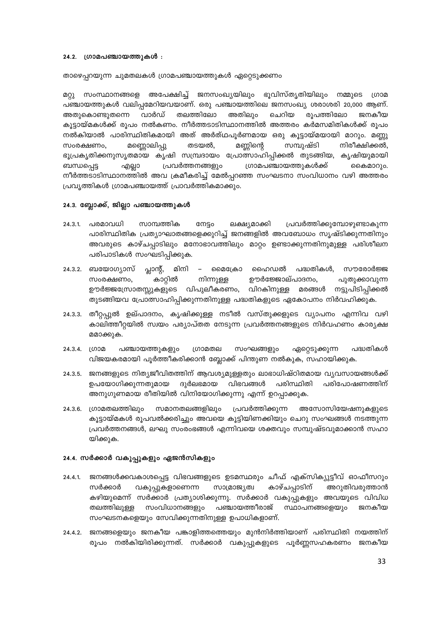#### 24.2. ഗ്രാമപഞ്ചായത്തുകൾ :

താഴെപ്പറയുന്ന ചുമതലകൾ ഗ്രാമപഞ്ചായത്തുകൾ ഏറ്റെടുക്കണം

മറ്റു സംസ്ഥാനങ്ങളെ അപേക്ഷിച്ച് ജനസംഖ്യയിലും ഭൂവിസ്തൃതിയിലും നമ്മുടെ ഗ്രാമ പഞ്ചായത്തുകൾ വലിപ്പമേറിയവയാണ്. ഒരു പഞ്ചായത്തിലെ ജനസംഖ്യ ശരാശരി 20,000 ആണ്. തലത്തിലോ അതുകൊണ്ടുതന്നെ വാർഡ് അതിലും ചെറിയ രൂപത്തിലോ ജനകീയ കൂട്ടായ്മകൾക്ക് രൂപം നൽകണം. നീർത്തടാടിസ്ഥാനത്തിൽ അത്തരം കർമസമിതികൾക്ക് രൂപം നൽകിയാൽ പാരിസ്ഥിതികമായി അത് അർത്ഥപൂർണമായ ഒരു കൂട്ടായ്മയായി മാറും. മണ്ണു മണ്ണൊലിപ്പു സംരക്ഷണം, തടയൽ, മണ്ണിന്റെ സമ്പുഷ്ടി നിരീക്ഷിക്കൽ, ഭൂപ്രകൃതിക്കനുസൃതമായ കൃഷി സമ്പ്രദായം പ്രോത്സാഹിപ്പിക്കൽ തുടങ്ങിയ, കൃഷിയുമായി പ്രവർത്തനങ്ങളും ഗ്രാമപഞ്ചായത്തുകൾക്ക് ബന്ധപ്പെട്ട കൈമാറും. എല്ലാ നീർത്തടാടിസ്ഥാനത്തിൽ അവ ക്രമീകരിച്ച് മേൽപ്പറഞ്ഞ സംഘടനാ സംവിധാനം വഴി അത്തരം പ്രവൃത്തികൾ ഗ്രാമപഞ്ചായത്ത് പ്രാവർത്തികമാക്കും.

## 24.3. ബ്ലോക്ക്, ജില്ലാ പഞ്ചായത്തുകൾ

- പ്രവർത്തിക്കുമ്പോഴുണ്ടാകുന്ന  $24.3.1$ പരമാവധി സാമ്പത്തിക ലക്ഷ്യമാക്കി നേട്ടം പാരിസ്ഥിതിക പ്രത്യാഘാതങ്ങളെക്കുറിച്ച് ജനങ്ങളിൽ അവബോധം സൃഷ്ടിക്കുന്നതിനും അവരുടെ കാഴ്ചപ്പാടിലും മനോഭാവത്തിലും മാറ്റം ഉണ്ടാക്കുന്നതിനുമുള്ള പരിശീലന പരിപാടികൾ സംഘടിപ്പിക്കുക.
- 24.3.2. ബയോഗ്യാസ് പ്ലാന്റ്, മിനി മൈക്രോ ഹൈഡൽ പദ്ധതികൾ, സൗരോർജ്ജ  $\sim$ നിന്നുള്ള കാറ്റിൽ ഊർജ്ജോല്പാദനം, സംരക്ഷണം, പുതുക്കാവുന്ന ഊർജ്ജസ്രോതസ്സുകളുടെ വിപുലീകരണം, വിറകിനുള്ള മരങ്ങൾ നട്ടുപിടിപ്പിക്കൽ തുടങ്ങിയവ പ്രോത്സാഹിപ്പിക്കുന്നതിനുള്ള പദ്ധതികളുടെ ഏകോപനം നിർവഹിക്കുക.
- 24.3.3. തീറ്റപ്പുൽ ഉല്പാദനം, കൃഷിക്കുള്ള നടീൽ വസ്തുക്കളുടെ വ്യാപനം എന്നിവ വഴി കാലിത്തീറ്റയിൽ സ്വയം പര്യാപ്തത നേടുന്ന പ്രവർത്തനങ്ങളുടെ നിർവഹണം കാര്യക്ഷ മമാക്കുക.
- 24.3.4. (ഗാമ പഞ്ചായത്തുകളും ഗ്രാമതല സംഘങ്ങളും ഏറ്റെടുക്കുന്ന പദ്ധതികൾ വിജയകരമായി പൂർത്തീകരിക്കാൻ ബ്ലോക്ക് പിന്തുണ നൽകുക, സഹായിക്കുക.
- ജനങ്ങളുടെ നിത്യജീവിതത്തിന് ആവശ്യമുള്ളതും ലാഭാധിഷ്ഠിതമായ വ്യവസായങ്ങൾക്ക്  $24.3.5.$ ഉപയോഗിക്കുന്നതുമായ ദുർലഭമായ വിഭവങ്ങൾ പരിസ്ഥിതി പരിപോഷണത്തിന് അനുഗുണമായ രീതിയിൽ വിനിയോഗിക്കുന്നു എന്ന് ഉറപ്പാക്കുക.
- 24.3.6. ഗ്രാമതലത്തിലും സമാനതലങ്ങളിലും പ്രവർത്തിക്കുന്ന അസോസിയേഷനുകളുടെ കൂട്ടായ്മകൾ രൂപവൽക്കരിച്ചും അവയെ കൂട്ടിയിണക്കിയും ചെറു സംഘങ്ങൾ നടത്തുന്ന പ്രവർത്തനങ്ങൾ, ലഘു സംരംഭങ്ങൾ എന്നിവയെ ശക്തവും സമ്പുഷ്ടവുമാക്കാൻ സഹാ യിക്കുക.

## 24.4. സർക്കാർ വകുപ്പുകളും ഏജൻസികളും

- ജനങ്ങൾക്കവകാശപ്പെട്ട വിഭവങ്ങളുടെ ഉടമസ്ഥരും ചീഫ് എക്സിക്യുട്ടീവ് ഓഫീസറും  $24.4.1.$ സാമ്രാജ്യത്വ കാഴ്ചപ്പാടിന് അറുതിവരുത്താൻ സർക്കാർ വകുപ്പുകളാണെന്ന കഴിയുമെന്ന് സർക്കാർ പ്രത്യാശിക്കുന്നു. സർക്കാർ വകുപ്പുകളും അവയുടെ വിവിധ തലത്തിലുള്ള സംവിധാനങ്ങളും പഞ്ചായത്തീരാജ് സ്ഥാപനങ്ങളെയും ജനകീയ സംഘടനകളെയും സേവിക്കുന്നതിനുള്ള ഉപാധികളാണ്.
- 24.4.2. ജനങ്ങളെയും ജനകീയ പങ്കാളിത്തത്തെയും മുൻനിർത്തിയാണ് പരിസ്ഥിതി നയത്തിന് രൂപം നൽകിയിരിക്കുന്നത്. സർക്കാർ വകുപ്പുകളുടെ പൂർണ്ണസഹകരണം ജനകീയ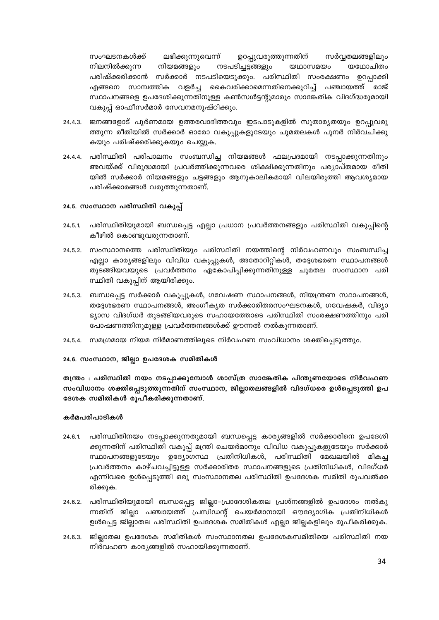സംഘടനകൾക്ക് ലഭിക്കുന്നുവെന്ന് ഉറപ്പുവരുത്തുന്നതിന് സർവ്വതലങ്ങളിലും നിലനിൽക്കുന്ന നിയമങ്ങളും നടപടിച്ചട്ടങ്ങളും യഥാസമയം യഥോചിതം പരിഷ്ക്കരിക്കാൻ സർക്കാർ നടപടിയെടുക്കും. പരിസ്ഥിതി സംരക്ഷണം ഉറപ്പാക്കി എങ്ങനെ സാമ്പത്തിക വളർച്ച കൈവരിക്കാമെന്നതിനെക്കുറിച്ച് പഞ്ചായത്ത് രാജ് സ്ഥാപനങ്ങളെ ഉപദേശിക്കുന്നതിനുള്ള കൺസൾട്ടന്റുമാരും സാങ്കേതിക വിദഗ്ദ്ധരുമായി വകുപ്പ് ഓഫീസർമാർ സേവനമനുഷ്ഠിക്കും.

- 24.4.3. ജനങ്ങളോട് പൂർണമായ ഉത്തരവാദിത്തവും ഇടപാടുകളിൽ സുതാര്യതയും ഉറപ്പുവരു ത്തുന്ന രീതിയിൽ സർക്കാർ ഓരോ വകുപ്പുകളുടേയും ചുമതലകൾ പുനർ നിർവചിക്കു കയും പരിഷ്ക്കരിക്കുകയും ചെയ്യുക.
- 24.4.4. പരിസ്ഥിതി പരിപാലനം സംബന്ധിച്ച നിയമങ്ങൾ ഫലപ്രദമായി നടപ്പാക്കുന്നതിനും അവയ്ക്ക് വിരുദ്ധമായി പ്രവർത്തിക്കുന്നവരെ ശിക്ഷിക്കുന്നതിനും പര്യാപ്തമായ രീതി യിൽ സർക്കാർ നിയമങ്ങളും ചട്ടങ്ങളും ആനുകാലികമായി വിലയിരുത്തി ആവശ്യമായ പരിഷ്ക്കാരങ്ങൾ വരുത്തുന്നതാണ്.

## 24.5. സംസ്ഥാന പരിസ്ഥിതി വകുപ്പ്

- $24.5.1$ പരിസ്ഥിതിയുമായി ബന്ധപ്പെട്ട എല്ലാ പ്രധാന പ്രവർത്തനങ്ങളും പരിസ്ഥിതി വകുപ്പിന്റെ കീഴിൽ കൊണ്ടുവരുന്നതാണ്.
- 24.5.2. സംസ്ഥാനത്തെ പരിസ്ഥിതിയും പരിസ്ഥിതി നയത്തിന്റെ നിർവഹണവും സംബന്ധിച്ച എല്ലാ കാര്യങ്ങളിലും വിവിധ വകുപ്പുകൾ, അതോറിറ്റികൾ, തദ്ദേശഭരണ സ്ഥാപനങ്ങൾ തുടങ്ങിയവയുടെ പ്രവർത്തനം ഏകോപിപ്പിക്കുന്നതിനുള്ള ചുമതല സംസ്ഥാന പരി സ്ഥിതി വകുപ്പിന് ആയിരിക്കും.
- 24.5.3. ബന്ധപ്പെട്ട സർക്കാർ വകുപ്പുകൾ, ഗവേഷണ സ്ഥാപനങ്ങൾ, നിയന്ത്രണ സ്ഥാപനങ്ങൾ, തദ്ദേശഭരണ സ്ഥാപനങ്ങൾ, അംഗീകൃത സർക്കാരിതരസംഘടനകൾ, ഗവേഷകർ, വിദ്യാ ഭ്യാസ വിദഗ്ധർ തുടങ്ങിയവരുടെ സഹായത്തോടെ പരിസ്ഥിതി സംരക്ഷണത്തിനും പരി പോഷണത്തിനുമുള്ള പ്രവർത്തനങ്ങൾക്ക് ഊന്നൽ നൽകുന്നതാണ്.
- 24.5.4. സമഗ്രമായ നിയമ നിർമാണത്തിലൂടെ നിർവഹണ സംവിധാനം ശക്തിപ്പെടുത്തും.

## 24.6. സംസ്ഥാന, ജില്ലാ ഉപദേശക സമിതികൾ

തന്ത്രം : പരിസ്ഥിതി നയം നടപ്പാക്കുമ്പോൾ ശാസ്ത്ര സാങ്കേതിക പിന്തുണയോടെ നിർവഹണ സംവിധാനം ശക്തിപ്പെടുത്തുന്നതിന് സംസ്ഥാന, ജില്ലാതലങ്ങളിൽ വിദഗ്ധരെ ഉൾപ്പെടുത്തി ഉപ ദേശക സമിതികൾ രൂപീകരിക്കുന്നതാണ്.

- 24.6.1. പരിസ്ഥിതിനയം നടപ്പാക്കുന്നതുമായി ബന്ധപ്പെട്ട കാര്യങ്ങളിൽ സർക്കാരിനെ ഉപദേശി ക്കുന്നതിന് പരിസ്ഥിതി വകുപ്പ് മന്ത്രി ചെയർമാനും വിവിധ വകുപ്പുകളുടേയും സർക്കാർ സ്ഥാപനങ്ങളുടേയും ഉദ്യോഗസ്ഥ പ്രതിനിധികൾ, പരിസ്ഥിതി മേഖലയിൽ മികച്ച പ്രവർത്തനം കാഴ്ചവച്ചിട്ടുള്ള സർക്കാരിതര സ്ഥാപനങ്ങളുടെ പ്രതിനിധികൾ, വിദഗ്ധർ എന്നിവരെ ഉൾപ്പെടുത്തി ഒരു സംസ്ഥാനതല പരിസ്ഥിതി ഉപദേശക സമിതി രൂപവൽക്ക രിക്കുക.
- 24.6.2. പരിസ്ഥിതിയുമായി ബന്ധപ്പെട്ട ജില്ലാ–പ്രാദേശികതല പ്രശ്നങ്ങളിൽ ഉപദേശം നൽകു ന്നതിന് ജില്ലാ പഞ്ചായത്ത് പ്രസിഡന്റ് ചെയർമാനായി ഔദ്യോഗിക പ്രതിനിധികൾ ഉൾപ്പെട്ട ജില്ലാതല പരിസ്ഥിതി ഉപദേശക സമിതികൾ എല്ലാ ജില്ലകളിലും രൂപീകരിക്കുക.
- ജില്ലാതല ഉപദേശക സമിതികൾ സംസ്ഥാനതല ഉപദേശകസമിതിയെ പരിസ്ഥിതി നയ  $24.6.3.$ നിർവഹണ കാര്യങ്ങളിൽ സഹായിക്കുന്നതാണ്.